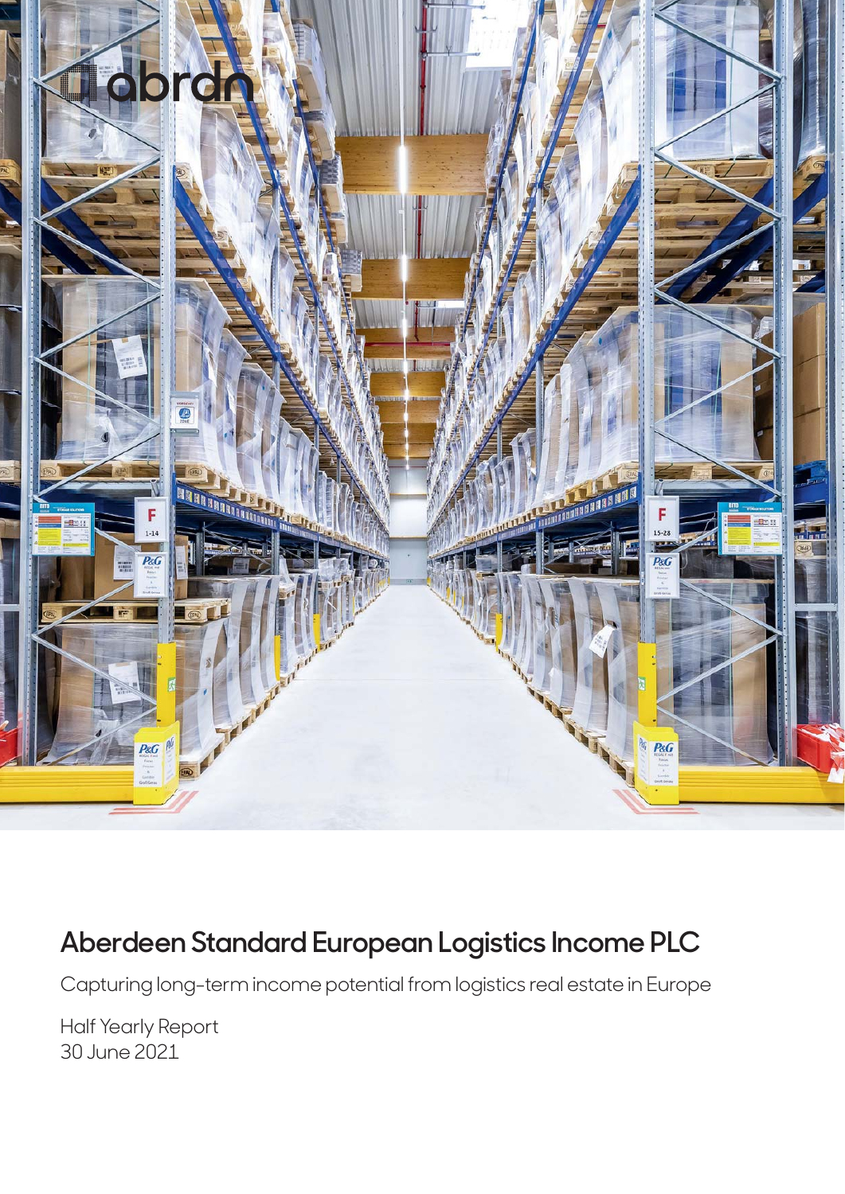

# **Aberdeen Standard European Logistics Income PLC**

Capturing long-term income potential from logistics real estate in Europe

Half Francy Reports<br>30 June 2021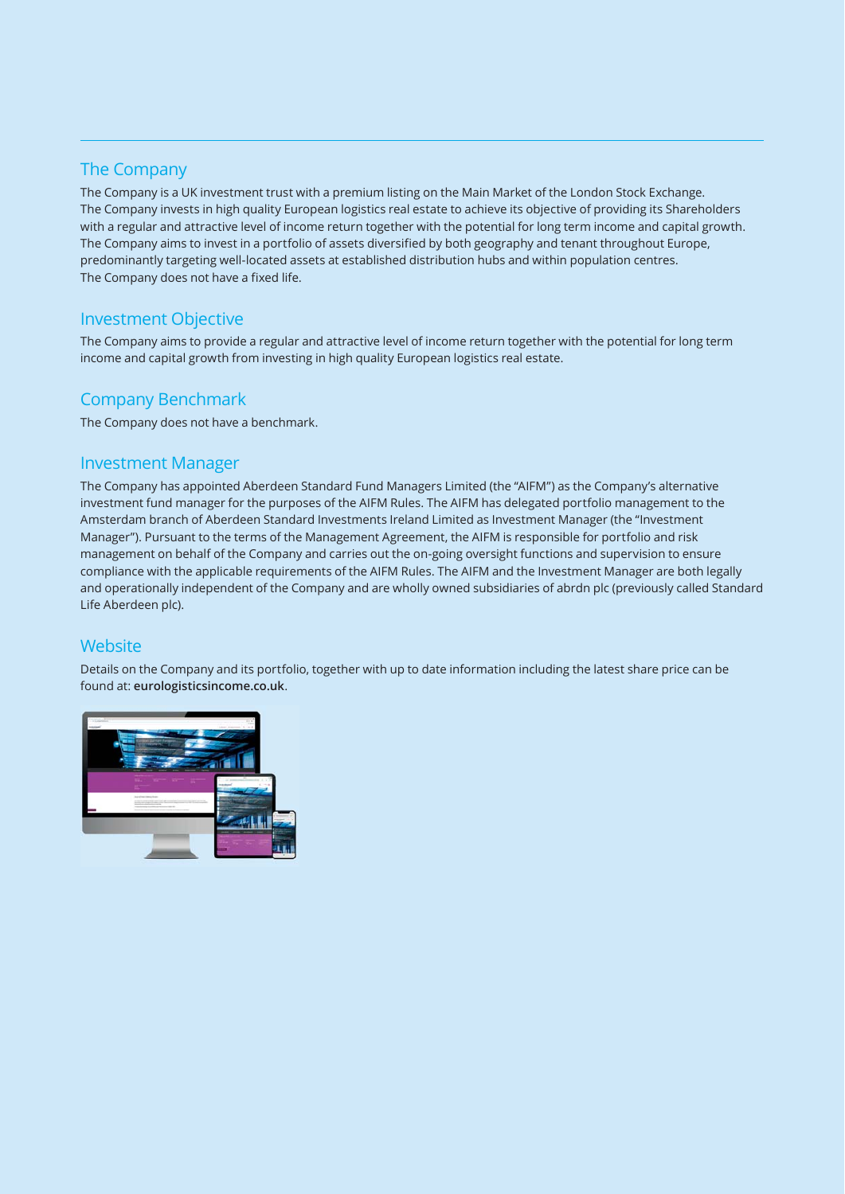# The Company

The Company is a UK investment trust with a premium listing on the Main Market of the London Stock Exchange. The Company invests in high quality European logistics real estate to achieve its objective of providing its Shareholders with a regular and attractive level of income return together with the potential for long term income and capital growth. The Company aims to invest in a portfolio of assets diversified by both geography and tenant throughout Europe, predominantly targeting well-located assets at established distribution hubs and within population centres. The Company does not have a fixed life.

# **Investment Objective**

The Company aims to provide a regular and attractive level of income return together with the potential for long term income and capital growth from investing in high quality European logistics real estate.

# Company Benchmark

The Company does not have a benchmark.

# Investment Manager

The Company has appointed Aberdeen Standard Fund Managers Limited (the "AIFM") as the Company's alternative investment fund manager for the purposes of the AIFM Rules. The AIFM has delegated portfolio management to the Amsterdam branch of Aberdeen Standard Investments Ireland Limited as Investment Manager (the "Investment Manager"). Pursuant to the terms of the Management Agreement, the AIFM is responsible for portfolio and risk management on behalf of the Company and carries out the on-going oversight functions and supervision to ensure compliance with the applicable requirements of the AIFM Rules. The AIFM and the Investment Manager are both legally and operationally independent of the Company and are wholly owned subsidiaries of abrdn plc (previously called Standard Life Aberdeen plc).

# Website

Details on the Company and its portfolio, together with up to date information including the latest share price can be found at: **eurologisticsincome.co.uk**.

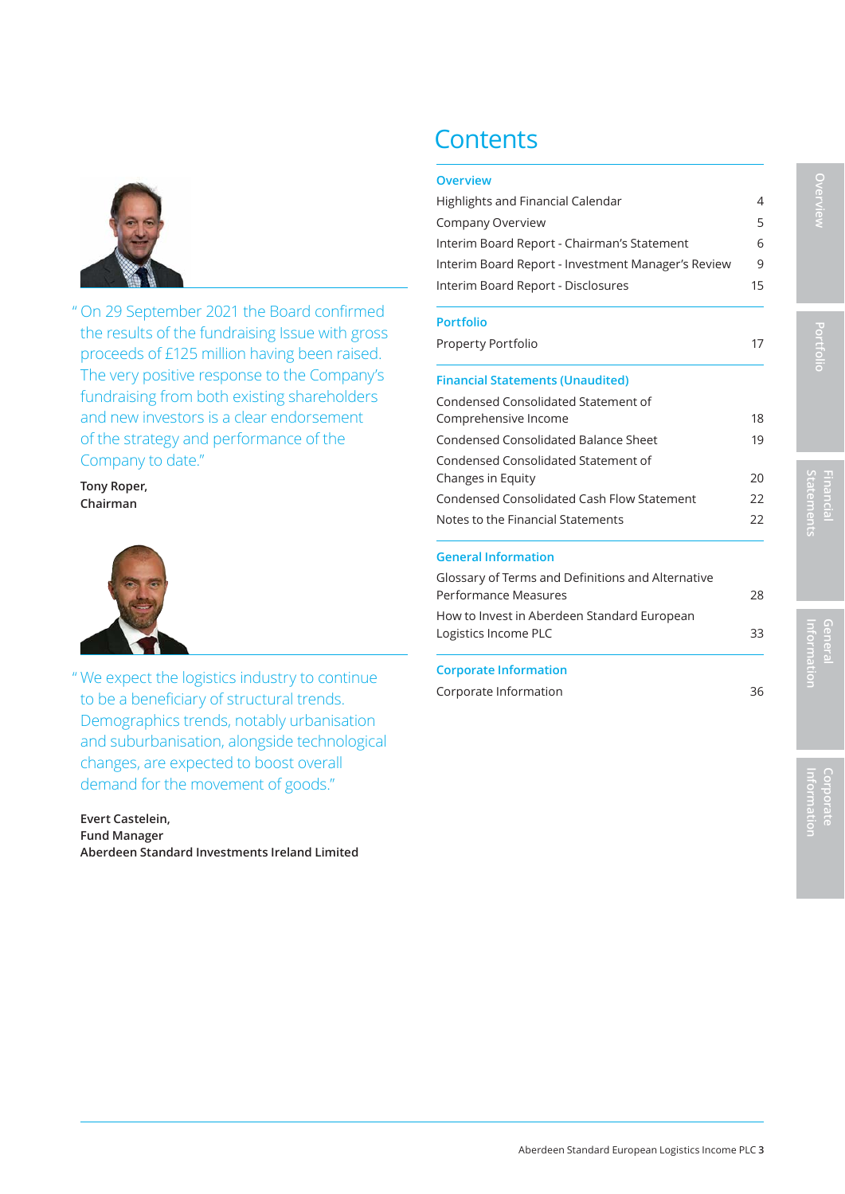

" On 29 September 2021 the Board confirmed the results of the fundraising Issue with gross proceeds of £125 million having been raised. The very positive response to the Company's fundraising from both existing shareholders and new investors is a clear endorsement of the strategy and performance of the Company to date."

**Tony Roper, Chairman**



" We expect the logistics industry to continue to be a beneficiary of structural trends. Demographics trends, notably urbanisation and suburbanisation, alongside technological changes, are expected to boost overall demand for the movement of goods."

**Evert Castelein, Fund Manager Aberdeen Standard Investments Ireland Limited**

# **Contents**

| <b>Overview</b>                                                           |    |  |  |  |  |  |
|---------------------------------------------------------------------------|----|--|--|--|--|--|
| Highlights and Financial Calendar                                         | 4  |  |  |  |  |  |
| Company Overview                                                          | 5  |  |  |  |  |  |
| Interim Board Report - Chairman's Statement                               |    |  |  |  |  |  |
| Interim Board Report - Investment Manager's Review                        | 9  |  |  |  |  |  |
| Interim Board Report - Disclosures                                        | 15 |  |  |  |  |  |
| <b>Portfolio</b>                                                          |    |  |  |  |  |  |
| Property Portfolio                                                        | 17 |  |  |  |  |  |
| <b>Financial Statements (Unaudited)</b>                                   |    |  |  |  |  |  |
| Condensed Consolidated Statement of                                       |    |  |  |  |  |  |
| Comprehensive Income                                                      | 18 |  |  |  |  |  |
| <b>Condensed Consolidated Balance Sheet</b>                               | 19 |  |  |  |  |  |
| Condensed Consolidated Statement of                                       |    |  |  |  |  |  |
| Changes in Equity                                                         | 20 |  |  |  |  |  |
| Condensed Consolidated Cash Flow Statement                                | 22 |  |  |  |  |  |
| Notes to the Financial Statements                                         | 22 |  |  |  |  |  |
| <b>General Information</b>                                                |    |  |  |  |  |  |
| Glossary of Terms and Definitions and Alternative<br>Performance Measures | 28 |  |  |  |  |  |
| How to Invest in Aberdeen Standard European                               |    |  |  |  |  |  |
| Logistics Income PLC                                                      | 33 |  |  |  |  |  |
| <b>Corporate Information</b>                                              |    |  |  |  |  |  |
| Corporate Information                                                     | 36 |  |  |  |  |  |
|                                                                           |    |  |  |  |  |  |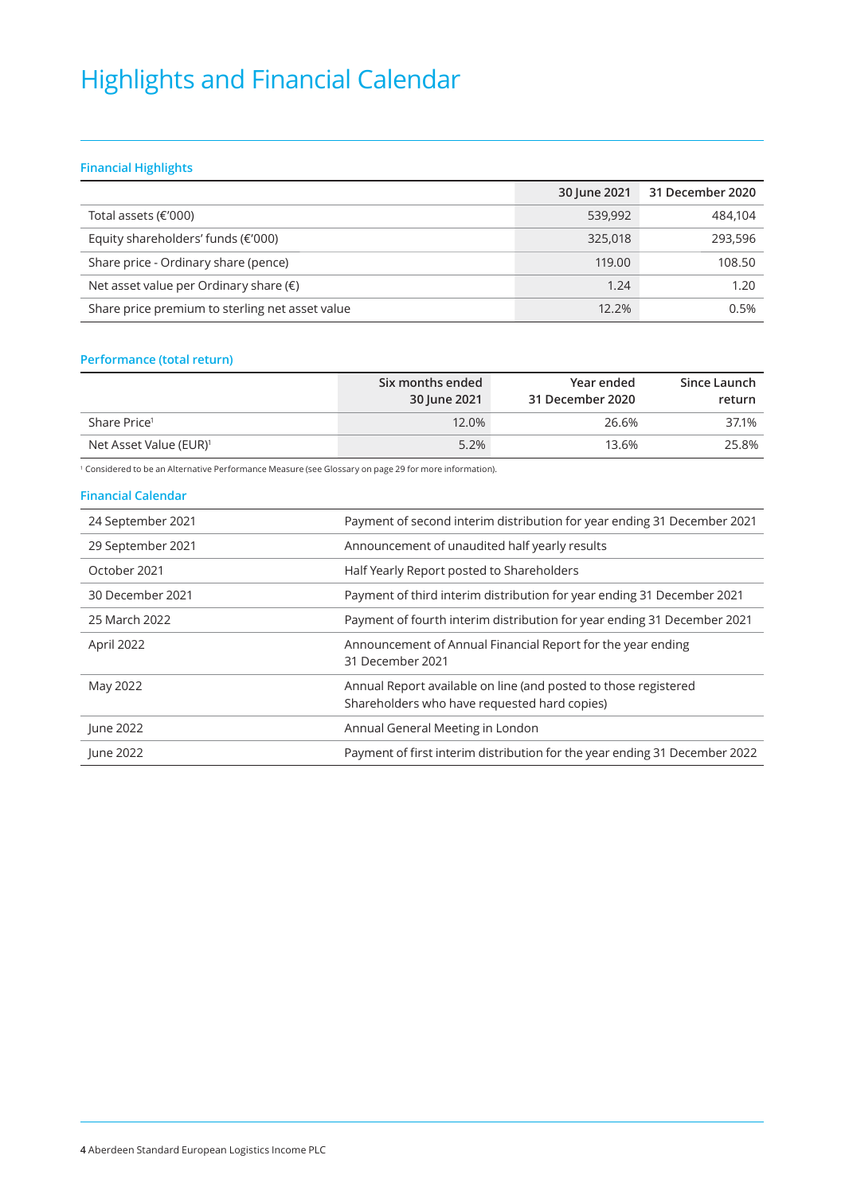# Highlights and Financial Calendar

# **Financial Highlights**

|                                                 | 30 June 2021 | 31 December 2020 |
|-------------------------------------------------|--------------|------------------|
| Total assets ( $\epsilon$ '000)                 | 539,992      | 484,104          |
| Equity shareholders' funds $(\epsilon' 000)$    | 325,018      | 293,596          |
| Share price - Ordinary share (pence)            | 119.00       | 108.50           |
| Net asset value per Ordinary share $(\epsilon)$ | 1.24         | 1.20             |
| Share price premium to sterling net asset value | 12.2%        | 0.5%             |

# **Performance (total return)**

|                                    | Six months ended<br>30 June 2021 | Year ended<br>31 December 2020 | Since Launch<br>return |
|------------------------------------|----------------------------------|--------------------------------|------------------------|
| Share Price <sup>1</sup>           | 12.0%                            | 26.6%                          | 37.1%                  |
| Net Asset Value (EUR) <sup>1</sup> | 5.2%                             | 13.6%                          | 25.8%                  |

<sup>1</sup> Considered to be an Alternative Performance Measure (see Glossary on page 29 for more information).

# **Financial Calendar**

| 24 September 2021 | Payment of second interim distribution for year ending 31 December 2021                                         |
|-------------------|-----------------------------------------------------------------------------------------------------------------|
| 29 September 2021 | Announcement of unaudited half yearly results                                                                   |
| October 2021      | Half Yearly Report posted to Shareholders                                                                       |
| 30 December 2021  | Payment of third interim distribution for year ending 31 December 2021                                          |
| 25 March 2022     | Payment of fourth interim distribution for year ending 31 December 2021                                         |
| April 2022        | Announcement of Annual Financial Report for the year ending<br>31 December 2021                                 |
| May 2022          | Annual Report available on line (and posted to those registered<br>Shareholders who have requested hard copies) |
| June 2022         | Annual General Meeting in London                                                                                |
| June 2022         | Payment of first interim distribution for the year ending 31 December 2022                                      |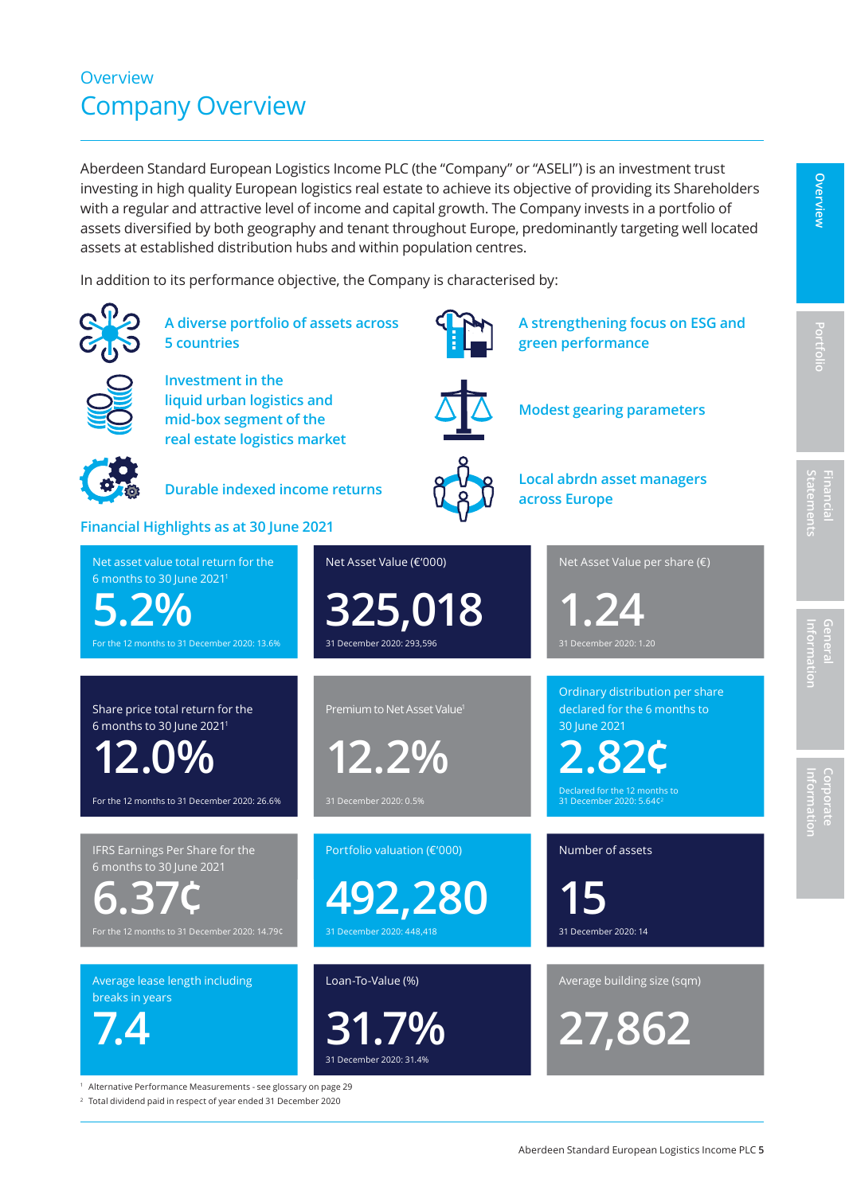# **Overview** Company Overview

Aberdeen Standard European Logistics Income PLC (the "Company" or "ASELI") is an investment trust investing in high quality European logistics real estate to achieve its objective of providing its Shareholders with a regular and attractive level of income and capital growth. The Company invests in a portfolio of assets diversified by both geography and tenant throughout Europe, predominantly targeting well located assets at established distribution hubs and within population centres.

In addition to its performance objective, the Company is characterised by:



**A diverse portfolio of assets across 5 countries**



**Investment in the liquid urban logistics and mid-box segment of the real estate logistics market**



Net asset value total return for the

**Financial Highlights as at 30 June 2021**



**A strengthening focus on ESG and**



**Modest gearing parameters**

**green performance**



Net Asset Value (€'000)  $\blacksquare$  Net Asset Value per share (€)

**Durable indexed income returns Local abrdn asset managers across Europe**

 $6$  months to 30 lune 2021<sup>1</sup> **5.2% 31 December 2020: 13.6% 31 December 2020: 13.6% 31 December 2020: 13.6% 31 December 2020: 1.20** Por the 12 months to 31 December 2020: 13.6% 21 December 2020: 293,596 Share price total return for the 6 months to 30 June 2021<sup>1</sup> Premium to Net Asset Value<sup>1</sup> 30 lune 2021 **12.0% 12.2% 2.82¢** For the 12 months to 31 December 2020: 26.6% <br>21 December 2020: 0.5% Declared for the 12 months to 31 December 2020: 5.64 IFRS Earnings Per Share for the 6 months to 30 June 2021 Portfolio valuation (€'000)<br>
Number of assets **6.492, 280 15**<br>31 December 2020: 448,418

Average lease length including breaks in years

<sup>1</sup> Alternative Performance Measurements - see glossary on page 29  $2$  Total dividend paid in respect of year ended 31 December 2020

**7.4 31.7% 27,862**

31 December 2020: 31.4%

Ordinary distribution per share declared for the 6 months to

Loan-To-Value (%) *AVerage building size (sqm)* Average building size (sqm)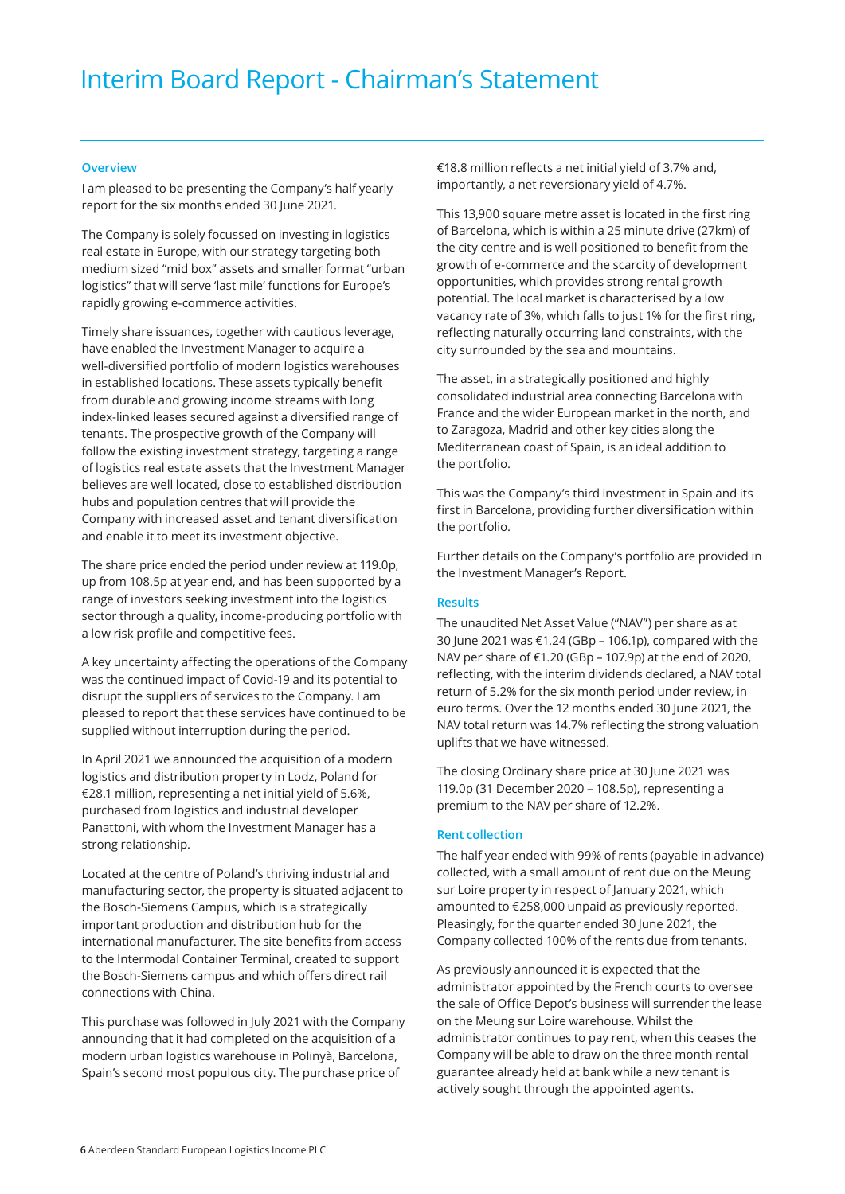# **Overview**

I am pleased to be presenting the Company's half yearly report for the six months ended 30 June 2021.

The Company is solely focussed on investing in logistics real estate in Europe, with our strategy targeting both medium sized "mid box" assets and smaller format "urban logistics" that will serve 'last mile' functions for Europe's rapidly growing e-commerce activities.

Timely share issuances, together with cautious leverage, have enabled the Investment Manager to acquire a well-diversified portfolio of modern logistics warehouses in established locations. These assets typically benefit from durable and growing income streams with long index-linked leases secured against a diversified range of tenants. The prospective growth of the Company will follow the existing investment strategy, targeting a range of logistics real estate assets that the Investment Manager believes are well located, close to established distribution hubs and population centres that will provide the Company with increased asset and tenant diversification and enable it to meet its investment objective.

The share price ended the period under review at 119.0p, up from 108.5p at year end, and has been supported by a range of investors seeking investment into the logistics sector through a quality, income-producing portfolio with a low risk profile and competitive fees.

A key uncertainty affecting the operations of the Company was the continued impact of Covid-19 and its potential to disrupt the suppliers of services to the Company. I am pleased to report that these services have continued to be supplied without interruption during the period.

In April 2021 we announced the acquisition of a modern logistics and distribution property in Lodz, Poland for €28.1 million, representing a net initial yield of 5.6%, purchased from logistics and industrial developer Panattoni, with whom the Investment Manager has a strong relationship.

Located at the centre of Poland's thriving industrial and manufacturing sector, the property is situated adjacent to the Bosch-Siemens Campus, which is a strategically important production and distribution hub for the international manufacturer. The site benefits from access to the Intermodal Container Terminal, created to support the Bosch-Siemens campus and which offers direct rail connections with China.

This purchase was followed in July 2021 with the Company announcing that it had completed on the acquisition of a modern urban logistics warehouse in Polinyà, Barcelona, Spain's second most populous city. The purchase price of

€18.8 million reflects a net initial yield of 3.7% and, importantly, a net reversionary yield of 4.7%.

This 13,900 square metre asset is located in the first ring of Barcelona, which is within a 25 minute drive (27km) of the city centre and is well positioned to benefit from the growth of e-commerce and the scarcity of development opportunities, which provides strong rental growth potential. The local market is characterised by a low vacancy rate of 3%, which falls to just 1% for the first ring, reflecting naturally occurring land constraints, with the city surrounded by the sea and mountains.

The asset, in a strategically positioned and highly consolidated industrial area connecting Barcelona with France and the wider European market in the north, and to Zaragoza, Madrid and other key cities along the Mediterranean coast of Spain, is an ideal addition to the portfolio.

This was the Company's third investment in Spain and its first in Barcelona, providing further diversification within the portfolio.

Further details on the Company's portfolio are provided in the Investment Manager's Report.

#### **Results**

The unaudited Net Asset Value ("NAV") per share as at 30 June 2021 was  $\epsilon$ 1.24 (GBp - 106.1p), compared with the NAV per share of  $£1.20$  (GBp - 107.9p) at the end of 2020, reflecting, with the interim dividends declared, a NAV total return of 5.2% for the six month period under review, in euro terms. Over the 12 months ended 30 June 2021, the NAV total return was 14.7% reflecting the strong valuation uplifts that we have witnessed.

The closing Ordinary share price at 30 June 2021 was 119.0p (31 December 2020 - 108.5p), representing a premium to the NAV per share of 12.2%.

#### **Rent collection**

The half year ended with 99% of rents (payable in advance) collected, with a small amount of rent due on the Meung sur Loire property in respect of January 2021, which amounted to  $£258,000$  unpaid as previously reported. Pleasingly, for the quarter ended 30 June 2021, the Company collected 100% of the rents due from tenants.

As previously announced it is expected that the administrator appointed by the French courts to oversee the sale of Office Depot's business will surrender the lease on the Meung sur Loire warehouse. Whilst the administrator continues to pay rent, when this ceases the Company will be able to draw on the three month rental guarantee already held at bank while a new tenant is actively sought through the appointed agents.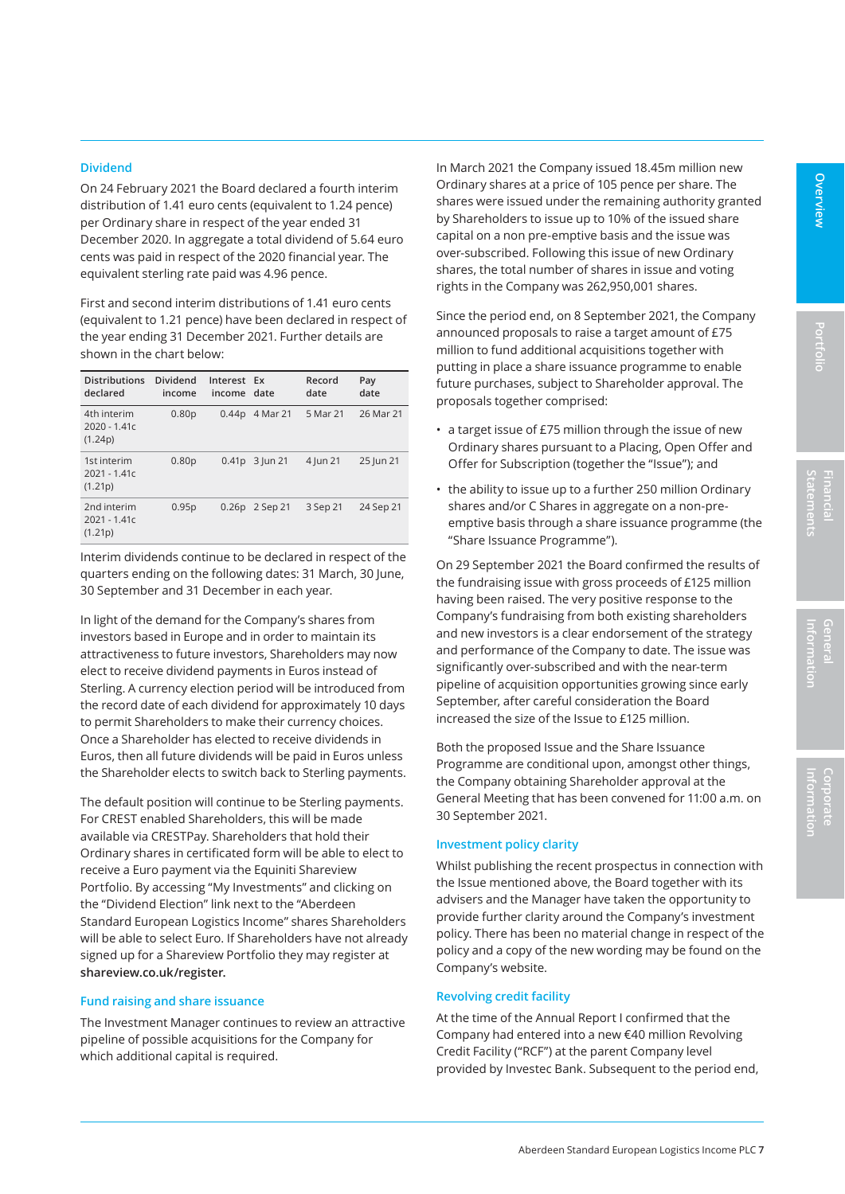Overview

On 24 February 2021 the Board declared a fourth interim distribution of 1.41 euro cents (equivalent to 1.24 pence) per Ordinary share in respect of the year ended 31 December 2020. In aggregate a total dividend of 5.64 euro cents was paid in respect of the 2020 financial year. The equivalent sterling rate paid was 4.96 pence.

First and second interim distributions of 1.41 euro cents (equivalent to 1.21 pence) have been declared in respect of the year ending 31 December 2021. Further details are shown in the chart below:

| <b>Distributions</b><br>declared         | <b>Dividend</b><br>income | Interest Ex<br>income | date     | Record<br>date | Pay<br>date |
|------------------------------------------|---------------------------|-----------------------|----------|----------------|-------------|
| 4th interim<br>$2020 - 1.41c$<br>(1.24p) | 0.80 <sub>p</sub>         | 0.44 <sub>p</sub>     | 4 Mar 21 | 5 Mar 21       | 26 Mar 21   |
| 1st interim<br>$2021 - 1.41c$<br>(1.21p) | 0.80 <sub>p</sub>         | 0.41 <sub>p</sub>     | 3 Jun 21 | 4 Jun 21       | 25 Jun 21   |
| 2nd interim<br>$2021 - 1.41c$<br>(1.21p) | 0.95p                     | 0.26p                 | 2 Sep 21 | 3 Sep 21       | 24 Sep 21   |

Interim dividends continue to be declared in respect of the quarters ending on the following dates: 31 March, 30 June, 30 September and 31 December in each year.

In light of the demand for the Company's shares from investors based in Europe and in order to maintain its attractiveness to future investors, Shareholders may now elect to receive dividend payments in Euros instead of Sterling. A currency election period will be introduced from the record date of each dividend for approximately 10 days to permit Shareholders to make their currency choices. Once a Shareholder has elected to receive dividends in Euros, then all future dividends will be paid in Euros unless the Shareholder elects to switch back to Sterling payments.

The default position will continue to be Sterling payments. For CREST enabled Shareholders, this will be made available via CRESTPay. Shareholders that hold their Ordinary shares in certificated form will be able to elect to receive a Euro payment via the Equiniti Shareview Portfolio. By accessing "My Investments" and clicking on the "Dividend Election" link next to the "Aberdeen Standard European Logistics Income" shares Shareholders will be able to select Euro. If Shareholders have not already signed up for a Shareview Portfolio they may register at shareview.co.uk/register.

# **Fund raising and share issuance**

The Investment Manager continues to review an attractive pipeline of possible acquisitions for the Company for which additional capital is required.

In March 2021 the Company issued 18.45m million new Ordinary shares at a price of 105 pence per share. The shares were issued under the remaining authority granted by Shareholders to issue up to 10% of the issued share capital on a non pre-emptive basis and the issue was over-subscribed. Following this issue of new Ordinary shares, the total number of shares in issue and voting rights in the Company was 262,950,001 shares.

Since the period end, on 8 September 2021, the Company announced proposals to raise a target amount of £75 million to fund additional acquisitions together with putting in place a share issuance programme to enable future purchases, subject to Shareholder approval. The proposals together comprised:

- a target issue of £75 million through the issue of new Ordinary shares pursuant to a Placing, Open Offer and Offer for Subscription (together the "Issue"); and
- the ability to issue up to a further 250 million Ordinary shares and/or C Shares in aggregate on a non-preemptive basis through a share issuance programme (the "Share Issuance Programme").

On 29 September 2021 the Board confirmed the results of the fundraising issue with gross proceeds of £125 million having been raised. The very positive response to the Company's fundraising from both existing shareholders and new investors is a clear endorsement of the strategy and performance of the Company to date. The issue was significantly over-subscribed and with the near-term pipeline of acquisition opportunities growing since early September, after careful consideration the Board increased the size of the Issue to £125 million.

Both the proposed Issue and the Share Issuance Programme are conditional upon, amongst other things, the Company obtaining Shareholder approval at the General Meeting that has been convened for 11:00 a.m. on 30 September 2021.

# **Investment policy clarity**

Whilst publishing the recent prospectus in connection with the Issue mentioned above, the Board together with its advisers and the Manager have taken the opportunity to provide further clarity around the Company's investment policy. There has been no material change in respect of the policy and a copy of the new wording may be found on the Company's website.

# **Revolving credit facility**

At the time of the Annual Report I confirmed that the Company had entered into a new €40 million Revolving Credit Facility ("RCF") at the parent Company level provided by Investec Bank. Subsequent to the period end,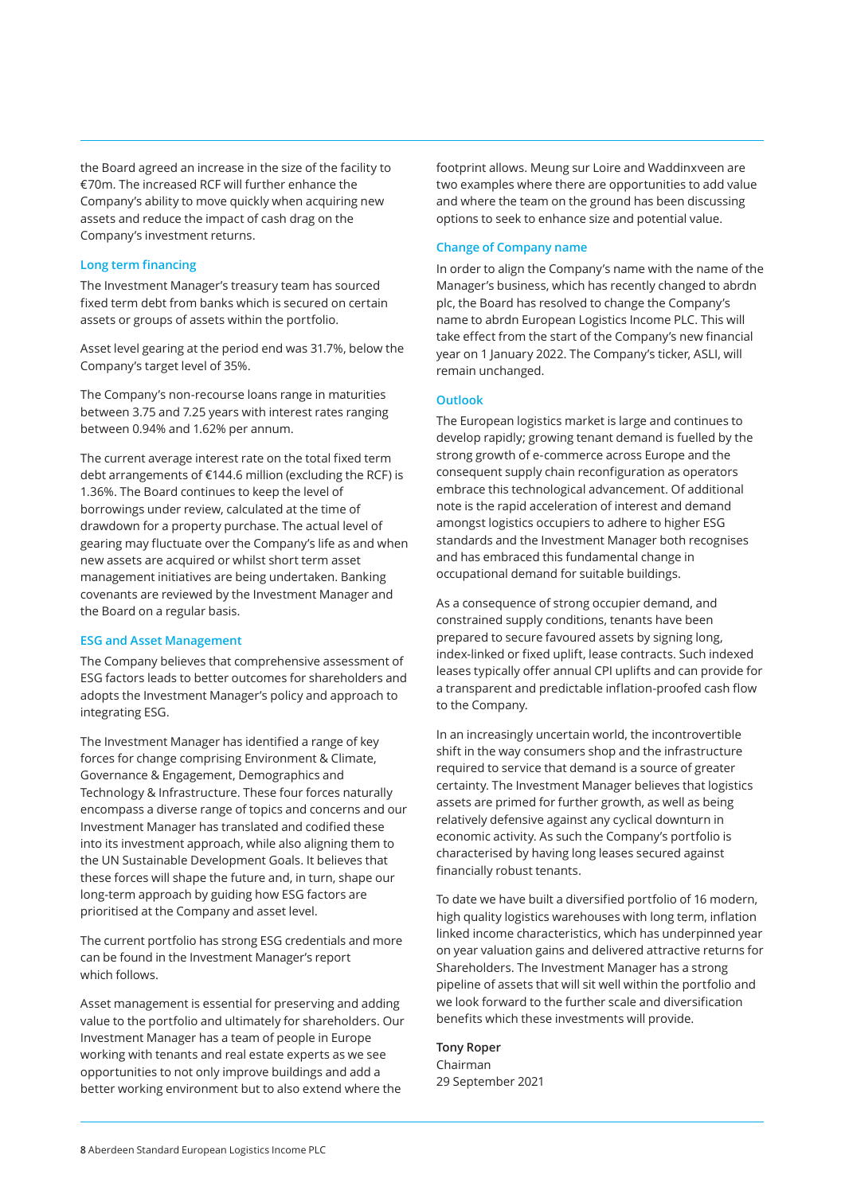the Board agreed an increase in the size of the facility to €70m. The increased RCF will further enhance the Company's ability to move quickly when acquiring new assets and reduce the impact of cash drag on the Company's investment returns.

#### **Long term financing**

The Investment Manager's treasury team has sourced fixed term debt from banks which is secured on certain assets or groups of assets within the portfolio.

Asset level gearing at the period end was 31.7%, below the Company's target level of 35%.

The Company's non-recourse loans range in maturities between 3.75 and 7.25 years with interest rates ranging between 0.94% and 1.62% per annum.

The current average interest rate on the total fixed term debt arrangements of  $\epsilon$ 144.6 million (excluding the RCF) is 1.36%. The Board continues to keep the level of borrowings under review, calculated at the time of drawdown for a property purchase. The actual level of gearing may fluctuate over the Company's life as and when new assets are acquired or whilst short term asset management initiatives are being undertaken. Banking covenants are reviewed by the Investment Manager and the Board on a regular basis.

#### **ESG and Asset Management**

The Company believes that comprehensive assessment of ESG factors leads to better outcomes for shareholders and adopts the Investment Manager's policy and approach to integrating ESG.

The Investment Manager has identified a range of key forces for change comprising Environment & Climate, Governance & Engagement, Demographics and Technology & Infrastructure. These four forces naturally encompass a diverse range of topics and concerns and our Investment Manager has translated and codified these into its investment approach, while also aligning them to the UN Sustainable Development Goals. It believes that these forces will shape the future and, in turn, shape our long-term approach by guiding how ESG factors are prioritised at the Company and asset level.

The current portfolio has strong ESG credentials and more can be found in the Investment Manager's report which follows.

Asset management is essential for preserving and adding value to the portfolio and ultimately for shareholders. Our Investment Manager has a team of people in Europe working with tenants and real estate experts as we see opportunities to not only improve buildings and add a better working environment but to also extend where the

footprint allows. Meung sur Loire and Waddinxveen are two examples where there are opportunities to add value and where the team on the ground has been discussing options to seek to enhance size and potential value.

#### **Change of Company name**

In order to align the Company's name with the name of the Manager's business, which has recently changed to abrdn plc, the Board has resolved to change the Company's name to abrdn European Logistics Income PLC. This will take effect from the start of the Company's new financial year on 1 January 2022. The Company's ticker, ASLI, will remain unchanged.

#### **Outlook**

The European logistics market is large and continues to develop rapidly; growing tenant demand is fuelled by the strong growth of e-commerce across Europe and the consequent supply chain reconfiguration as operators embrace this technological advancement. Of additional note is the rapid acceleration of interest and demand amongst logistics occupiers to adhere to higher ESG standards and the Investment Manager both recognises and has embraced this fundamental change in occupational demand for suitable buildings.

As a consequence of strong occupier demand, and constrained supply conditions, tenants have been prepared to secure favoured assets by signing long, index-linked or fixed uplift, lease contracts. Such indexed leases typically offer annual CPI uplifts and can provide for a transparent and predictable inflation-proofed cash flow to the Company.

In an increasingly uncertain world, the incontrovertible shift in the way consumers shop and the infrastructure required to service that demand is a source of greater certainty. The Investment Manager believes that logistics assets are primed for further growth, as well as being relatively defensive against any cyclical downturn in economic activity. As such the Company's portfolio is characterised by having long leases secured against financially robust tenants.

To date we have built a diversified portfolio of 16 modern, high quality logistics warehouses with long term, inflation linked income characteristics, which has underpinned year on year valuation gains and delivered attractive returns for Shareholders. The Investment Manager has a strong pipeline of assets that will sit well within the portfolio and we look forward to the further scale and diversification benefits which these investments will provide.

## **Tony Roper** Chairman 29 September 2021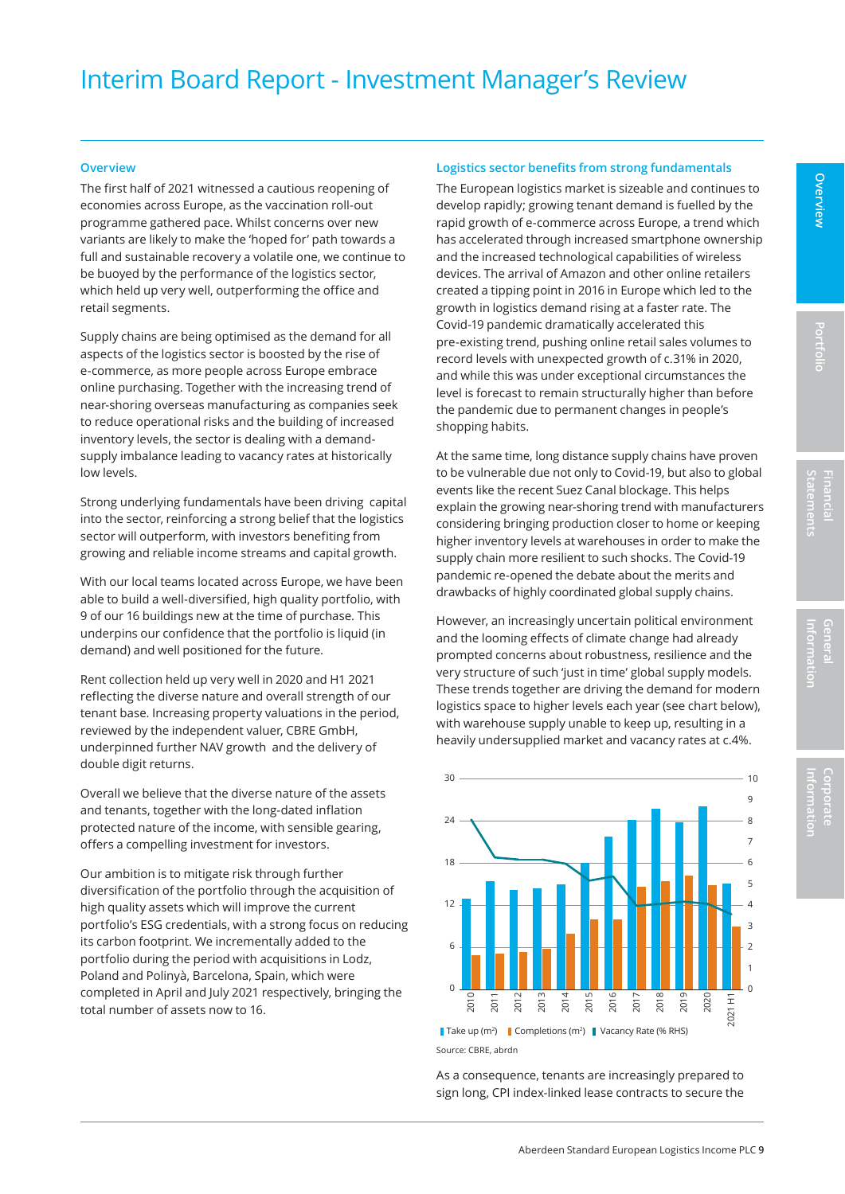# **Overview**

The first half of 2021 witnessed a cautious reopening of economies across Europe, as the vaccination roll-out programme gathered pace. Whilst concerns over new variants are likely to make the 'hoped for' path towards a full and sustainable recovery a volatile one, we continue to be buoyed by the performance of the logistics sector, which held up very well, outperforming the office and retail segments.

Supply chains are being optimised as the demand for all aspects of the logistics sector is boosted by the rise of e-commerce, as more people across Europe embrace online purchasing. Together with the increasing trend of near-shoring overseas manufacturing as companies seek to reduce operational risks and the building of increased inventory levels, the sector is dealing with a demandsupply imbalance leading to vacancy rates at historically low levels.

Strong underlying fundamentals have been driving capital into the sector, reinforcing a strong belief that the logistics sector will outperform, with investors benefiting from growing and reliable income streams and capital growth.

With our local teams located across Europe, we have been able to build a well-diversified, high quality portfolio, with 9 of our 16 buildings new at the time of purchase. This underpins our confidence that the portfolio is liquid (in demand) and well positioned for the future.

Rent collection held up very well in 2020 and H1 2021 reflecting the diverse nature and overall strength of our tenant base. Increasing property valuations in the period, reviewed by the independent valuer, CBRE GmbH, underpinned further NAV growth and the delivery of double digit returns.

Overall we believe that the diverse nature of the assets and tenants, together with the long-dated inflation protected nature of the income, with sensible gearing, offers a compelling investment for investors.

Our ambition is to mitigate risk through further diversification of the portfolio through the acquisition of high quality assets which will improve the current portfolio's ESG credentials, with a strong focus on reducing its carbon footprint. We incrementally added to the portfolio during the period with acquisitions in Lodz, Poland and Polinyà, Barcelona, Spain, which were completed in April and July 2021 respectively, bringing the total number of assets now to 16.

# **Logistics sector benefits from strong fundamentals**

The European logistics market is sizeable and continues to develop rapidly; growing tenant demand is fuelled by the rapid growth of e-commerce across Europe, a trend which has accelerated through increased smartphone ownership and the increased technological capabilities of wireless devices. The arrival of Amazon and other online retailers created a tipping point in 2016 in Europe which led to the growth in logistics demand rising at a faster rate. The Covid-19 pandemic dramatically accelerated this pre-existing trend, pushing online retail sales volumes to record levels with unexpected growth of c.31% in 2020, and while this was under exceptional circumstances the level is forecast to remain structurally higher than before the pandemic due to permanent changes in people's shopping habits.

At the same time, long distance supply chains have proven to be vulnerable due not only to Covid-19, but also to global events like the recent Suez Canal blockage. This helps explain the growing near-shoring trend with manufacturers considering bringing production closer to home or keeping higher inventory levels at warehouses in order to make the supply chain more resilient to such shocks. The Covid-19 pandemic re-opened the debate about the merits and drawbacks of highly coordinated global supply chains.

However, an increasingly uncertain political environment and the looming effects of climate change had already prompted concerns about robustness, resilience and the very structure of such 'just in time' global supply models. These trends together are driving the demand for modern logistics space to higher levels each year (see chart below), with warehouse supply unable to keep up, resulting in a heavily undersupplied market and vacancy rates at c.4%.



Source: CBRE, abrdn

As a consequence, tenants are increasingly prepared to sign long, CPI index-linked lease contracts to secure the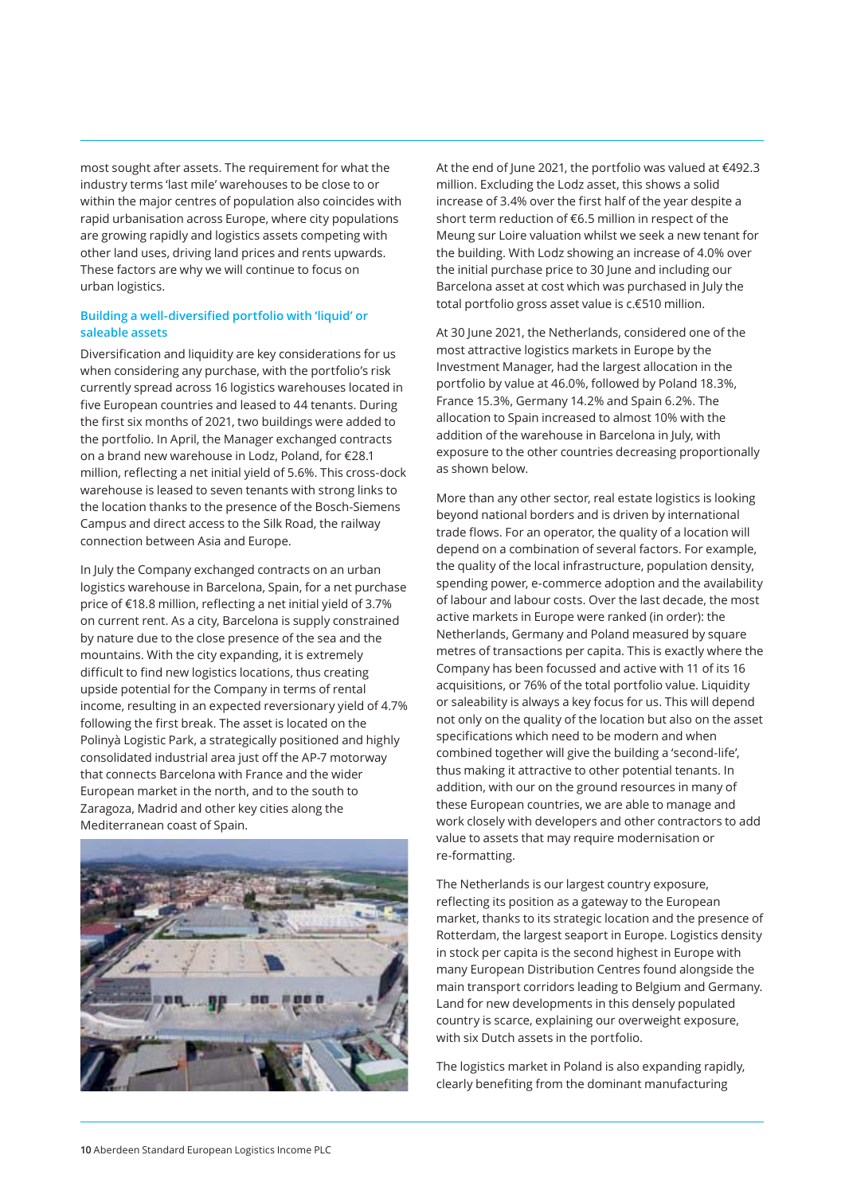most sought after assets. The requirement for what the industry terms 'last mile' warehouses to be close to or within the major centres of population also coincides with rapid urbanisation across Europe, where city populations are growing rapidly and logistics assets competing with other land uses, driving land prices and rents upwards. These factors are why we will continue to focus on urban logistics.

# **Building a well-diversified portfolio with 'liquid' or saleable assets**

Diversification and liquidity are key considerations for us when considering any purchase, with the portfolio's risk currently spread across 16 logistics warehouses located in five European countries and leased to 44 tenants. During the first six months of 2021, two buildings were added to the portfolio. In April, the Manager exchanged contracts on a brand new warehouse in Lodz, Poland, for €28.1 million, reflecting a net initial yield of 5.6%. This cross-dock warehouse is leased to seven tenants with strong links to the location thanks to the presence of the Bosch-Siemens Campus and direct access to the Silk Road, the railway connection between Asia and Europe.

In July the Company exchanged contracts on an urban logistics warehouse in Barcelona, Spain, for a net purchase price of €18.8 million, reflecting a net initial yield of 3.7% on current rent. As a city, Barcelona is supply constrained by nature due to the close presence of the sea and the mountains. With the city expanding, it is extremely difficult to find new logistics locations, thus creating upside potential for the Company in terms of rental income, resulting in an expected reversionary yield of 4.7% following the first break. The asset is located on the Polinyà Logistic Park, a strategically positioned and highly consolidated industrial area just off the AP-7 motorway that connects Barcelona with France and the wider European market in the north, and to the south to Zaragoza, Madrid and other key cities along the Mediterranean coast of Spain.



At the end of June 2021, the portfolio was valued at  $€492.3$ million. Excluding the Lodz asset, this shows a solid increase of 3.4% over the first half of the year despite a short term reduction of €6.5 million in respect of the Meung sur Loire valuation whilst we seek a new tenant for the building. With Lodz showing an increase of 4.0% over the initial purchase price to 30 June and including our Barcelona asset at cost which was purchased in July the total portfolio gross asset value is c.€510 million.

At 30 June 2021, the Netherlands, considered one of the most attractive logistics markets in Europe by the Investment Manager, had the largest allocation in the portfolio by value at 46.0%, followed by Poland 18.3%, France 15.3%, Germany 14.2% and Spain 6.2%. The allocation to Spain increased to almost 10% with the addition of the warehouse in Barcelona in July, with exposure to the other countries decreasing proportionally as shown below.

More than any other sector, real estate logistics is looking beyond national borders and is driven by international trade flows. For an operator, the quality of a location will depend on a combination of several factors. For example, the quality of the local infrastructure, population density, spending power, e-commerce adoption and the availability of labour and labour costs. Over the last decade, the most active markets in Europe were ranked (in order): the Netherlands, Germany and Poland measured by square metres of transactions per capita. This is exactly where the Company has been focussed and active with 11 of its 16 acquisitions, or 76% of the total portfolio value. Liquidity or saleability is always a key focus for us. This will depend not only on the quality of the location but also on the asset specifications which need to be modern and when combined together will give the building a 'second-life', thus making it attractive to other potential tenants. In addition, with our on the ground resources in many of these European countries, we are able to manage and work closely with developers and other contractors to add value to assets that may require modernisation or re-formatting.

The Netherlands is our largest country exposure, reflecting its position as a gateway to the European market, thanks to its strategic location and the presence of Rotterdam, the largest seaport in Europe. Logistics density in stock per capita is the second highest in Europe with many European Distribution Centres found alongside the main transport corridors leading to Belgium and Germany. Land for new developments in this densely populated country is scarce, explaining our overweight exposure, with six Dutch assets in the portfolio.

The logistics market in Poland is also expanding rapidly. clearly benefiting from the dominant manufacturing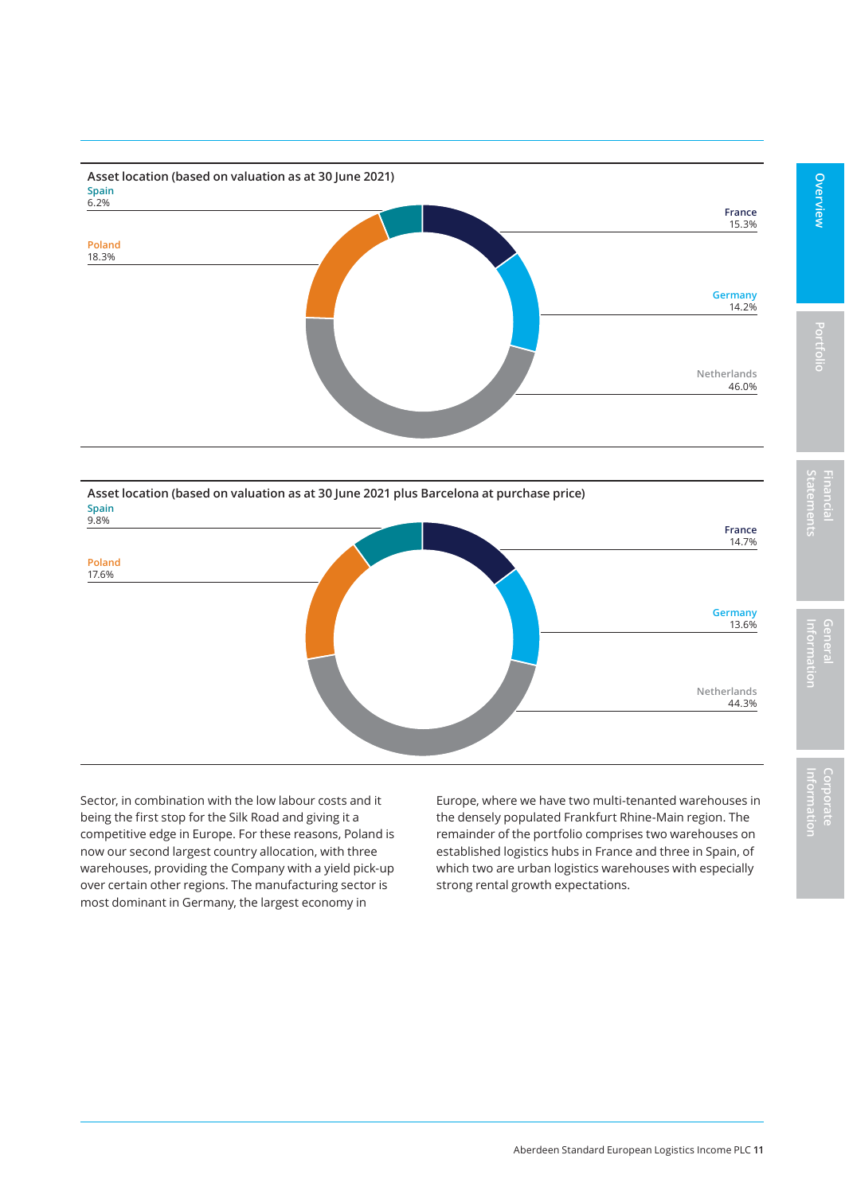



Sector, in combination with the low labour costs and it being the first stop for the Silk Road and giving it a competitive edge in Europe. For these reasons, Poland is now our second largest country allocation, with three warehouses, providing the Company with a yield pick-up over certain other regions. The manufacturing sector is most dominant in Germany, the largest economy in

Europe, where we have two multi-tenanted warehouses in the densely populated Frankfurt Rhine-Main region. The remainder of the portfolio comprises two warehouses on established logistics hubs in France and three in Spain, of which two are urban logistics warehouses with especially strong rental growth expectations.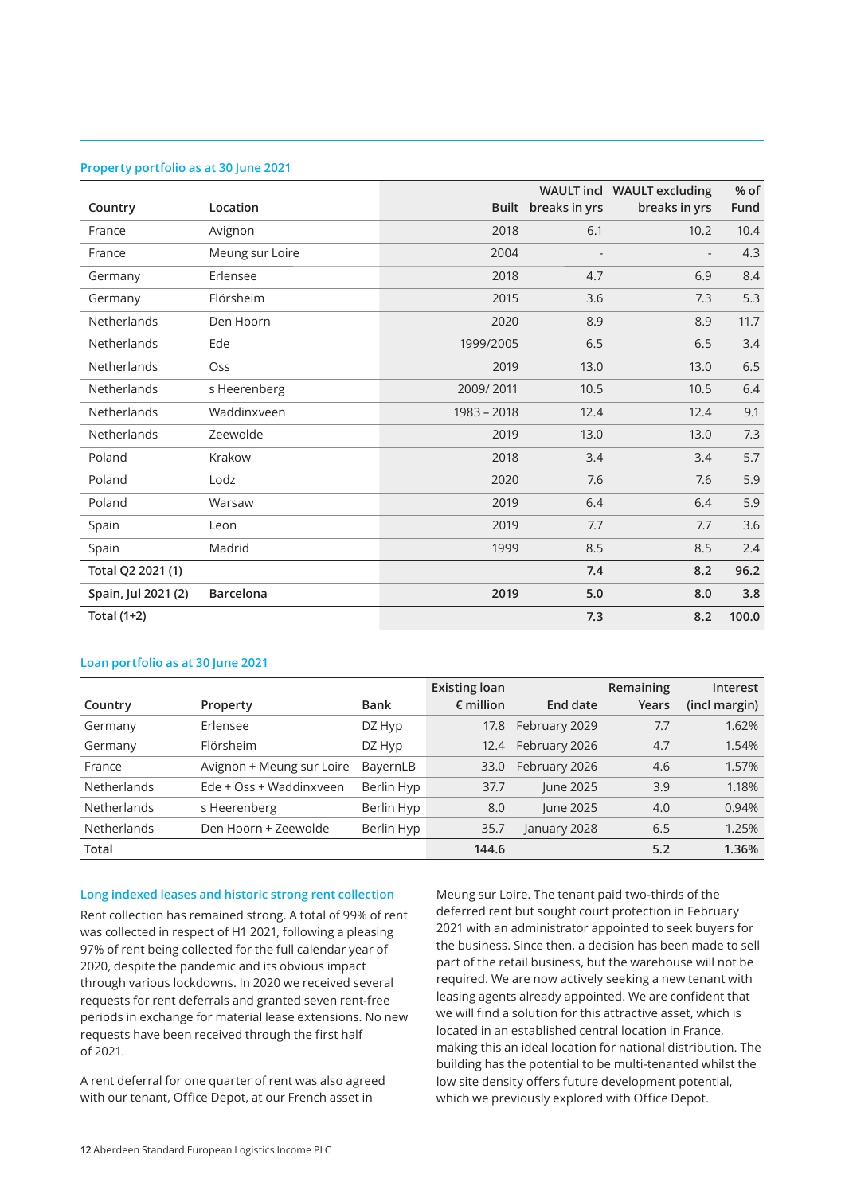## **Property portfolio as at 30 June 2021**

|                     |                 |               |               | WAULT incl WAULT excluding | % of  |
|---------------------|-----------------|---------------|---------------|----------------------------|-------|
| Country             | Location        | Built         | breaks in yrs | breaks in yrs              | Fund  |
| France              | Avignon         | 2018          | 6.1           | 10.2                       | 10.4  |
| France              | Meung sur Loire | 2004          |               |                            | 4.3   |
| Germany             | Erlensee        | 2018          | 4.7           | 6.9                        | 8.4   |
| Germany             | Flörsheim       | 2015          | 3.6           | 7.3                        | 5.3   |
| Netherlands         | Den Hoorn       | 2020          | 8.9           | 8.9                        | 11.7  |
| Netherlands         | Ede             | 1999/2005     | 6.5           | 6.5                        | 3.4   |
| Netherlands         | Oss             | 2019          | 13.0          | 13.0                       | 6.5   |
| Netherlands         | s Heerenberg    | 2009/2011     | 10.5          | 10.5                       | 6.4   |
| Netherlands         | Waddinxveen     | $1983 - 2018$ | 12.4          | 12.4                       | 9.1   |
| Netherlands         | Zeewolde        | 2019          | 13.0          | 13.0                       | 7.3   |
| Poland              | Krakow          | 2018          | 3.4           | 3.4                        | 5.7   |
| Poland              | Lodz            | 2020          | 7.6           | 7.6                        | 5.9   |
| Poland              | Warsaw          | 2019          | 6.4           | 6.4                        | 5.9   |
| Spain               | Leon            | 2019          | 7.7           | 7.7                        | 3.6   |
| Spain               | Madrid          | 1999          | 8.5           | 8.5                        | 2.4   |
| Total Q2 2021 (1)   |                 |               | 7.4           | 8.2                        | 96.2  |
| Spain, Jul 2021 (2) | Barcelona       | 2019          | 5.0           | 8.0                        | 3.8   |
| Total (1+2)         |                 |               | 7.3           | 8.2                        | 100.0 |

# **Loan portfolio as at 30 June 2021**

|                    |                           |            | <b>Existing loan</b> |               | Remaining | Interest      |
|--------------------|---------------------------|------------|----------------------|---------------|-----------|---------------|
| Country            | Property                  | Bank       | $\epsilon$ million   | End date      | Years     | (incl margin) |
| Germany            | Erlensee                  | DZ Hyp     | 17.8                 | February 2029 | 7.7       | 1.62%         |
| Germany            | Flörsheim                 | DZ Hyp     | 12.4                 | February 2026 | 4.7       | 1.54%         |
| France             | Avignon + Meung sur Loire | BayernLB   | 33.0                 | February 2026 | 4.6       | 1.57%         |
| <b>Netherlands</b> | Ede + Oss + Waddinxveen   | Berlin Hyp | 37.7                 | June 2025     | 3.9       | 1.18%         |
| <b>Netherlands</b> | s Heerenberg              | Berlin Hyp | 8.0                  | June 2025     | 4.0       | 0.94%         |
| <b>Netherlands</b> | Den Hoorn + Zeewolde      | Berlin Hyp | 35.7                 | January 2028  | 6.5       | 1.25%         |
| Total              |                           |            | 144.6                |               | 5.2       | 1.36%         |

### **Long indexed leases and historic strong rent collection**

Rent collection has remained strong. A total of 99% of rent was collected in respect of H1 2021, following a pleasing 97% of rent being collected for the full calendar year of 2020, despite the pandemic and its obvious impact through various lockdowns. In 2020 we received several requests for rent deferrals and granted seven rent-free periods in exchange for material lease extensions. No new requests have been received through the first half of 2021.

A rent deferral for one quarter of rent was also agreed with our tenant, Office Depot, at our French asset in

Meung sur Loire. The tenant paid two-thirds of the deferred rent but sought court protection in February 2021 with an administrator appointed to seek buyers for the business. Since then, a decision has been made to sell part of the retail business, but the warehouse will not be required. We are now actively seeking a new tenant with leasing agents already appointed. We are confident that we will find a solution for this attractive asset, which is located in an established central location in France, making this an ideal location for national distribution. The building has the potential to be multi-tenanted whilst the low site density offers future development potential, which we previously explored with Office Depot.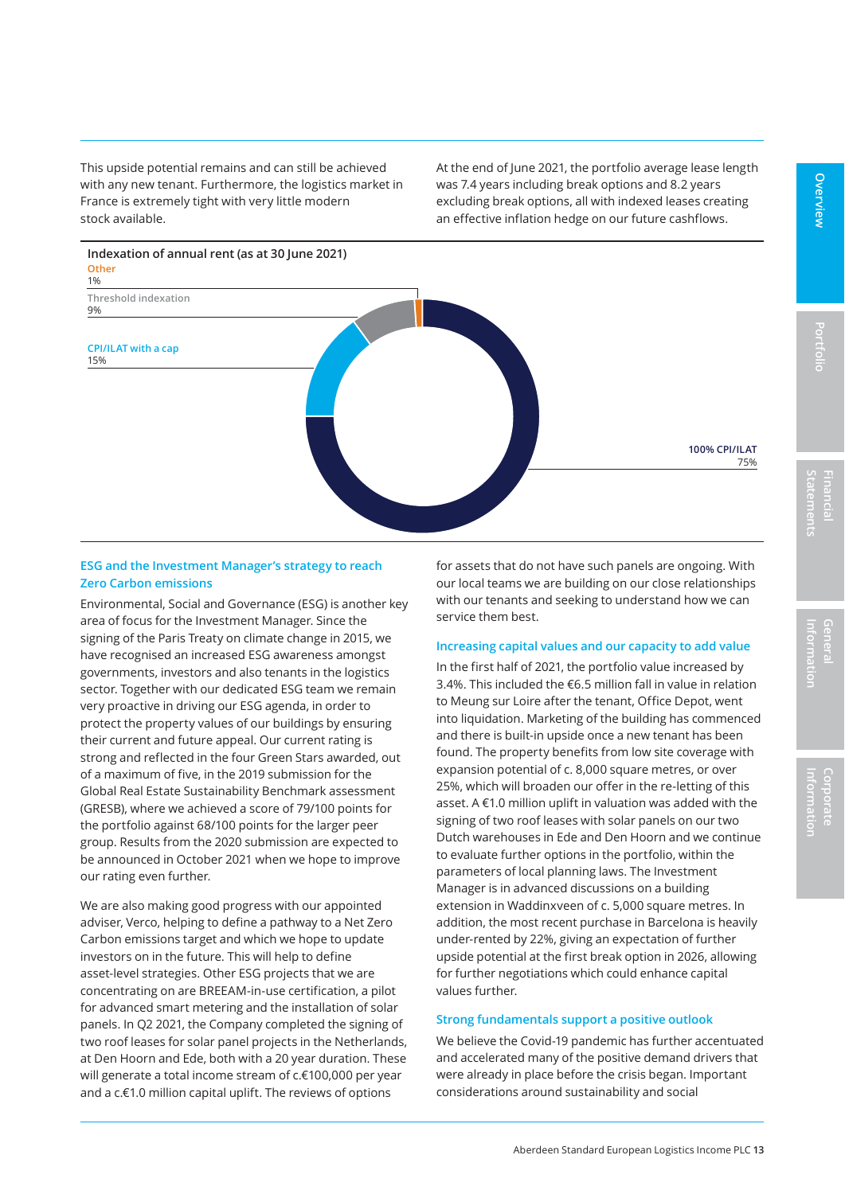This upside potential remains and can still be achieved with any new tenant. Furthermore, the logistics market in France is extremely tight with very little modern stock available.

At the end of June 2021, the portfolio average lease length was 7.4 years including break options and 8.2 years excluding break options, all with indexed leases creating an effective inflation hedge on our future cashflows.



# **ESG and the Investment Manager's strategy to reach Zero Carbon emissions**

Environmental, Social and Governance (ESG) is another key area of focus for the Investment Manager. Since the signing of the Paris Treaty on climate change in 2015, we have recognised an increased ESG awareness amongst governments, investors and also tenants in the logistics sector. Together with our dedicated ESG team we remain very proactive in driving our ESG agenda, in order to protect the property values of our buildings by ensuring their current and future appeal. Our current rating is strong and reflected in the four Green Stars awarded, out of a maximum of five, in the 2019 submission for the Global Real Estate Sustainability Benchmark assessment (GRESB), where we achieved a score of 79/100 points for the portfolio against 68/100 points for the larger peer group. Results from the 2020 submission are expected to be announced in October 2021 when we hope to improve our rating even further.

We are also making good progress with our appointed adviser, Verco, helping to define a pathway to a Net Zero Carbon emissions target and which we hope to update investors on in the future. This will help to define asset-level strategies. Other ESG projects that we are concentrating on are BREEAM-in-use certification, a pilot for advanced smart metering and the installation of solar panels. In Q2 2021, the Company completed the signing of two roof leases for solar panel projects in the Netherlands, at Den Hoorn and Ede, both with a 20 year duration. These will generate a total income stream of c.€100,000 per year and a  $c.\epsilon$ 1.0 million capital uplift. The reviews of options

for assets that do not have such panels are ongoing. With our local teams we are building on our close relationships with our tenants and seeking to understand how we can service them best.

# **Increasing capital values and our capacity to add value**

In the first half of 2021, the portfolio value increased by 3.4%. This included the  $€6.5$  million fall in value in relation to Meung sur Loire after the tenant, Office Depot, went into liquidation. Marketing of the building has commenced and there is built-in upside once a new tenant has been found. The property benefits from low site coverage with expansion potential of c. 8,000 square metres, or over 25%, which will broaden our offer in the re-letting of this asset. A  $€1.0$  million uplift in valuation was added with the signing of two roof leases with solar panels on our two Dutch warehouses in Ede and Den Hoorn and we continue to evaluate further options in the portfolio, within the parameters of local planning laws. The Investment Manager is in advanced discussions on a building extension in Waddinxveen of c. 5,000 square metres. In addition, the most recent purchase in Barcelona is heavily under-rented by 22%, giving an expectation of further upside potential at the first break option in 2026, allowing for further negotiations which could enhance capital values further.

# **Strong fundamentals support a positive outlook**

We believe the Covid-19 pandemic has further accentuated and accelerated many of the positive demand drivers that were already in place before the crisis began. Important considerations around sustainability and social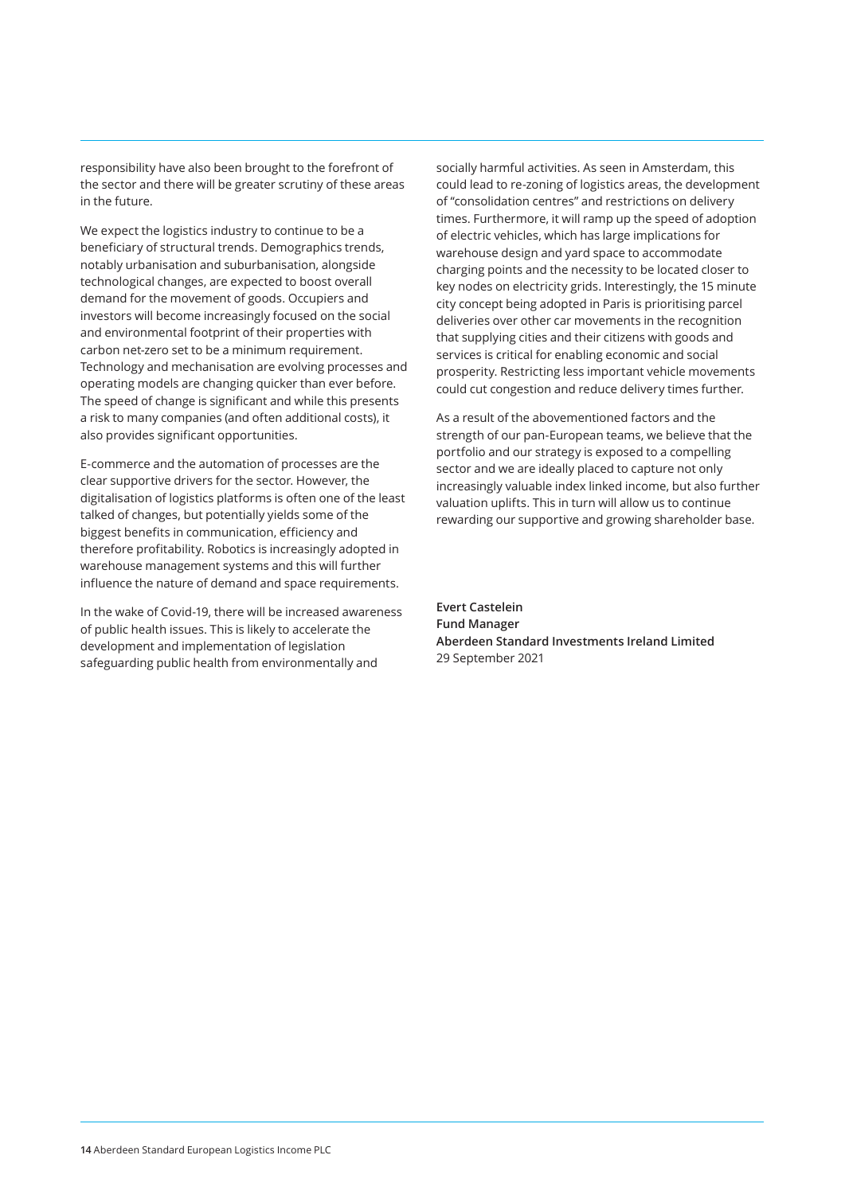responsibility have also been brought to the forefront of the sector and there will be greater scrutiny of these areas in the future.

We expect the logistics industry to continue to be a beneficiary of structural trends. Demographics trends, notably urbanisation and suburbanisation, alongside technological changes, are expected to boost overall demand for the movement of goods. Occupiers and investors will become increasingly focused on the social and environmental footprint of their properties with carbon net-zero set to be a minimum requirement. Technology and mechanisation are evolving processes and operating models are changing quicker than ever before. The speed of change is significant and while this presents a risk to many companies (and often additional costs), it also provides significant opportunities.

E-commerce and the automation of processes are the clear supportive drivers for the sector. However, the digitalisation of logistics platforms is often one of the least talked of changes, but potentially yields some of the biggest benefits in communication, efficiency and therefore profitability. Robotics is increasingly adopted in warehouse management systems and this will further influence the nature of demand and space requirements.

In the wake of Covid-19, there will be increased awareness of public health issues. This is likely to accelerate the development and implementation of legislation safeguarding public health from environmentally and

socially harmful activities. As seen in Amsterdam, this could lead to re-zoning of logistics areas, the development of "consolidation centres" and restrictions on delivery times. Furthermore, it will ramp up the speed of adoption of electric vehicles, which has large implications for warehouse design and yard space to accommodate charging points and the necessity to be located closer to key nodes on electricity grids. Interestingly, the 15 minute city concept being adopted in Paris is prioritising parcel deliveries over other car movements in the recognition that supplying cities and their citizens with goods and services is critical for enabling economic and social prosperity. Restricting less important vehicle movements could cut congestion and reduce delivery times further.

As a result of the abovementioned factors and the strength of our pan-European teams, we believe that the portfolio and our strategy is exposed to a compelling sector and we are ideally placed to capture not only increasingly valuable index linked income, but also further valuation uplifts. This in turn will allow us to continue rewarding our supportive and growing shareholder base.

**Evert Castelein Fund Manager Aberdeen Standard Investments Ireland Limited**  29 September 2021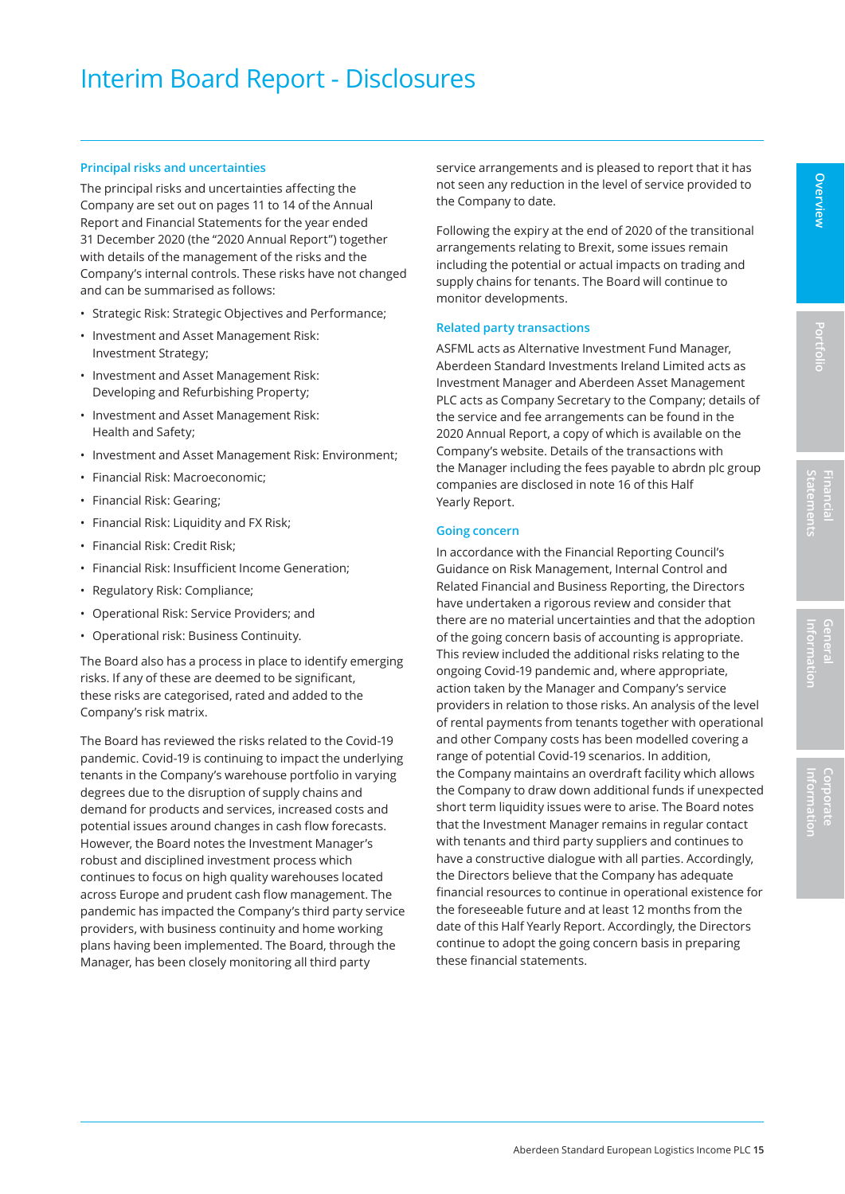# **Principal risks and uncertainties**

The principal risks and uncertainties affecting the Company are set out on pages 11 to 14 of the Annual Report and Financial Statements for the year ended 31 December 2020 (the "2020 Annual Report") together with details of the management of the risks and the Company's internal controls. These risks have not changed and can be summarised as follows:

- Strategic Risk: Strategic Objectives and Performance;
- Investment and Asset Management Risk: Investment Strategy;
- Investment and Asset Management Risk: Developing and Refurbishing Property;
- Investment and Asset Management Risk: Health and Safety;
- Investment and Asset Management Risk: Environment;
- Financial Risk: Macroeconomic:
- Financial Risk: Gearing;
- Financial Risk: Liquidity and FX Risk;
- Financial Risk: Credit Risk;
- Financial Risk: Insufficient Income Generation;
- Regulatory Risk: Compliance;
- Operational Risk: Service Providers; and
- Operational risk: Business Continuity.

The Board also has a process in place to identify emerging risks. If any of these are deemed to be significant, these risks are categorised, rated and added to the Company's risk matrix.

The Board has reviewed the risks related to the Covid-19 pandemic. Covid-19 is continuing to impact the underlying tenants in the Company's warehouse portfolio in varying degrees due to the disruption of supply chains and demand for products and services, increased costs and potential issues around changes in cash flow forecasts. However, the Board notes the Investment Manager's robust and disciplined investment process which continues to focus on high quality warehouses located across Europe and prudent cash flow management. The pandemic has impacted the Company's third party service providers, with business continuity and home working plans having been implemented. The Board, through the Manager, has been closely monitoring all third party

service arrangements and is pleased to report that it has not seen any reduction in the level of service provided to the Company to date.

Following the expiry at the end of 2020 of the transitional arrangements relating to Brexit, some issues remain including the potential or actual impacts on trading and supply chains for tenants. The Board will continue to monitor developments.

#### **Related party transactions**

ASFML acts as Alternative Investment Fund Manager, Aberdeen Standard Investments Ireland Limited acts as Investment Manager and Aberdeen Asset Management PLC acts as Company Secretary to the Company; details of the service and fee arrangements can be found in the 2020 Annual Report, a copy of which is available on the Company's website. Details of the transactions with the Manager including the fees payable to abrdn plc group companies are disclosed in note 16 of this Half Yearly Report.

#### **Going concern**

In accordance with the Financial Reporting Council's Guidance on Risk Management, Internal Control and Related Financial and Business Reporting, the Directors have undertaken a rigorous review and consider that there are no material uncertainties and that the adoption of the going concern basis of accounting is appropriate. This review included the additional risks relating to the ongoing Covid-19 pandemic and, where appropriate, action taken by the Manager and Company's service providers in relation to those risks. An analysis of the level of rental payments from tenants together with operational and other Company costs has been modelled covering a range of potential Covid-19 scenarios. In addition, the Company maintains an overdraft facility which allows the Company to draw down additional funds if unexpected short term liquidity issues were to arise. The Board notes that the Investment Manager remains in regular contact with tenants and third party suppliers and continues to have a constructive dialogue with all parties. Accordingly, the Directors believe that the Company has adequate financial resources to continue in operational existence for the foreseeable future and at least 12 months from the date of this Half Yearly Report. Accordingly, the Directors continue to adopt the going concern basis in preparing these financial statements.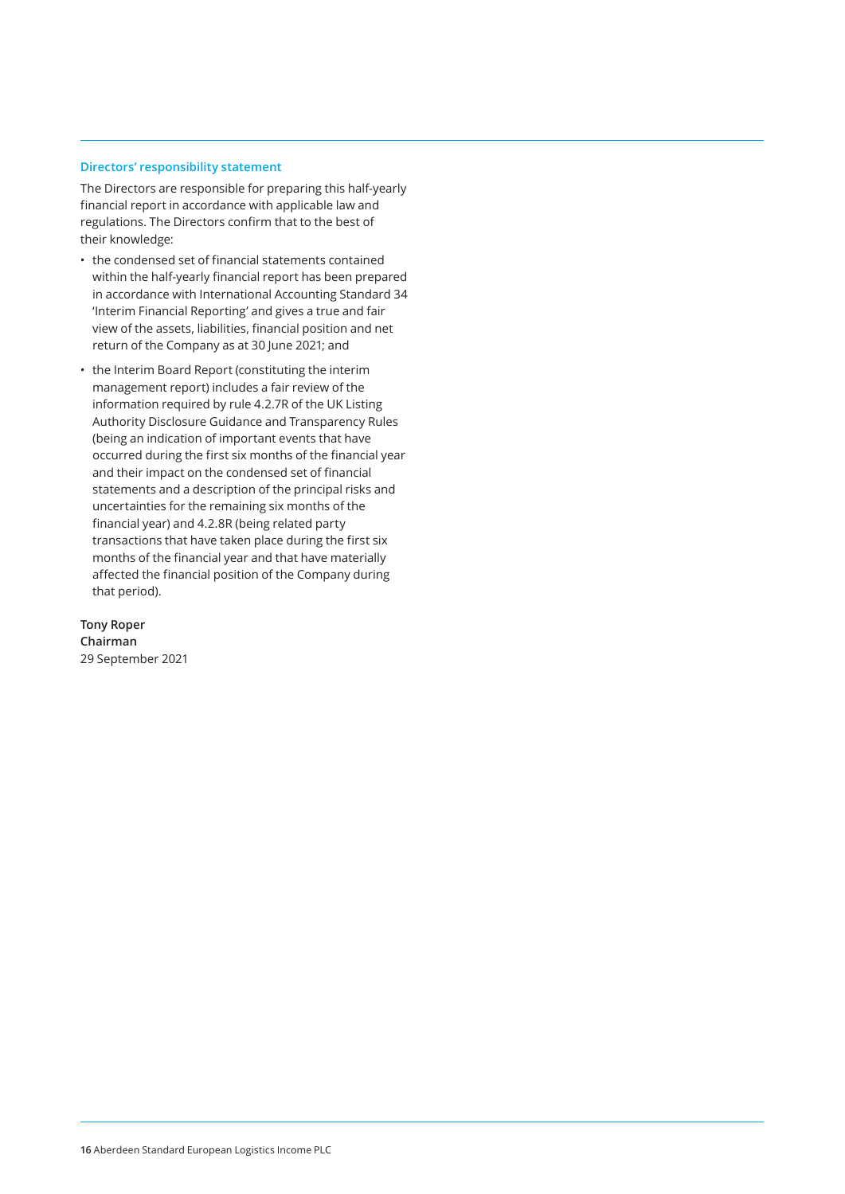# **Directors' responsibility statement**

The Directors are responsible for preparing this half-yearly financial report in accordance with applicable law and regulations. The Directors confirm that to the best of their knowledge:

- the condensed set of financial statements contained within the half-yearly financial report has been prepared in accordance with International Accounting Standard 34 'Interim Financial Reporting' and gives a true and fair view of the assets, liabilities, financial position and net return of the Company as at 30 June 2021; and
- the Interim Board Report (constituting the interim management report) includes a fair review of the information required by rule 4.2.7R of the UK Listing Authority Disclosure Guidance and Transparency Rules (being an indication of important events that have occurred during the first six months of the financial year and their impact on the condensed set of financial statements and a description of the principal risks and uncertainties for the remaining six months of the financial year) and 4.2.8R (being related party transactions that have taken place during the first six months of the financial year and that have materially affected the financial position of the Company during that period).

**Tony Roper Chairman** 29 September 2021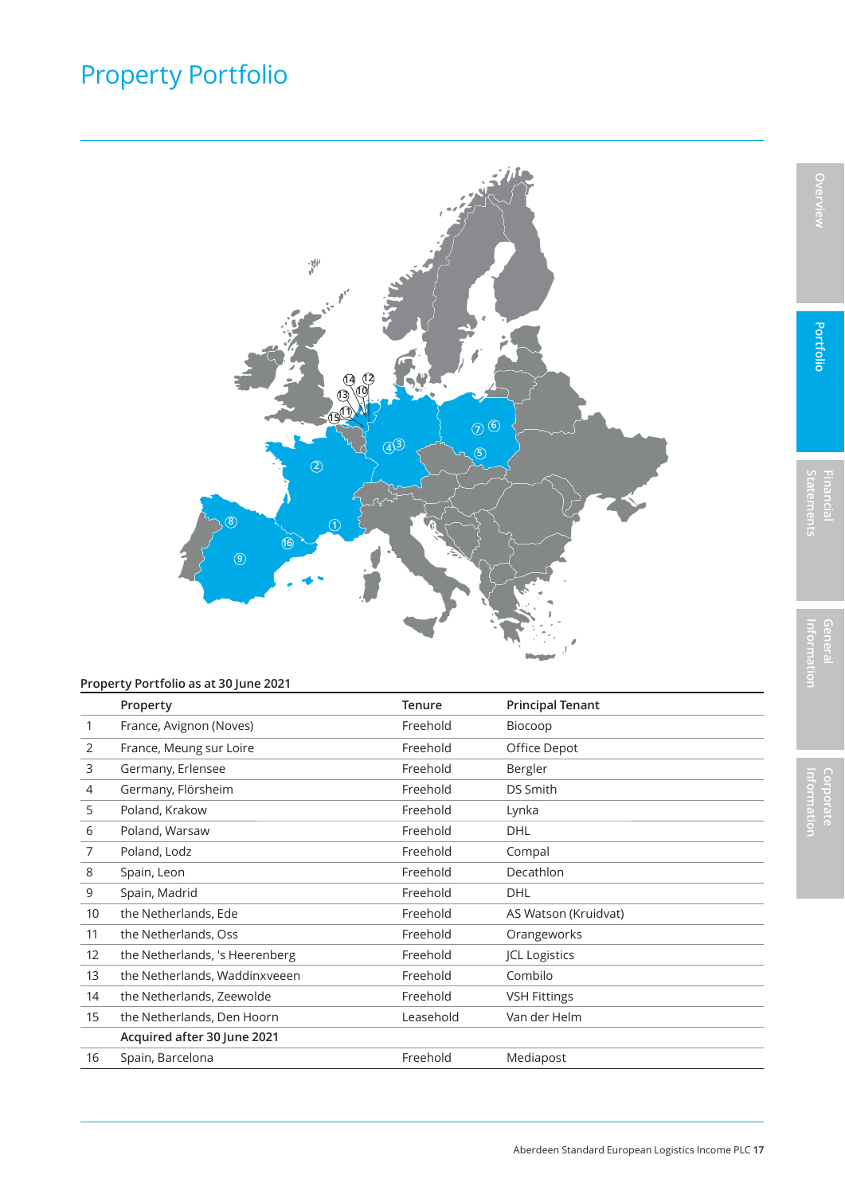# Property Portfolio



# **Property Portfolio as at 30 June 2021**

|              | Property                       | <b>Tenure</b> | <b>Principal Tenant</b> |
|--------------|--------------------------------|---------------|-------------------------|
| $\mathbf{1}$ | France, Avignon (Noves)        | Freehold      | Biocoop                 |
| 2            | France, Meung sur Loire        | Freehold      | Office Depot            |
| 3            | Germany, Erlensee              | Freehold      | Bergler                 |
| 4            | Germany, Flörsheim             | Freehold      | DS Smith                |
| 5            | Poland, Krakow                 | Freehold      | Lynka                   |
| 6            | Poland, Warsaw                 | Freehold      | <b>DHL</b>              |
| 7            | Poland, Lodz                   | Freehold      | Compal                  |
| 8            | Spain, Leon                    | Freehold      | Decathlon               |
| 9            | Spain, Madrid                  | Freehold      | <b>DHL</b>              |
| 10           | the Netherlands, Ede           | Freehold      | AS Watson (Kruidvat)    |
| 11           | the Netherlands, Oss           | Freehold      | Orangeworks             |
| 12           | the Netherlands, 's Heerenberg | Freehold      | <b>ICL Logistics</b>    |
| 13           | the Netherlands, Waddinxveeen  | Freehold      | Combilo                 |
| 14           | the Netherlands, Zeewolde      | Freehold      | <b>VSH Fittings</b>     |
| 15           | the Netherlands, Den Hoorn     | Leasehold     | Van der Helm            |
|              | Acquired after 30 June 2021    |               |                         |
| 16           | Spain, Barcelona               | Freehold      | Mediapost               |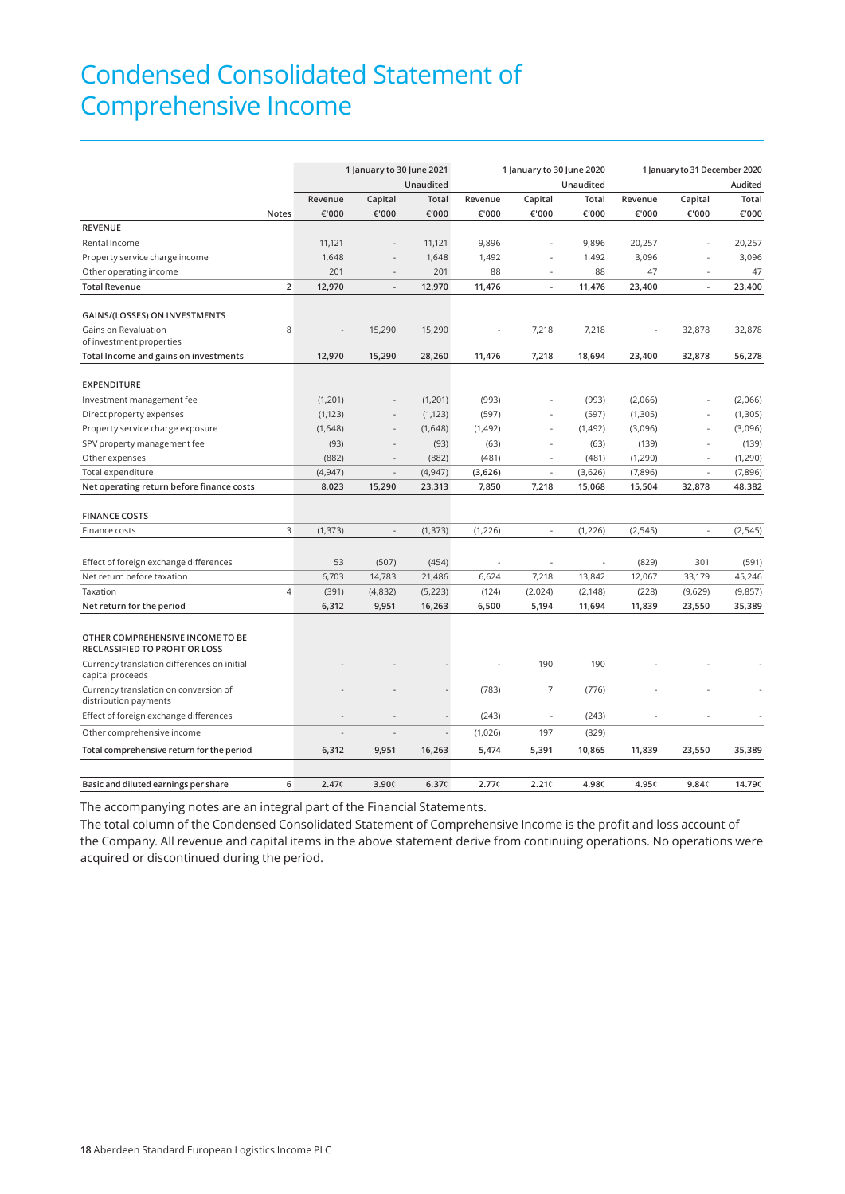# Condensed Consolidated Statement of Comprehensive Income

|                                                                    |                |          | 1 January to 30 June 2021 |                          |          | 1 January to 30 June 2020 |                          |                 | 1 January to 31 December 2020 |                   |
|--------------------------------------------------------------------|----------------|----------|---------------------------|--------------------------|----------|---------------------------|--------------------------|-----------------|-------------------------------|-------------------|
|                                                                    |                |          |                           | Unaudited                |          |                           | Unaudited                |                 |                               | Audited           |
|                                                                    |                | Revenue  | Capital                   | <b>Total</b>             | Revenue  | Capital                   | Total                    | Revenue         | Capital                       | Total             |
|                                                                    | Notes          | €'000    | €'000                     | €'000                    | €'000    | €'000                     | €'000                    | €'000           | €'000                         | €'000             |
| <b>REVENUE</b>                                                     |                |          |                           |                          |          |                           |                          |                 |                               |                   |
| Rental Income                                                      |                | 11,121   | $\overline{\phantom{a}}$  | 11,121                   | 9,896    | $\sim$                    | 9,896                    | 20,257          | ÷,                            | 20,257            |
| Property service charge income                                     |                | 1,648    | $\overline{\phantom{a}}$  | 1,648                    | 1,492    |                           | 1,492                    | 3,096           |                               | 3,096             |
| Other operating income                                             |                | 201      | $\overline{\phantom{a}}$  | 201                      | 88       | ÷,                        | 88                       | 47              |                               | 47                |
| <b>Total Revenue</b>                                               | $\overline{2}$ | 12,970   | $\overline{\phantom{a}}$  | 12,970                   | 11,476   | ä,                        | 11,476                   | 23,400          | $\overline{\phantom{a}}$      | 23,400            |
| GAINS/(LOSSES) ON INVESTMENTS                                      |                |          |                           |                          |          |                           |                          |                 |                               |                   |
| Gains on Revaluation<br>of investment properties                   | 8              |          | 15,290                    | 15,290                   |          | 7,218                     | 7,218                    |                 | 32,878                        | 32,878            |
| Total Income and gains on investments                              |                | 12,970   | 15,290                    | 28,260                   | 11,476   | 7,218                     | 18,694                   | 23,400          | 32,878                        | 56,278            |
| <b>EXPENDITURE</b>                                                 |                |          |                           |                          |          |                           |                          |                 |                               |                   |
| Investment management fee                                          |                | (1, 201) |                           | (1, 201)                 | (993)    |                           | (993)                    | (2,066)         |                               | (2,066)           |
| Direct property expenses                                           |                | (1, 123) | $\overline{\phantom{a}}$  | (1, 123)                 | (597)    | $\overline{a}$            | (597)                    | (1, 305)        | ä,                            | (1, 305)          |
| Property service charge exposure                                   |                | (1,648)  | $\overline{\phantom{a}}$  | (1,648)                  | (1, 492) | $\sim$                    | (1, 492)                 | (3,096)         | $\bar{a}$                     | (3,096)           |
| SPV property management fee                                        |                | (93)     | $\overline{\phantom{a}}$  | (93)                     | (63)     | $\sim$                    | (63)                     | (139)           | ÷,                            | (139)             |
| Other expenses                                                     |                | (882)    | $\overline{\phantom{a}}$  | (882)                    | (481)    | $\sim$                    | (481)                    | (1,290)         | ÷,                            | (1, 290)          |
| Total expenditure                                                  |                | (4, 947) | $\overline{\phantom{a}}$  | (4, 947)                 | (3,626)  | $\bar{a}$                 | (3,626)                  | (7,896)         | $\bar{a}$                     | (7,896)           |
| Net operating return before finance costs                          |                | 8,023    | 15,290                    | 23,313                   | 7,850    | 7,218                     | 15,068                   | 15,504          | 32,878                        | 48,382            |
|                                                                    |                |          |                           |                          |          |                           |                          |                 |                               |                   |
| <b>FINANCE COSTS</b>                                               |                |          |                           |                          |          |                           |                          |                 |                               |                   |
| Finance costs                                                      | 3              | (1, 373) | $\overline{\phantom{a}}$  | (1, 373)                 | (1, 226) | $\overline{\phantom{a}}$  | (1, 226)                 | (2, 545)        | $\blacksquare$                | (2, 545)          |
| Effect of foreign exchange differences                             |                | 53       | (507)                     | (454)                    | $\sim$   | $\overline{\phantom{a}}$  | $\overline{\phantom{a}}$ | (829)           | 301                           | (591)             |
| Net return before taxation                                         |                | 6,703    | 14,783                    | 21,486                   | 6,624    | 7,218                     | 13,842                   |                 |                               |                   |
| Taxation                                                           | $\overline{4}$ | (391)    | (4,832)                   | (5, 223)                 | (124)    | (2,024)                   | (2, 148)                 | 12,067<br>(228) | 33,179<br>(9,629)             | 45,246<br>(9,857) |
| Net return for the period                                          |                | 6,312    | 9,951                     | 16,263                   | 6,500    | 5,194                     | 11,694                   | 11,839          | 23,550                        | 35,389            |
|                                                                    |                |          |                           |                          |          |                           |                          |                 |                               |                   |
| OTHER COMPREHENSIVE INCOME TO BE<br>RECLASSIFIED TO PROFIT OR LOSS |                |          |                           |                          |          |                           |                          |                 |                               |                   |
| Currency translation differences on initial<br>capital proceeds    |                |          |                           |                          |          | 190                       | 190                      |                 |                               |                   |
| Currency translation on conversion of<br>distribution payments     |                |          |                           |                          | (783)    | $\overline{7}$            | (776)                    |                 |                               |                   |
| Effect of foreign exchange differences                             |                |          |                           |                          | (243)    |                           | (243)                    |                 |                               |                   |
| Other comprehensive income                                         |                |          |                           | $\overline{\phantom{a}}$ | (1,026)  | 197                       | (829)                    |                 |                               |                   |
| Total comprehensive return for the period                          |                | 6,312    | 9,951                     | 16,263                   | 5,474    | 5,391                     | 10,865                   | 11,839          | 23,550                        | 35,389            |
|                                                                    |                |          |                           |                          |          |                           |                          |                 |                               |                   |
| Basic and diluted earnings per share                               | 6              | 2.47c    | 3.90¢                     | 6.37¢                    | 2.77c    | 2.21c                     | 4.98¢                    | 4.95¢           | 9.84¢                         | 14.79¢            |

The accompanying notes are an integral part of the Financial Statements.

The total column of the Condensed Consolidated Statement of Comprehensive Income is the profit and loss account of the Company. All revenue and capital items in the above statement derive from continuing operations. No operations were acquired or discontinued during the period.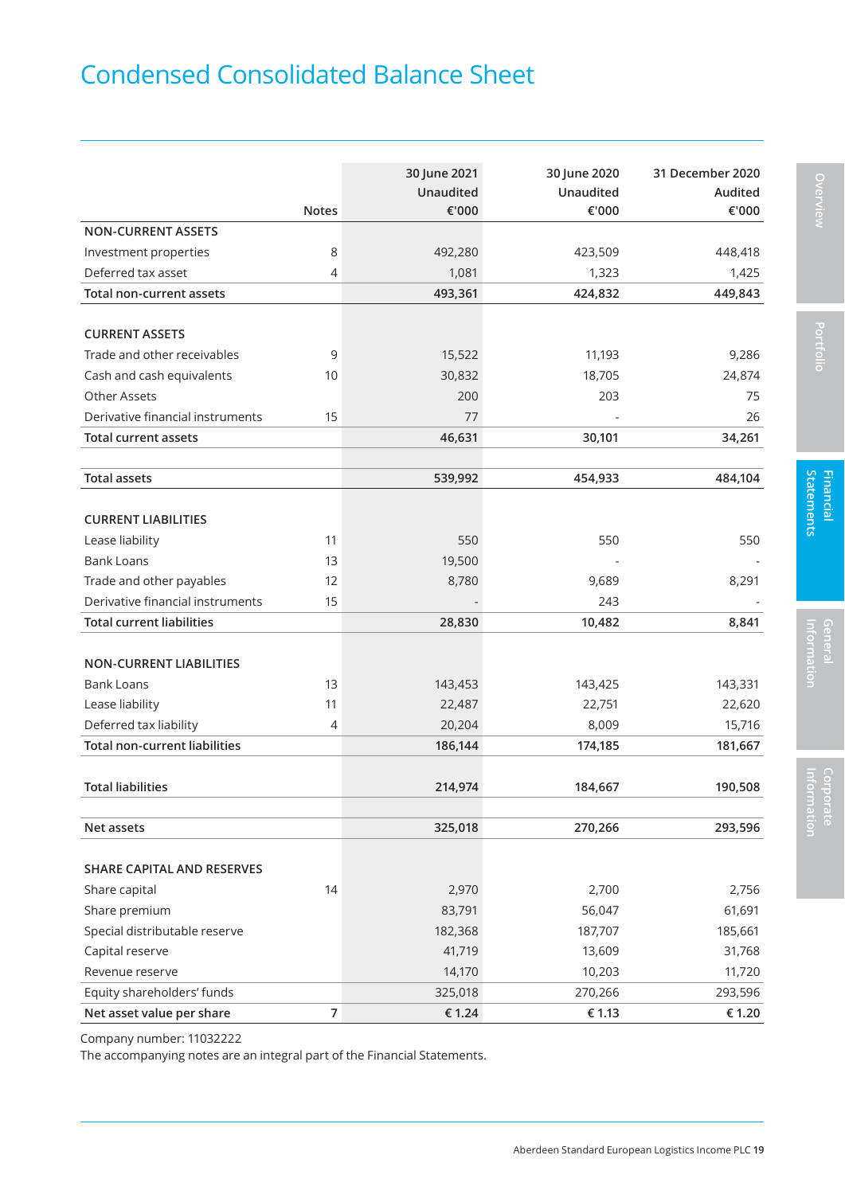# Condensed Consolidated Balance Sheet

|                                      |              | 30 June 2021<br>Unaudited | 30 June 2020       | 31 December 2020 |
|--------------------------------------|--------------|---------------------------|--------------------|------------------|
|                                      | <b>Notes</b> | €'000                     | Unaudited<br>€'000 | Audited<br>€'000 |
| <b>NON-CURRENT ASSETS</b>            |              |                           |                    |                  |
| Investment properties                | 8            | 492,280                   | 423,509            | 448,418          |
| Deferred tax asset                   | 4            | 1,081                     | 1,323              | 1,425            |
| Total non-current assets             |              | 493,361                   | 424,832            | 449,843          |
|                                      |              |                           |                    |                  |
| <b>CURRENT ASSETS</b>                |              |                           |                    |                  |
| Trade and other receivables          | 9            | 15,522                    | 11,193             | 9,286            |
| Cash and cash equivalents            | 10           | 30,832                    | 18,705             | 24,874           |
| Other Assets                         |              | 200                       | 203                | 75               |
| Derivative financial instruments     | 15           | 77                        |                    | 26               |
| <b>Total current assets</b>          |              | 46,631                    | 30,101             | 34,261           |
|                                      |              |                           |                    |                  |
| <b>Total assets</b>                  |              | 539,992                   | 454,933            | 484,104          |
|                                      |              |                           |                    |                  |
| <b>CURRENT LIABILITIES</b>           |              |                           |                    |                  |
| Lease liability                      | 11           | 550                       | 550                | 550              |
| <b>Bank Loans</b>                    | 13           | 19,500                    |                    |                  |
| Trade and other payables             | 12           | 8,780                     | 9,689              | 8,291            |
| Derivative financial instruments     | 15           |                           | 243                |                  |
| <b>Total current liabilities</b>     |              | 28,830                    | 10,482             | 8,841            |
|                                      |              |                           |                    |                  |
| <b>NON-CURRENT LIABILITIES</b>       |              |                           |                    |                  |
| <b>Bank Loans</b>                    | 13           | 143,453                   | 143,425            | 143,331          |
| Lease liability                      | 11           | 22,487                    | 22,751             | 22,620           |
| Deferred tax liability               | 4            | 20,204                    | 8,009              | 15,716           |
| <b>Total non-current liabilities</b> |              | 186,144                   | 174,185            | 181,667          |
|                                      |              |                           |                    |                  |
| <b>Total liabilities</b>             |              | 214,974                   | 184,667            | 190,508          |
|                                      |              |                           |                    |                  |
| Net assets                           |              | 325,018                   | 270,266            | 293,596          |
|                                      |              |                           |                    |                  |
| SHARE CAPITAL AND RESERVES           |              |                           |                    |                  |
| Share capital                        | 14           | 2,970                     | 2,700              | 2,756            |
| Share premium                        |              | 83,791                    | 56,047             | 61,691           |
| Special distributable reserve        |              | 182,368                   | 187,707            | 185,661          |
| Capital reserve                      |              | 41,719                    | 13,609             | 31,768           |
| Revenue reserve                      |              | 14,170                    | 10,203             | 11,720           |
| Equity shareholders' funds           |              | 325,018                   | 270,266            | 293,596          |
| Net asset value per share            | 7            | € 1.24                    | € 1.13             | € 1.20           |

Company number: 11032222

The accompanying notes are an integral part of the Financial Statements.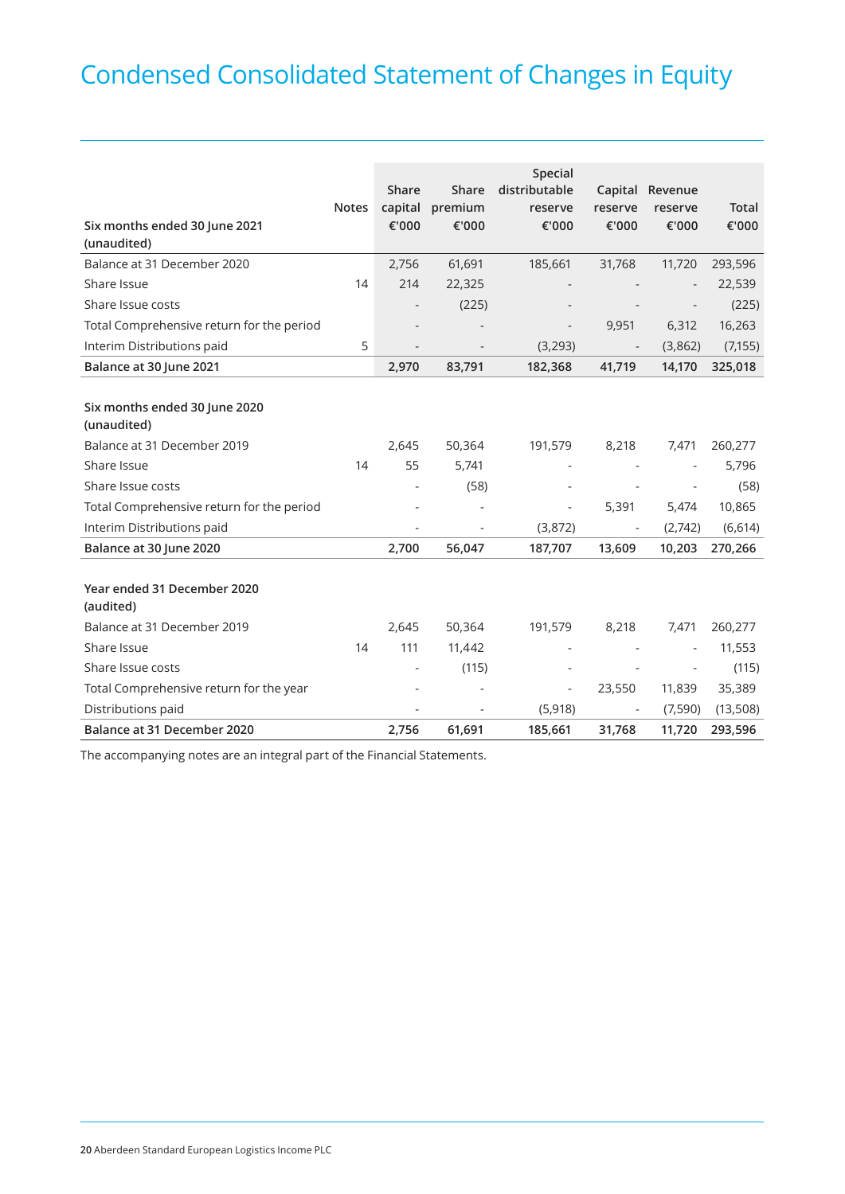# Condensed Consolidated Statement of Changes in Equity

| Six months ended 30 June 2021<br>(unaudited)                                                                                                                                                                          | <b>Notes</b> | Share<br>capital<br>€'000  | Share<br>premium<br>€'000           | Special<br>distributable<br>reserve<br>€'000 | Capital<br>reserve<br>€'000                           | Revenue<br>reserve<br>€'000          | <b>Total</b><br>€'000                                        |
|-----------------------------------------------------------------------------------------------------------------------------------------------------------------------------------------------------------------------|--------------|----------------------------|-------------------------------------|----------------------------------------------|-------------------------------------------------------|--------------------------------------|--------------------------------------------------------------|
| Balance at 31 December 2020                                                                                                                                                                                           |              | 2,756                      | 61,691                              | 185,661                                      | 31,768                                                | 11,720                               | 293,596                                                      |
| Share Issue                                                                                                                                                                                                           | 14           | 214                        | 22,325                              |                                              |                                                       |                                      | 22,539                                                       |
| Share Issue costs                                                                                                                                                                                                     |              |                            | (225)                               |                                              |                                                       |                                      | (225)                                                        |
| Total Comprehensive return for the period                                                                                                                                                                             |              |                            |                                     |                                              | 9,951                                                 | 6,312                                | 16,263                                                       |
| Interim Distributions paid                                                                                                                                                                                            | 5            |                            |                                     | (3, 293)                                     |                                                       | (3,862)                              | (7, 155)                                                     |
| Balance at 30 June 2021                                                                                                                                                                                               |              | 2,970                      | 83,791                              | 182,368                                      | 41,719                                                | 14,170                               | 325,018                                                      |
| Six months ended 30 June 2020<br>(unaudited)<br>Balance at 31 December 2019<br>Share Issue<br>Share Issue costs<br>Total Comprehensive return for the period<br>Interim Distributions paid<br>Balance at 30 June 2020 | 14           | 2,645<br>55<br>÷,<br>2,700 | 50,364<br>5,741<br>(58)<br>56,047   | 191,579<br>(3,872)<br>187,707                | 8,218<br>5,391<br>$\overline{\phantom{a}}$<br>13,609  | 7,471<br>5,474<br>(2,742)<br>10,203  | 260,277<br>5,796<br>(58)<br>10,865<br>(6,614)<br>270,266     |
| Year ended 31 December 2020<br>(audited)<br>Balance at 31 December 2019<br>Share Issue<br>Share Issue costs<br>Total Comprehensive return for the year<br>Distributions paid<br>Balance at 31 December 2020           | 14           | 2,645<br>111<br>2,756      | 50,364<br>11,442<br>(115)<br>61,691 | 191,579<br>(5,918)<br>185,661                | 8,218<br>23,550<br>$\overline{\phantom{a}}$<br>31,768 | 7,471<br>11,839<br>(7,590)<br>11,720 | 260,277<br>11,553<br>(115)<br>35,389<br>(13, 508)<br>293,596 |
|                                                                                                                                                                                                                       |              |                            |                                     |                                              |                                                       |                                      |                                                              |

The accompanying notes are an integral part of the Financial Statements.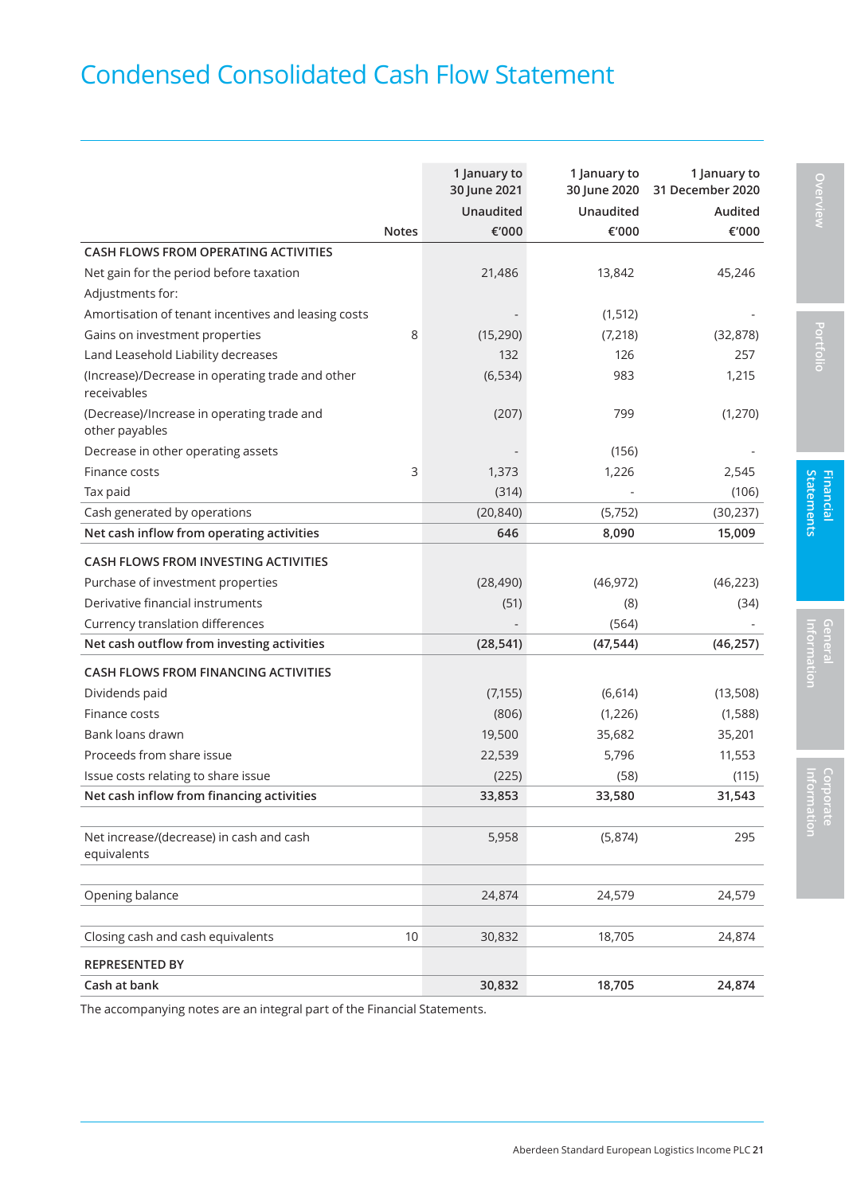# Condensed Consolidated Cash Flow Statement

|                                                                 |              | 1 January to<br>30 June 2021 | 1 January to<br>30 June 2020 | 1 January to<br>31 December 2020 |
|-----------------------------------------------------------------|--------------|------------------------------|------------------------------|----------------------------------|
|                                                                 |              | <b>Unaudited</b>             | <b>Unaudited</b>             | Audited                          |
|                                                                 | <b>Notes</b> | €'000                        | €'000                        | €'000                            |
| <b>CASH FLOWS FROM OPERATING ACTIVITIES</b>                     |              |                              |                              |                                  |
| Net gain for the period before taxation                         |              | 21,486                       | 13,842                       | 45,246                           |
| Adjustments for:                                                |              |                              |                              |                                  |
| Amortisation of tenant incentives and leasing costs             |              |                              | (1, 512)                     |                                  |
| Gains on investment properties                                  | 8            | (15, 290)                    | (7, 218)                     | (32, 878)                        |
| Land Leasehold Liability decreases                              |              | 132                          | 126                          | 257                              |
| (Increase)/Decrease in operating trade and other<br>receivables |              | (6, 534)                     | 983                          | 1,215                            |
| (Decrease)/Increase in operating trade and<br>other payables    |              | (207)                        | 799                          | (1,270)                          |
| Decrease in other operating assets                              |              |                              | (156)                        |                                  |
| Finance costs                                                   | 3            | 1,373                        | 1,226                        | 2,545                            |
| Tax paid                                                        |              | (314)                        |                              | (106)                            |
| Cash generated by operations                                    |              | (20, 840)                    | (5,752)                      | (30, 237)                        |
| Net cash inflow from operating activities                       |              | 646                          | 8,090                        | 15,009                           |
| <b>CASH FLOWS FROM INVESTING ACTIVITIES</b>                     |              |                              |                              |                                  |
| Purchase of investment properties                               |              | (28, 490)                    | (46, 972)                    | (46, 223)                        |
| Derivative financial instruments                                |              | (51)                         | (8)                          | (34)                             |
| Currency translation differences                                |              |                              | (564)                        |                                  |
| Net cash outflow from investing activities                      |              | (28, 541)                    | (47, 544)                    | (46, 257)                        |
| <b>CASH FLOWS FROM FINANCING ACTIVITIES</b>                     |              |                              |                              |                                  |
| Dividends paid                                                  |              | (7, 155)                     | (6,614)                      | (13,508)                         |
| Finance costs                                                   |              | (806)                        | (1,226)                      | (1,588)                          |
| Bank loans drawn                                                |              | 19,500                       | 35,682                       | 35,201                           |
| Proceeds from share issue                                       |              | 22,539                       | 5,796                        | 11,553                           |
| Issue costs relating to share issue                             |              | (225)                        | (58)                         | (115)                            |
| Net cash inflow from financing activities                       |              | 33,853                       | 33,580                       | 31,543                           |
| Net increase/(decrease) in cash and cash                        |              | 5,958                        | (5,874)                      | 295                              |
| equivalents                                                     |              |                              |                              |                                  |
| Opening balance                                                 |              | 24,874                       | 24,579                       | 24,579                           |
|                                                                 |              |                              |                              |                                  |
| Closing cash and cash equivalents                               | 10           | 30,832                       | 18,705                       | 24,874                           |
| <b>REPRESENTED BY</b>                                           |              |                              |                              |                                  |
| Cash at bank                                                    |              | 30,832                       | 18,705                       | 24,874                           |

The accompanying notes are an integral part of the Financial Statements.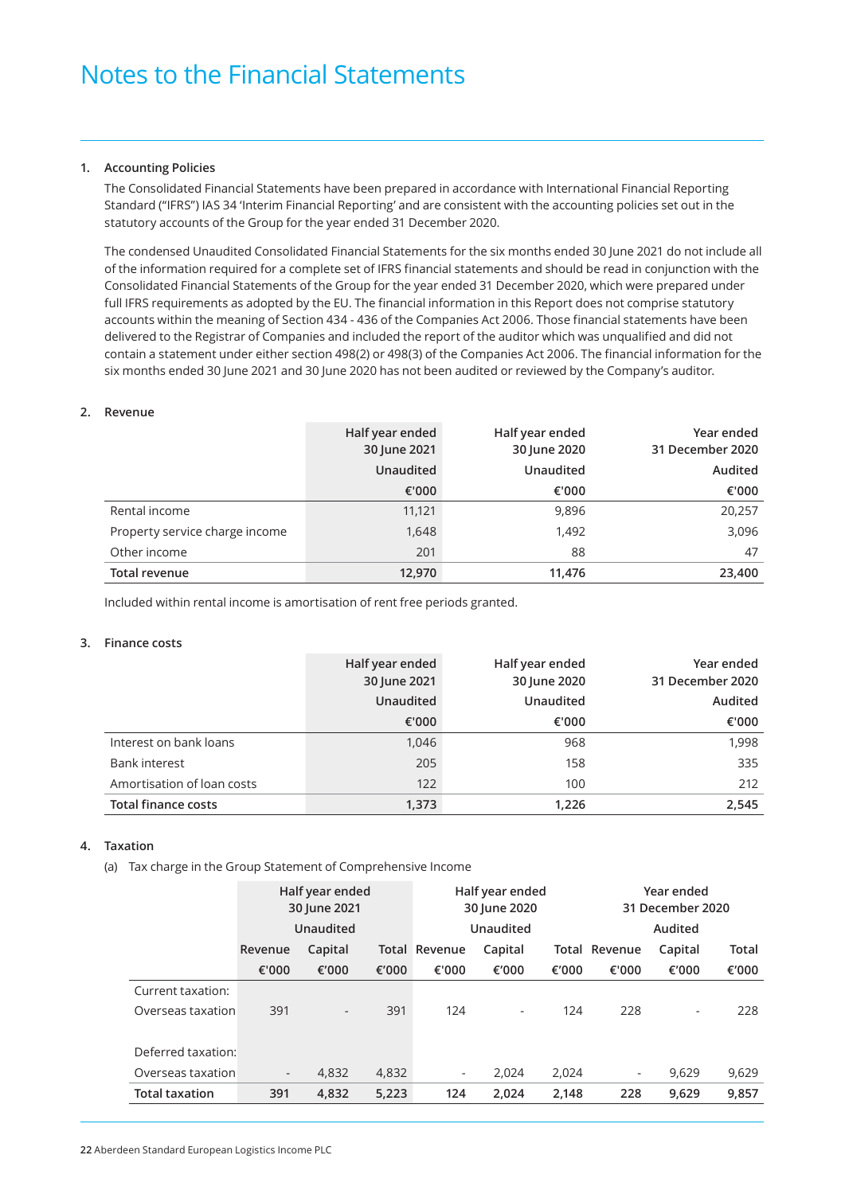# 1. Accounting Policies

The Consolidated Financial Statements have been prepared in accordance with International Financial Reporting Standard ("IFRS") IAS 34 'Interim Financial Reporting' and are consistent with the accounting policies set out in the statutory accounts of the Group for the year ended 31 December 2020.

The condensed Unaudited Consolidated Financial Statements for the six months ended 30 June 2021 do not include all of the information required for a complete set of IFRS financial statements and should be read in conjunction with the Consolidated Financial Statements of the Group for the year ended 31 December 2020, which were prepared under full IFRS requirements as adopted by the EU. The financial information in this Report does not comprise statutory accounts within the meaning of Section 434 - 436 of the Companies Act 2006. Those financial statements have been delivered to the Registrar of Companies and included the report of the auditor which was unqualified and did not contain a statement under either section 498(2) or 498(3) of the Companies Act 2006. The financial information for the six months ended 30 June 2021 and 30 June 2020 has not been audited or reviewed by the Company's auditor.

## 2. Revenue

|                                | Half year ended<br>30 June 2021 | Half year ended<br>30 June 2020 | Year ended<br>31 December 2020 |
|--------------------------------|---------------------------------|---------------------------------|--------------------------------|
|                                | <b>Unaudited</b>                | Unaudited                       | Audited                        |
|                                | €'000                           | €'000                           | €'000                          |
| Rental income                  | 11,121                          | 9,896                           | 20,257                         |
| Property service charge income | 1,648                           | 1,492                           | 3,096                          |
| Other income                   | 201                             | 88                              | 47                             |
| Total revenue                  | 12.970                          | 11.476                          | 23,400                         |

Included within rental income is amortisation of rent free periods granted.

# 3. Finance costs

|                            | Half year ended<br>30 June 2021 | Half year ended<br>30 June 2020 | Year ended<br>31 December 2020 |
|----------------------------|---------------------------------|---------------------------------|--------------------------------|
|                            | Unaudited                       | Unaudited                       | Audited                        |
|                            | €'000                           | €'000                           | €'000                          |
| Interest on bank loans     | 1,046                           | 968                             | 1,998                          |
| <b>Bank interest</b>       | 205                             | 158                             | 335                            |
| Amortisation of loan costs | 122                             | 100                             | 212                            |
| <b>Total finance costs</b> | 1.373                           | 1,226                           | 2,545                          |

# 4. Taxation

(a) Tax charge in the Group Statement of Comprehensive Income

|                       |                          | Year ended<br>Half year ended<br>Half year ended<br>31 December 2020<br>30 June 2021<br>30 June 2020 |       |                          |                          |       |                      |         |              |
|-----------------------|--------------------------|------------------------------------------------------------------------------------------------------|-------|--------------------------|--------------------------|-------|----------------------|---------|--------------|
|                       |                          | Unaudited                                                                                            |       |                          | Unaudited                |       |                      | Audited |              |
|                       | Revenue                  | Capital                                                                                              |       | <b>Total Revenue</b>     | Capital                  |       | <b>Total Revenue</b> | Capital | <b>Total</b> |
|                       | €'000                    | €'000                                                                                                | €'000 | €'000                    | €'000                    | €'000 | €'000                | €'000   | €'000        |
| Current taxation:     |                          |                                                                                                      |       |                          |                          |       |                      |         |              |
| Overseas taxation     | 391                      | $\overline{\phantom{a}}$                                                                             | 391   | 124                      | $\overline{\phantom{a}}$ | 124   | 228                  | ۰       | 228          |
|                       |                          |                                                                                                      |       |                          |                          |       |                      |         |              |
| Deferred taxation:    |                          |                                                                                                      |       |                          |                          |       |                      |         |              |
| Overseas taxation     | $\overline{\phantom{a}}$ | 4.832                                                                                                | 4,832 | $\overline{\phantom{a}}$ | 2.024                    | 2,024 | -                    | 9,629   | 9,629        |
| <b>Total taxation</b> | 391                      | 4,832                                                                                                | 5,223 | 124                      | 2.024                    | 2,148 | 228                  | 9,629   | 9,857        |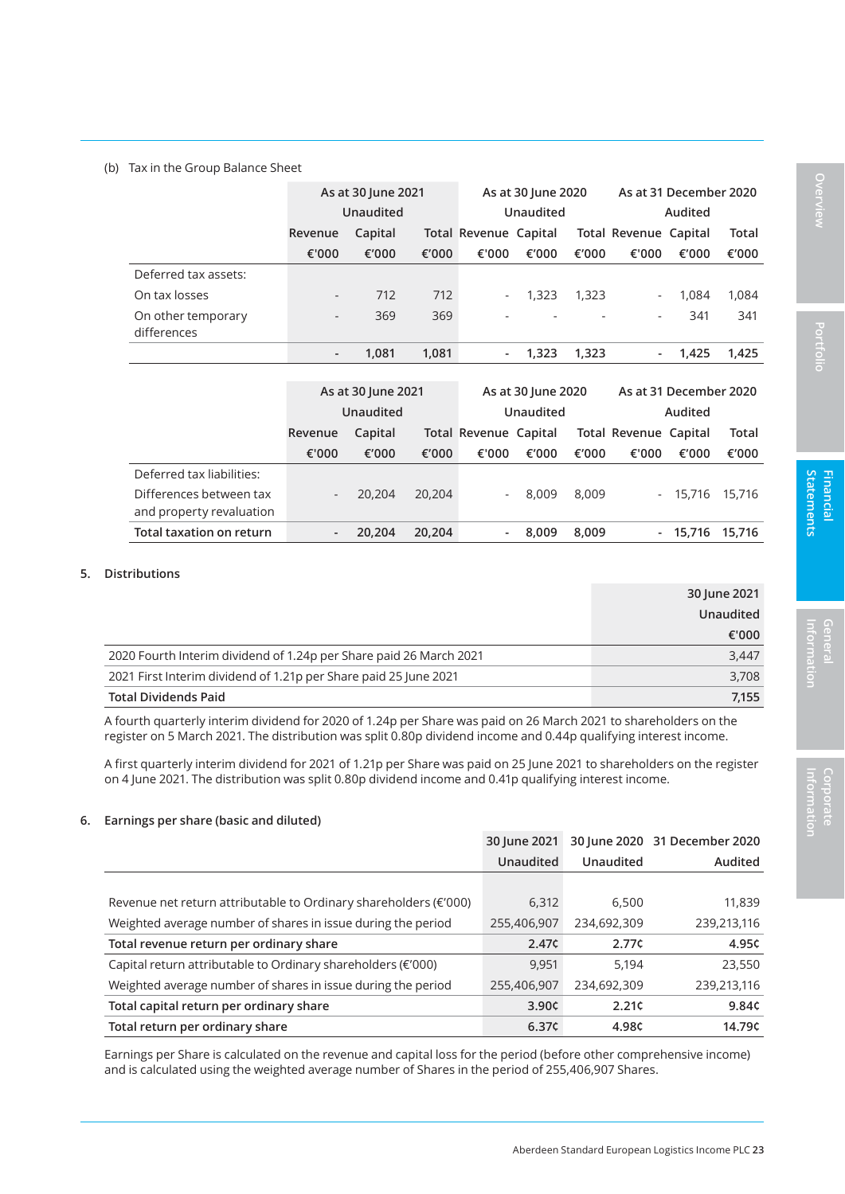# (b) Tax in the Group Balance Sheet

|                                   | As at 30 June 2021<br>Unaudited |         |       | As at 30 June 2020<br>Unaudited |       |       | As at 31 December 2020<br>Audited |       |       |
|-----------------------------------|---------------------------------|---------|-------|---------------------------------|-------|-------|-----------------------------------|-------|-------|
|                                   | Revenue                         | Capital |       | Total Revenue Capital           |       |       | Total Revenue Capital             |       | Total |
|                                   | €'000                           | €'000   | €'000 | €'000                           | €'000 | €'000 | €'000                             | €'000 | €'000 |
| Deferred tax assets:              |                                 |         |       |                                 |       |       |                                   |       |       |
| On tax losses                     | $\overline{\phantom{a}}$        | 712     | 712   | $\overline{\phantom{a}}$        | 1,323 | 1,323 | $\overline{\phantom{a}}$          | 1.084 | 1,084 |
| On other temporary<br>differences | -                               | 369     | 369   |                                 |       |       | ٠                                 | 341   | 341   |
|                                   | $\overline{\phantom{a}}$        | 1,081   | 1,081 | $\overline{\phantom{a}}$        | 1,323 | 1,323 | $\overline{\phantom{a}}$          | 1.425 | 1.425 |

|                                                     | As at 30 June 2021       |         |        | As at 30 June 2020           |       |       | As at 31 December 2020 |           |        |
|-----------------------------------------------------|--------------------------|---------|--------|------------------------------|-------|-------|------------------------|-----------|--------|
|                                                     | Unaudited                |         |        | Unaudited                    |       |       | Audited                |           |        |
|                                                     | Revenue                  | Capital |        | <b>Total Revenue Capital</b> |       |       | Total Revenue Capital  |           | Total  |
|                                                     | €'000                    | €'000   | €'000  | €'000                        | €'000 | €'000 | €'000                  | €'000     | €'000  |
| Deferred tax liabilities:                           |                          |         |        |                              |       |       |                        |           |        |
| Differences between tax<br>and property revaluation | $\overline{\phantom{0}}$ | 20,204  | 20,204 | $\overline{\phantom{a}}$     | 8.009 | 8.009 |                        | $-15.716$ | 15,716 |
| Total taxation on return                            | $\overline{\phantom{0}}$ | 20,204  | 20,204 | ۰                            | 8.009 | 8.009 |                        | - 15,716  | 15,716 |

# **5. Distributions**

|                                                                    | 30 June 2021 |
|--------------------------------------------------------------------|--------------|
|                                                                    | Unaudited    |
|                                                                    | €'000        |
| 2020 Fourth Interim dividend of 1.24p per Share paid 26 March 2021 | 3,447        |
| 2021 First Interim dividend of 1.21p per Share paid 25 June 2021   | 3,708        |
| <b>Total Dividends Paid</b>                                        | 7,155        |

A fourth quarterly interim dividend for 2020 of 1.24p per Share was paid on 26 March 2021 to shareholders on the register on 5 March 2021. The distribution was split 0.80p dividend income and 0.44p qualifying interest income.

A first quarterly interim dividend for 2021 of 1.21p per Share was paid on 25 June 2021 to shareholders on the register on 4 June 2021. The distribution was split 0.80p dividend income and 0.41p qualifying interest income.

#### **6. Earnings per share (basic and diluted)**

|                                                                  | 30 June 2021 |             | 30 June 2020 31 December 2020 |
|------------------------------------------------------------------|--------------|-------------|-------------------------------|
|                                                                  | Unaudited    | Unaudited   | Audited                       |
|                                                                  |              |             |                               |
| Revenue net return attributable to Ordinary shareholders (€'000) | 6,312        | 6.500       | 11,839                        |
| Weighted average number of shares in issue during the period     | 255,406,907  | 234,692,309 | 239,213,116                   |
| Total revenue return per ordinary share                          | 2.47c        | 2.77c       | 4.95¢                         |
| Capital return attributable to Ordinary shareholders (€'000)     | 9.951        | 5.194       | 23,550                        |
| Weighted average number of shares in issue during the period     | 255,406,907  | 234,692,309 | 239,213,116                   |
| Total capital return per ordinary share                          | 3.90¢        | 2.21c       | 9.84¢                         |
| Total return per ordinary share                                  | 6.37c        | 4.98¢       | 14.79¢                        |

Earnings per Share is calculated on the revenue and capital loss for the period (before other comprehensive income) and is calculated using the weighted average number of Shares in the period of 255,406,907 Shares.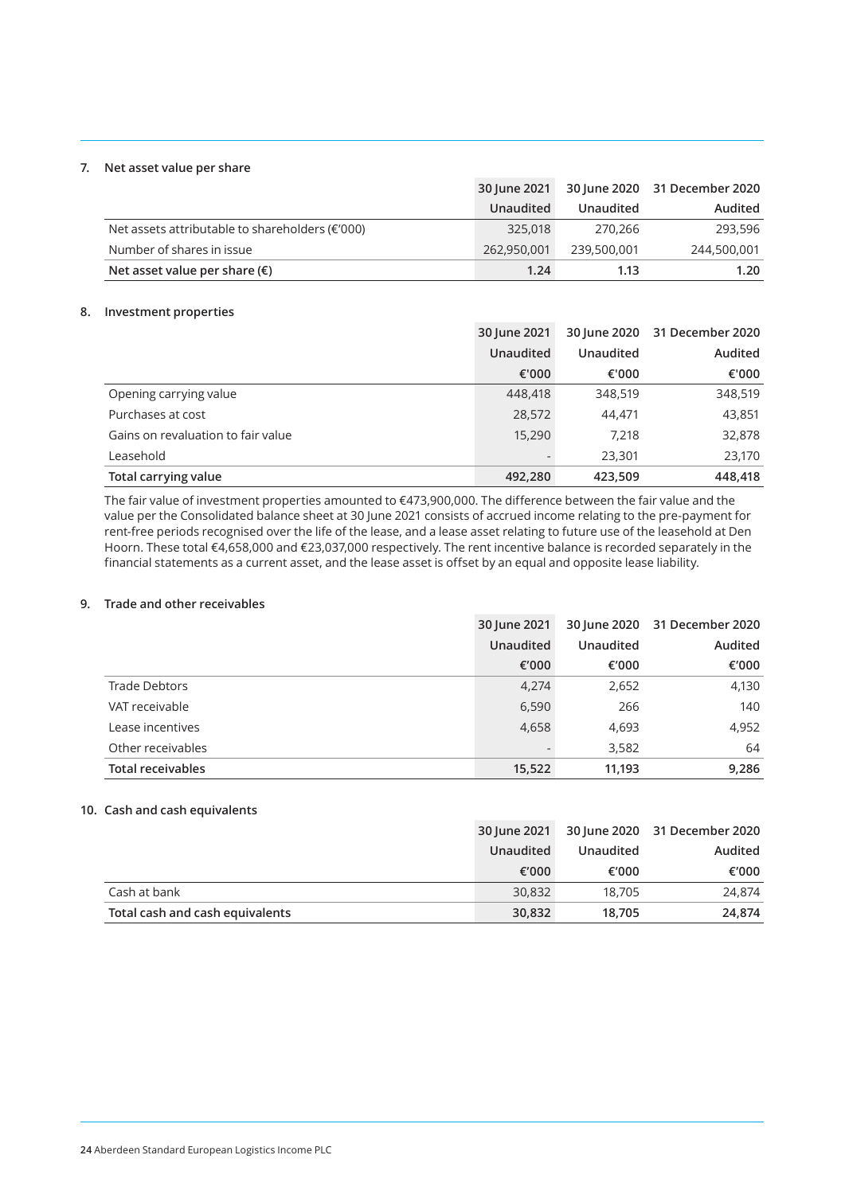## **7. Net asset value per share**

|                                                            | 30 June 2021 |             | 30 June 2020 31 December 2020 |
|------------------------------------------------------------|--------------|-------------|-------------------------------|
|                                                            | Unaudited    | Unaudited   | Audited                       |
| Net assets attributable to shareholders ( $\epsilon$ '000) | 325,018      | 270.266     | 293,596                       |
| Number of shares in issue                                  | 262,950,001  | 239,500,001 | 244,500,001                   |
| Net asset value per share $(\epsilon)$                     | 1.24         | 1.13        | 1.20                          |

## **8. Investment properties**

|                                    | 30 June 2021 | 30 June 2020 | 31 December 2020 |
|------------------------------------|--------------|--------------|------------------|
|                                    | Unaudited    | Unaudited    | Audited          |
|                                    | €'000        | €'000        | €'000            |
| Opening carrying value             | 448,418      | 348,519      | 348,519          |
| Purchases at cost                  | 28,572       | 44,471       | 43,851           |
| Gains on revaluation to fair value | 15,290       | 7.218        | 32,878           |
| Leasehold                          |              | 23,301       | 23,170           |
| Total carrying value               | 492,280      | 423,509      | 448,418          |

The fair value of investment properties amounted to  $E$ 473,900,000. The difference between the fair value and the value per the Consolidated balance sheet at 30 June 2021 consists of accrued income relating to the pre-payment for rent-free periods recognised over the life of the lease, and a lease asset relating to future use of the leasehold at Den Hoorn. These total €4,658,000 and €23,037,000 respectively. The rent incentive balance is recorded separately in the financial statements as a current asset, and the lease asset is offset by an equal and opposite lease liability.

# **9. Trade and other receivables**

|                          | 30 June 2021                 | 30 June 2020 | 31 December 2020 |
|--------------------------|------------------------------|--------------|------------------|
|                          | Unaudited                    | Unaudited    | Audited          |
|                          | €'000                        | €'000        | €'000            |
| <b>Trade Debtors</b>     | 4,274                        | 2,652        | 4,130            |
| VAT receivable           | 6,590                        | 266          | 140              |
| Lease incentives         | 4,658                        | 4,693        | 4,952            |
| Other receivables        | $\qquad \qquad \blacksquare$ | 3,582        | 64               |
| <b>Total receivables</b> | 15,522                       | 11,193       | 9,286            |

## **10. Cash and cash equivalents**

|                                 |           |           | 30 June 2021 30 June 2020 31 December 2020 |
|---------------------------------|-----------|-----------|--------------------------------------------|
|                                 | Unaudited | Unaudited | Audited                                    |
|                                 | €'000     | €'000     | €'000                                      |
| Cash at bank                    | 30,832    | 18,705    | 24.874                                     |
| Total cash and cash equivalents | 30,832    | 18.705    | 24.874                                     |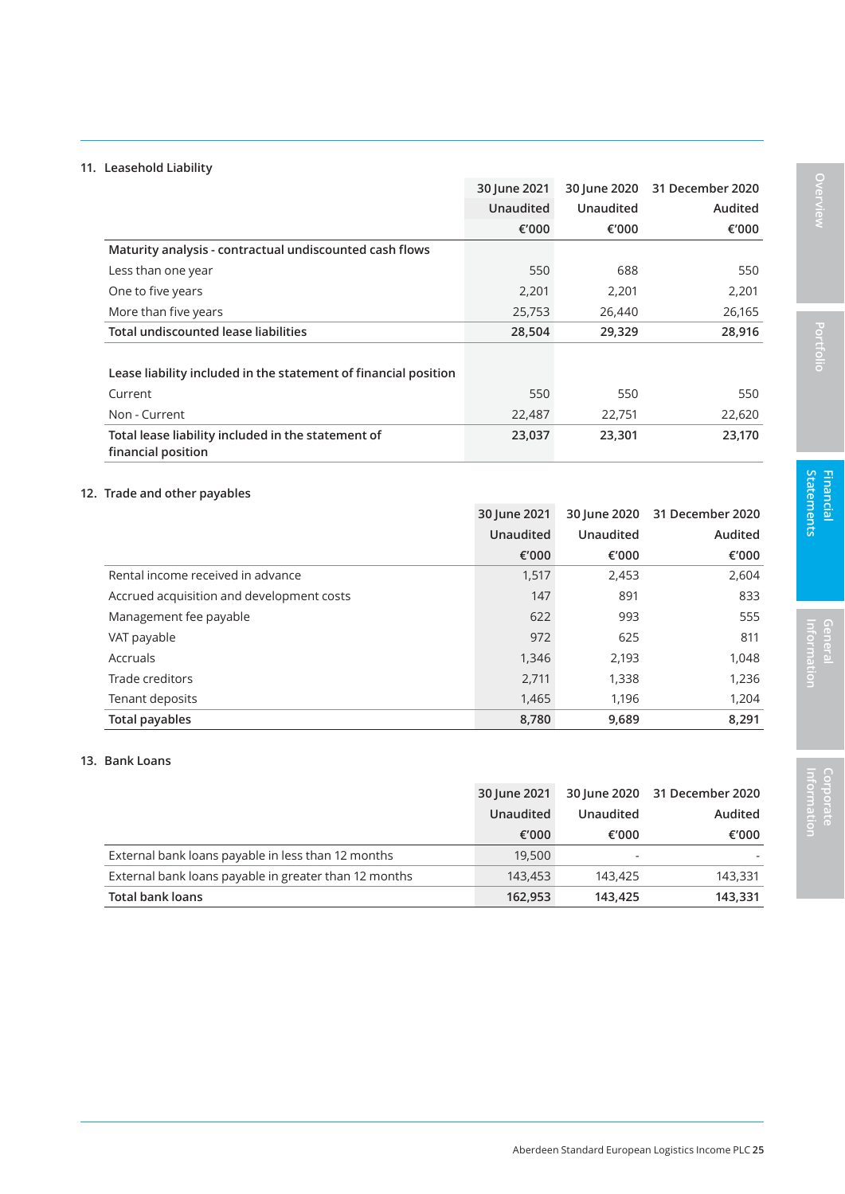# **11. Leasehold Liability**

|                                                                          | 30 June 2021 | 30 June 2020 | 31 December 2020 |
|--------------------------------------------------------------------------|--------------|--------------|------------------|
|                                                                          | Unaudited    | Unaudited    | Audited          |
|                                                                          | €'000        | €'000        | €'000            |
| Maturity analysis - contractual undiscounted cash flows                  |              |              |                  |
| Less than one year                                                       | 550          | 688          | 550              |
| One to five years                                                        | 2,201        | 2,201        | 2,201            |
| More than five years                                                     | 25,753       | 26,440       | 26,165           |
| Total undiscounted lease liabilities                                     | 28,504       | 29,329       | 28,916           |
|                                                                          |              |              |                  |
| Lease liability included in the statement of financial position          |              |              |                  |
| Current                                                                  | 550          | 550          | 550              |
| Non - Current                                                            | 22,487       | 22,751       | 22,620           |
| Total lease liability included in the statement of<br>financial position | 23,037       | 23,301       | 23,170           |

# **12. Trade and other payables**

|                                           | 30 June 2021 | 30 June 2020 | 31 December 2020 |
|-------------------------------------------|--------------|--------------|------------------|
|                                           | Unaudited    | Unaudited    | Audited          |
|                                           | €'000        | €'000        | €'000            |
| Rental income received in advance         | 1,517        | 2,453        | 2,604            |
| Accrued acquisition and development costs | 147          | 891          | 833              |
| Management fee payable                    | 622          | 993          | 555              |
| VAT payable                               | 972          | 625          | 811              |
| Accruals                                  | 1,346        | 2,193        | 1,048            |
| Trade creditors                           | 2,711        | 1,338        | 1,236            |
| Tenant deposits                           | 1,465        | 1,196        | 1,204            |
| Total payables                            | 8,780        | 9,689        | 8,291            |

# **13. Bank Loans**

|                                                       | 30 June 2021 |           | 30 June 2020 31 December 2020 |
|-------------------------------------------------------|--------------|-----------|-------------------------------|
|                                                       | Unaudited    | Unaudited | Audited                       |
|                                                       | €'000        | €'000     | €'000                         |
| External bank loans payable in less than 12 months    | 19,500       | -         |                               |
| External bank loans payable in greater than 12 months | 143,453      | 143,425   | 143,331                       |
| <b>Total bank loans</b>                               | 162.953      | 143,425   | 143,331                       |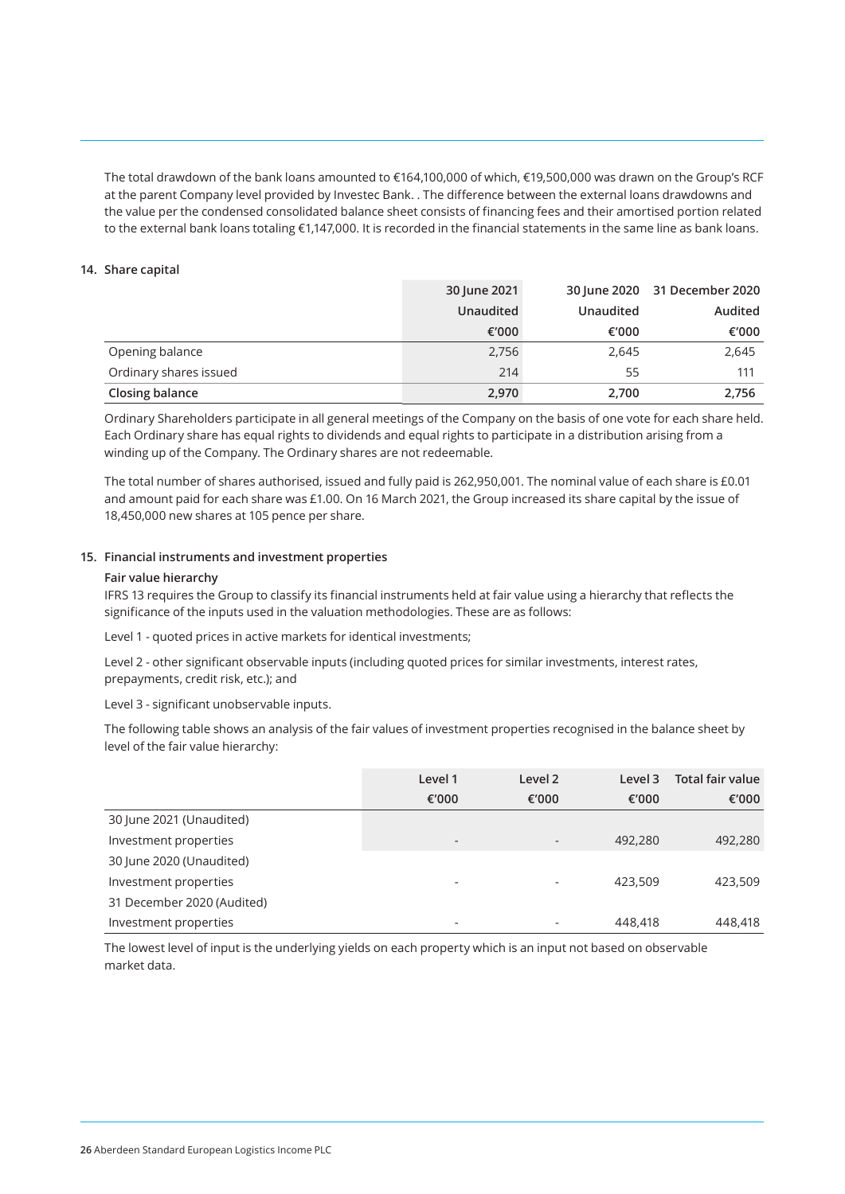The total drawdown of the bank loans amounted to €164,100,000 of which, €19,500,000 was drawn on the Group's RCF at the parent Company level provided by Investec Bank. . The difference between the external loans drawdowns and the value per the condensed consolidated balance sheet consists of financing fees and their amortised portion related to the external bank loans totaling €1,147,000. It is recorded in the financial statements in the same line as bank loans.

## 14. Share capital

|                        | 30 June 2021 |           | 30 June 2020 31 December 2020 |
|------------------------|--------------|-----------|-------------------------------|
|                        | Unaudited    | Unaudited | Audited                       |
|                        | €'000        | €'000     | €'000                         |
| Opening balance        | 2,756        | 2,645     | 2,645                         |
| Ordinary shares issued | 214          | 55        | 111                           |
| Closing balance        | 2,970        | 2,700     | 2,756                         |

Ordinary Shareholders participate in all general meetings of the Company on the basis of one vote for each share held. Each Ordinary share has equal rights to dividends and equal rights to participate in a distribution arising from a winding up of the Company. The Ordinary shares are not redeemable.

The total number of shares authorised, issued and fully paid is 262,950,001. The nominal value of each share is £0.01 and amount paid for each share was £1.00. On 16 March 2021, the Group increased its share capital by the issue of 18,450,000 new shares at 105 pence per share.

## 15. Financial instruments and investment properties

## Fair value hierarchy

IFRS 13 requires the Group to classify its financial instruments held at fair value using a hierarchy that reflects the significance of the inputs used in the valuation methodologies. These are as follows:

Level 1 - quoted prices in active markets for identical investments;

Level 2 - other significant observable inputs (including quoted prices for similar investments, interest rates, prepayments, credit risk, etc.); and

Level 3 - significant unobservable inputs.

The following table shows an analysis of the fair values of investment properties recognised in the balance sheet by level of the fair value hierarchy:

|                            | Level 1                  | Level 2                  | Level 3 | Total fair value |
|----------------------------|--------------------------|--------------------------|---------|------------------|
|                            | €'000                    | €'000                    | €'000   | €'000            |
| 30 June 2021 (Unaudited)   |                          |                          |         |                  |
| Investment properties      | $\overline{\phantom{a}}$ | $\overline{\phantom{0}}$ | 492,280 | 492,280          |
| 30 June 2020 (Unaudited)   |                          |                          |         |                  |
| Investment properties      | $\overline{\phantom{a}}$ |                          | 423,509 | 423,509          |
| 31 December 2020 (Audited) |                          |                          |         |                  |
| Investment properties      |                          | -                        | 448,418 | 448,418          |

The lowest level of input is the underlying yields on each property which is an input not based on observable market data.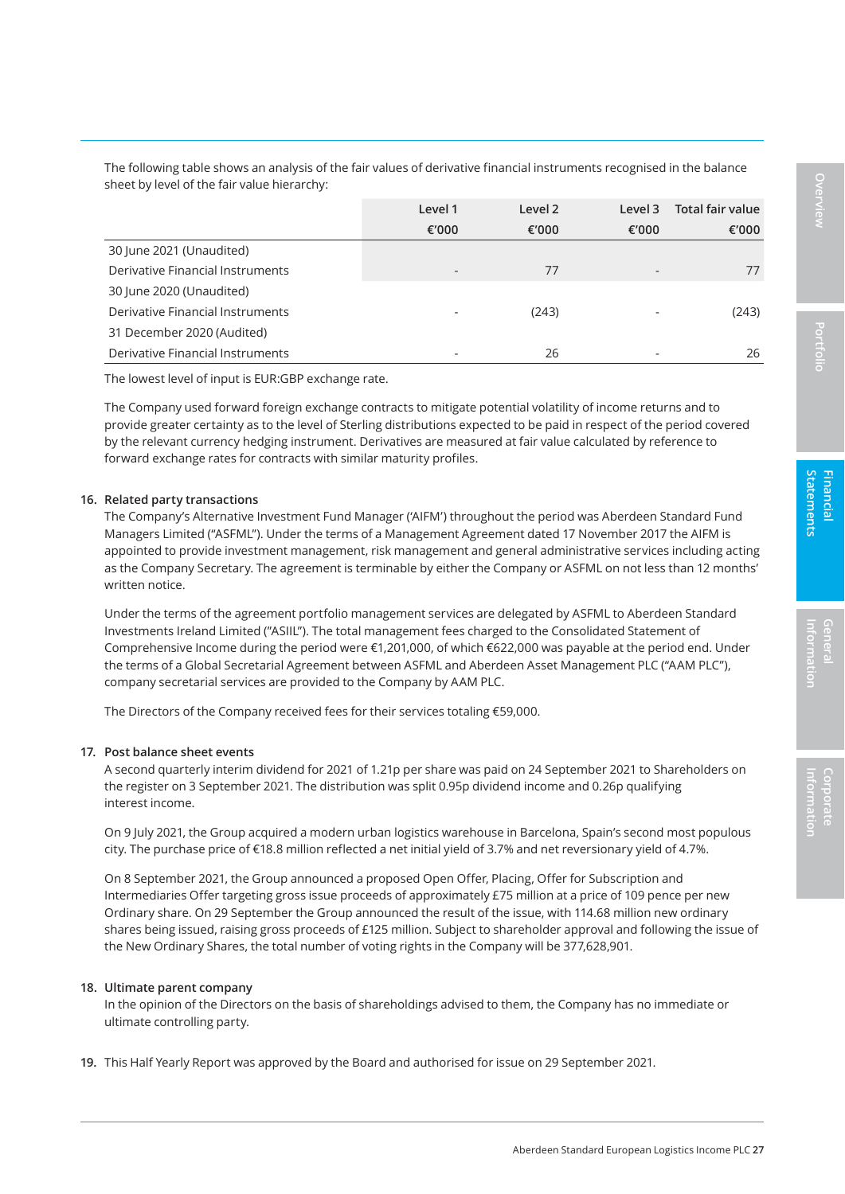The following table shows an analysis of the fair values of derivative financial instruments recognised in the balance sheet by level of the fair value hierarchy:

|                                  | Level 1 | Level 2 | Level 3                  | Total fair value |
|----------------------------------|---------|---------|--------------------------|------------------|
|                                  | €'000   | €'000   | €'000                    | €'000            |
| 30 June 2021 (Unaudited)         |         |         |                          |                  |
| Derivative Financial Instruments |         | 77      | $\overline{\phantom{a}}$ | 77               |
| 30 June 2020 (Unaudited)         |         |         |                          |                  |
| Derivative Financial Instruments |         | (243)   |                          | (243)            |
| 31 December 2020 (Audited)       |         |         |                          |                  |
| Derivative Financial Instruments |         | 26      |                          | 26               |

The lowest level of input is EUR:GBP exchange rate.

The Company used forward foreign exchange contracts to mitigate potential volatility of income returns and to provide greater certainty as to the level of Sterling distributions expected to be paid in respect of the period covered by the relevant currency hedging instrument. Derivatives are measured at fair value calculated by reference to forward exchange rates for contracts with similar maturity profiles.

# **16. Related party transactions**

The Company's Alternative Investment Fund Manager ('AIFM') throughout the period was Aberdeen Standard Fund Managers Limited ("ASFML"). Under the terms of a Management Agreement dated 17 November 2017 the AIFM is appointed to provide investment management, risk management and general administrative services including acting as the Company Secretary. The agreement is terminable by either the Company or ASFML on not less than 12 months' written notice.

Under the terms of the agreement portfolio management services are delegated by ASFML to Aberdeen Standard Investments Ireland Limited ("ASIIL"). The total management fees charged to the Consolidated Statement of Comprehensive Income during the period were €1,201,000, of which €622,000 was payable at the period end. Under the terms of a Global Secretarial Agreement between ASFML and Aberdeen Asset Management PLC ("AAM PLC"), company secretarial services are provided to the Company by AAM PLC.

The Directors of the Company received fees for their services totaling  $€59,000$ .

# **17. Post balance sheet events**

A second quarterly interim dividend for 2021 of 1.21p per share was paid on 24 September 2021 to Shareholders on the register on 3 September 2021. The distribution was split 0.95p dividend income and 0.26p qualifying interest income.

On 9 July 2021, the Group acquired a modern urban logistics warehouse in Barcelona, Spain's second most populous city. The purchase price of  $\epsilon$ 18.8 million reflected a net initial yield of 3.7% and net reversionary yield of 4.7%.

On 8 September 2021, the Group announced a proposed Open Offer, Placing, Offer for Subscription and Intermediaries Offer targeting gross issue proceeds of approximately £75 million at a price of 109 pence per new Ordinary share. On 29 September the Group announced the result of the issue, with 114.68 million new ordinary shares being issued, raising gross proceeds of £125 million. Subject to shareholder approval and following the issue of the New Ordinary Shares, the total number of voting rights in the Company will be 377,628,901.

# **18. Ultimate parent company**

In the opinion of the Directors on the basis of shareholdings advised to them, the Company has no immediate or ultimate controlling party.

19. This Half Yearly Report was approved by the Board and authorised for issue on 29 September 2021.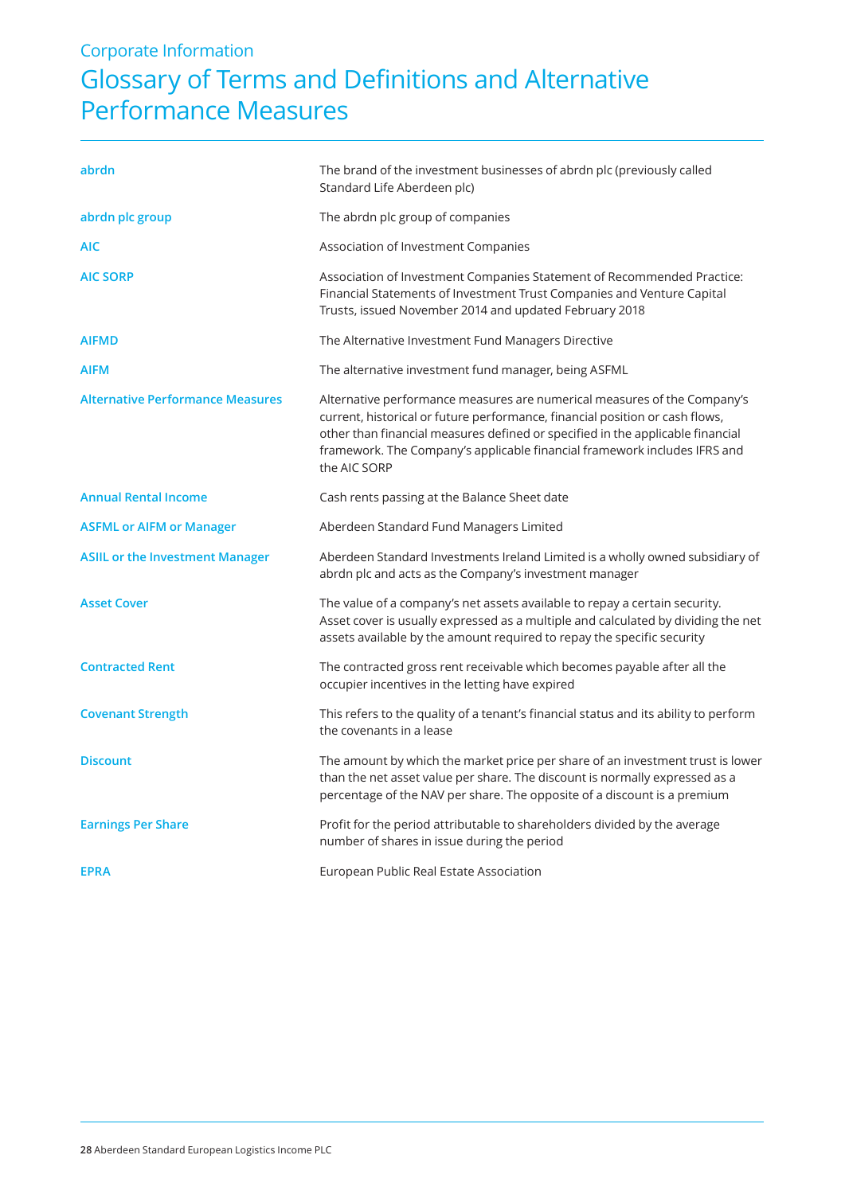# Corporate Information Glossary of Terms and Definitions and Alternative Performance Measures

| abrdn                                   | The brand of the investment businesses of abrdn plc (previously called<br>Standard Life Aberdeen plc)                                                                                                                                                                                                                                   |
|-----------------------------------------|-----------------------------------------------------------------------------------------------------------------------------------------------------------------------------------------------------------------------------------------------------------------------------------------------------------------------------------------|
| abrdn plc group                         | The abrdn plc group of companies                                                                                                                                                                                                                                                                                                        |
| <b>AIC</b>                              | Association of Investment Companies                                                                                                                                                                                                                                                                                                     |
| <b>AIC SORP</b>                         | Association of Investment Companies Statement of Recommended Practice:<br>Financial Statements of Investment Trust Companies and Venture Capital<br>Trusts, issued November 2014 and updated February 2018                                                                                                                              |
| <b>AIFMD</b>                            | The Alternative Investment Fund Managers Directive                                                                                                                                                                                                                                                                                      |
| <b>AIFM</b>                             | The alternative investment fund manager, being ASFML                                                                                                                                                                                                                                                                                    |
| <b>Alternative Performance Measures</b> | Alternative performance measures are numerical measures of the Company's<br>current, historical or future performance, financial position or cash flows,<br>other than financial measures defined or specified in the applicable financial<br>framework. The Company's applicable financial framework includes IFRS and<br>the AIC SORP |
| <b>Annual Rental Income</b>             | Cash rents passing at the Balance Sheet date                                                                                                                                                                                                                                                                                            |
| <b>ASFML or AIFM or Manager</b>         | Aberdeen Standard Fund Managers Limited                                                                                                                                                                                                                                                                                                 |
| <b>ASIIL or the Investment Manager</b>  | Aberdeen Standard Investments Ireland Limited is a wholly owned subsidiary of<br>abrdn plc and acts as the Company's investment manager                                                                                                                                                                                                 |
| <b>Asset Cover</b>                      | The value of a company's net assets available to repay a certain security.<br>Asset cover is usually expressed as a multiple and calculated by dividing the net<br>assets available by the amount required to repay the specific security                                                                                               |
| <b>Contracted Rent</b>                  | The contracted gross rent receivable which becomes payable after all the<br>occupier incentives in the letting have expired                                                                                                                                                                                                             |
| <b>Covenant Strength</b>                | This refers to the quality of a tenant's financial status and its ability to perform<br>the covenants in a lease                                                                                                                                                                                                                        |
| <b>Discount</b>                         | The amount by which the market price per share of an investment trust is lower<br>than the net asset value per share. The discount is normally expressed as a<br>percentage of the NAV per share. The opposite of a discount is a premium                                                                                               |
| <b>Earnings Per Share</b>               | Profit for the period attributable to shareholders divided by the average<br>number of shares in issue during the period                                                                                                                                                                                                                |
| <b>EPRA</b>                             | European Public Real Estate Association                                                                                                                                                                                                                                                                                                 |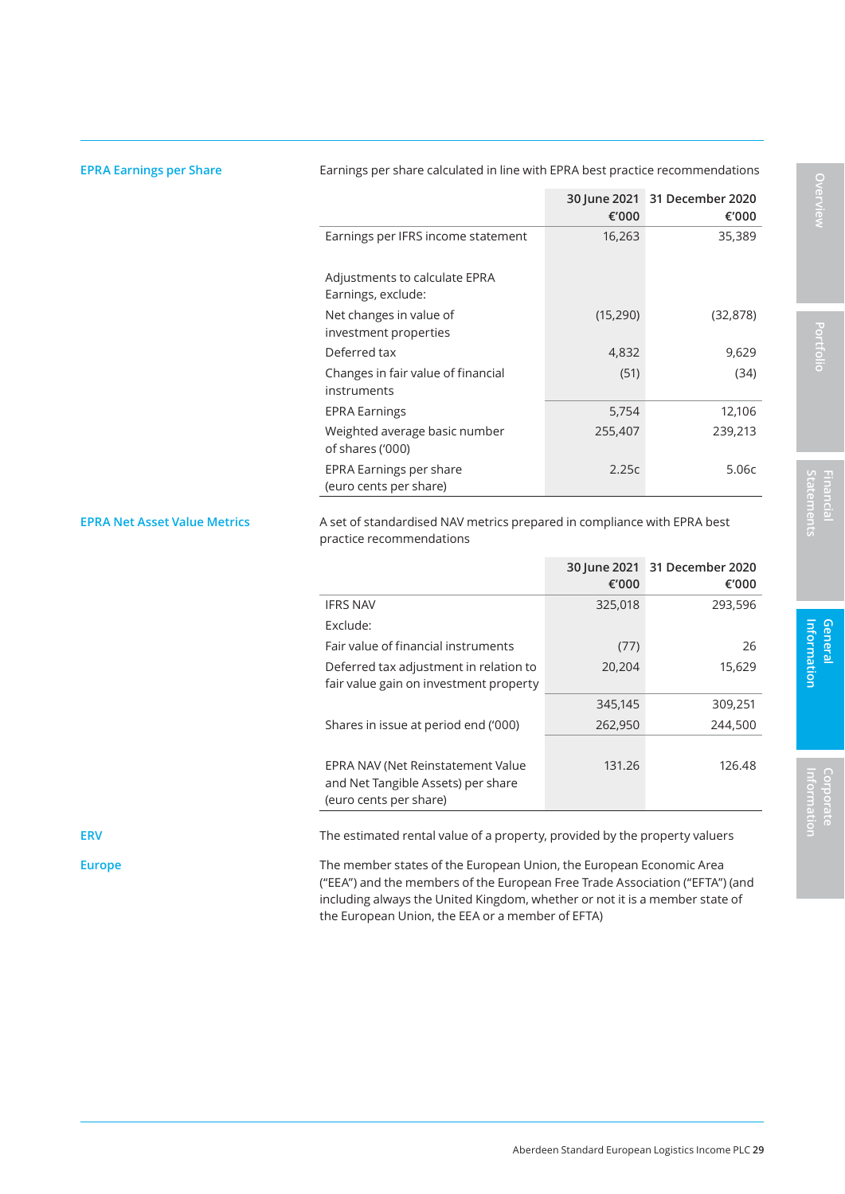**EPRA Earnings per Share** (Duny Earnings per share calculated in line with EPRA best practice recommendations

|                                                     | €'000     | 30 June 2021 31 December 2020<br>€'000 |
|-----------------------------------------------------|-----------|----------------------------------------|
| Earnings per IFRS income statement                  | 16,263    | 35,389                                 |
| Adjustments to calculate EPRA<br>Earnings, exclude: |           |                                        |
| Net changes in value of<br>investment properties    | (15, 290) | (32, 878)                              |
| Deferred tax                                        | 4,832     | 9,629                                  |
| Changes in fair value of financial<br>instruments   | (51)      | (34)                                   |
| <b>EPRA Earnings</b>                                | 5,754     | 12,106                                 |
| Weighted average basic number<br>of shares ('000)   | 255,407   | 239,213                                |
| EPRA Earnings per share<br>(euro cents per share)   | 2.25c     | 5.06c                                  |

**EPRA Net Asset Value Metrics**  $\qquad \qquad$  A set of standardised NAV metrics prepared in compliance with EPRA best practice recommendations

|                                                                                                   | €'000   | 30 June 2021 31 December 2020<br>€'000 |
|---------------------------------------------------------------------------------------------------|---------|----------------------------------------|
| <b>IFRS NAV</b>                                                                                   | 325,018 | 293,596                                |
| Exclude:                                                                                          |         |                                        |
| Fair value of financial instruments                                                               | (77)    | 26                                     |
| Deferred tax adjustment in relation to<br>fair value gain on investment property                  | 20,204  | 15,629                                 |
|                                                                                                   | 345,145 | 309,251                                |
| Shares in issue at period end ('000)                                                              | 262,950 | 244,500                                |
| EPRA NAV (Net Reinstatement Value<br>and Net Tangible Assets) per share<br>(euro cents per share) | 131.26  | 126.48                                 |

ERV **The estimated rental value of a property, provided by the property valuers** 

Europe **7KHPHPEHUVER THE META THE META THE META THE META THE THR** EUROPEAN UNION, the European Economic Area ("EEA") and the members of the European Free Trade Association ("EFTA") (and including always the United Kingdom, whether or not it is a member state of the European Union, the EEA or a member of EFTA)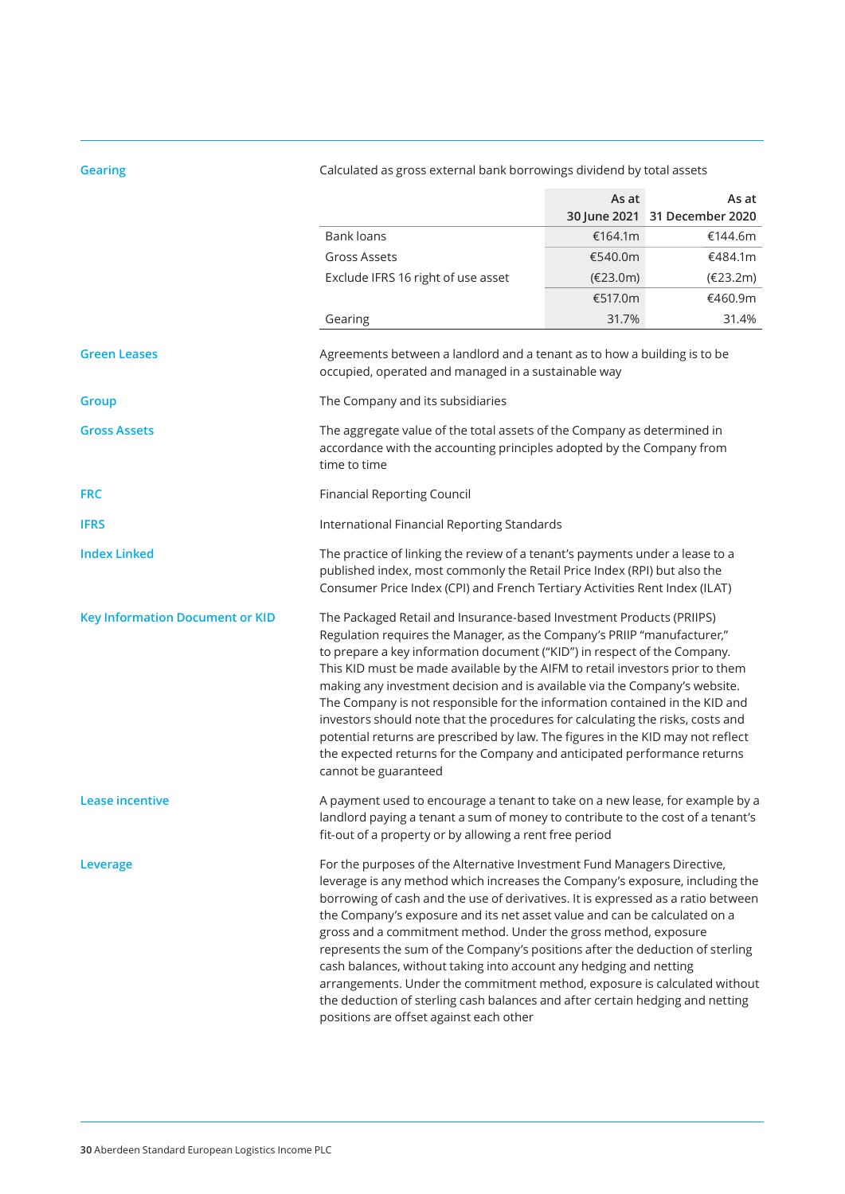|                                        |                                                                                                                                                                                                                                                                                                                                                                                                                                                                                                                                                                                                                                                                                                                                                             | As at                                                                                                                                            | As at<br>30 June 2021 31 December 2020 |  |  |
|----------------------------------------|-------------------------------------------------------------------------------------------------------------------------------------------------------------------------------------------------------------------------------------------------------------------------------------------------------------------------------------------------------------------------------------------------------------------------------------------------------------------------------------------------------------------------------------------------------------------------------------------------------------------------------------------------------------------------------------------------------------------------------------------------------------|--------------------------------------------------------------------------------------------------------------------------------------------------|----------------------------------------|--|--|
|                                        | <b>Bank loans</b>                                                                                                                                                                                                                                                                                                                                                                                                                                                                                                                                                                                                                                                                                                                                           | €164.1m                                                                                                                                          | €144.6m                                |  |  |
|                                        | <b>Gross Assets</b>                                                                                                                                                                                                                                                                                                                                                                                                                                                                                                                                                                                                                                                                                                                                         | €540.0m                                                                                                                                          | €484.1m                                |  |  |
|                                        | Exclude IFRS 16 right of use asset                                                                                                                                                                                                                                                                                                                                                                                                                                                                                                                                                                                                                                                                                                                          | (E23.0m)                                                                                                                                         | (E23.2m)                               |  |  |
|                                        |                                                                                                                                                                                                                                                                                                                                                                                                                                                                                                                                                                                                                                                                                                                                                             | €517.0m                                                                                                                                          | €460.9m                                |  |  |
|                                        | Gearing                                                                                                                                                                                                                                                                                                                                                                                                                                                                                                                                                                                                                                                                                                                                                     | 31.7%                                                                                                                                            | 31.4%                                  |  |  |
| <b>Green Leases</b>                    | Agreements between a landlord and a tenant as to how a building is to be<br>occupied, operated and managed in a sustainable way                                                                                                                                                                                                                                                                                                                                                                                                                                                                                                                                                                                                                             |                                                                                                                                                  |                                        |  |  |
| <b>Group</b>                           | The Company and its subsidiaries                                                                                                                                                                                                                                                                                                                                                                                                                                                                                                                                                                                                                                                                                                                            |                                                                                                                                                  |                                        |  |  |
| <b>Gross Assets</b>                    | time to time                                                                                                                                                                                                                                                                                                                                                                                                                                                                                                                                                                                                                                                                                                                                                | The aggregate value of the total assets of the Company as determined in<br>accordance with the accounting principles adopted by the Company from |                                        |  |  |
| <b>FRC</b>                             | <b>Financial Reporting Council</b>                                                                                                                                                                                                                                                                                                                                                                                                                                                                                                                                                                                                                                                                                                                          |                                                                                                                                                  |                                        |  |  |
| <b>IFRS</b>                            | International Financial Reporting Standards                                                                                                                                                                                                                                                                                                                                                                                                                                                                                                                                                                                                                                                                                                                 |                                                                                                                                                  |                                        |  |  |
| <b>Index Linked</b>                    | The practice of linking the review of a tenant's payments under a lease to a<br>published index, most commonly the Retail Price Index (RPI) but also the<br>Consumer Price Index (CPI) and French Tertiary Activities Rent Index (ILAT)                                                                                                                                                                                                                                                                                                                                                                                                                                                                                                                     |                                                                                                                                                  |                                        |  |  |
| <b>Key Information Document or KID</b> | The Packaged Retail and Insurance-based Investment Products (PRIIPS)<br>Regulation requires the Manager, as the Company's PRIIP "manufacturer,"<br>to prepare a key information document ("KID") in respect of the Company.<br>This KID must be made available by the AIFM to retail investors prior to them<br>making any investment decision and is available via the Company's website.<br>The Company is not responsible for the information contained in the KID and<br>investors should note that the procedures for calculating the risks, costs and<br>potential returns are prescribed by law. The figures in the KID may not reflect<br>the expected returns for the Company and anticipated performance returns<br>cannot be guaranteed          |                                                                                                                                                  |                                        |  |  |
| <b>Lease incentive</b>                 | A payment used to encourage a tenant to take on a new lease, for example by a<br>landlord paying a tenant a sum of money to contribute to the cost of a tenant's<br>fit-out of a property or by allowing a rent free period                                                                                                                                                                                                                                                                                                                                                                                                                                                                                                                                 |                                                                                                                                                  |                                        |  |  |
| Leverage                               | For the purposes of the Alternative Investment Fund Managers Directive,<br>leverage is any method which increases the Company's exposure, including the<br>borrowing of cash and the use of derivatives. It is expressed as a ratio between<br>the Company's exposure and its net asset value and can be calculated on a<br>gross and a commitment method. Under the gross method, exposure<br>represents the sum of the Company's positions after the deduction of sterling<br>cash balances, without taking into account any hedging and netting<br>arrangements. Under the commitment method, exposure is calculated without<br>the deduction of sterling cash balances and after certain hedging and netting<br>positions are offset against each other |                                                                                                                                                  |                                        |  |  |

Gearing **Gearing Example 20 Adding Calculated** as gross external bank borrowings dividend by total assets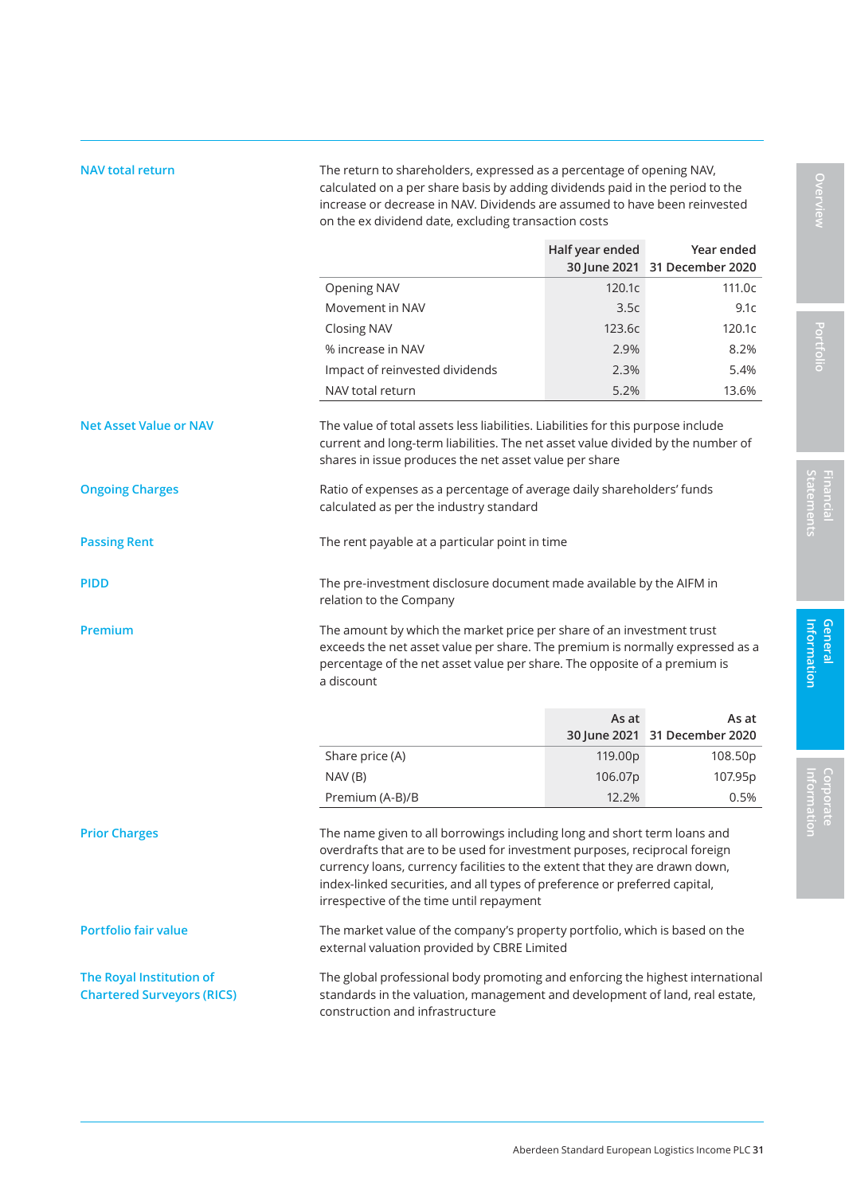NAV total return **The return** to shareholders, expressed as a percentage of opening NAV, calculated on a per share basis by adding dividends paid in the period to the increase or decrease in NAV. Dividends are assumed to have been reinvested on the ex dividend date, excluding transaction costs

|                                                                      |                                                                                                                                                                                                                                                                                                                                                                 | Half year ended | Year ended                    |
|----------------------------------------------------------------------|-----------------------------------------------------------------------------------------------------------------------------------------------------------------------------------------------------------------------------------------------------------------------------------------------------------------------------------------------------------------|-----------------|-------------------------------|
|                                                                      |                                                                                                                                                                                                                                                                                                                                                                 |                 | 30 June 2021 31 December 2020 |
|                                                                      | <b>Opening NAV</b>                                                                                                                                                                                                                                                                                                                                              | 120.1c          | 111.0c                        |
|                                                                      | Movement in NAV                                                                                                                                                                                                                                                                                                                                                 | 3.5c            | 9.1c                          |
|                                                                      | <b>Closing NAV</b>                                                                                                                                                                                                                                                                                                                                              | 123.6c          | 120.1c                        |
|                                                                      | % increase in NAV                                                                                                                                                                                                                                                                                                                                               | 2.9%            | 8.2%                          |
|                                                                      | Impact of reinvested dividends                                                                                                                                                                                                                                                                                                                                  | 2.3%            | 5.4%                          |
|                                                                      | NAV total return                                                                                                                                                                                                                                                                                                                                                | 5.2%            | 13.6%                         |
| <b>Net Asset Value or NAV</b>                                        | The value of total assets less liabilities. Liabilities for this purpose include<br>current and long-term liabilities. The net asset value divided by the number of<br>shares in issue produces the net asset value per share                                                                                                                                   |                 |                               |
| <b>Ongoing Charges</b>                                               | Ratio of expenses as a percentage of average daily shareholders' funds<br>calculated as per the industry standard                                                                                                                                                                                                                                               |                 |                               |
| <b>Passing Rent</b>                                                  | The rent payable at a particular point in time                                                                                                                                                                                                                                                                                                                  |                 |                               |
| <b>PIDD</b>                                                          | The pre-investment disclosure document made available by the AIFM in<br>relation to the Company                                                                                                                                                                                                                                                                 |                 |                               |
| Premium                                                              | The amount by which the market price per share of an investment trust<br>exceeds the net asset value per share. The premium is normally expressed as a<br>percentage of the net asset value per share. The opposite of a premium is<br>a discount                                                                                                               |                 |                               |
|                                                                      |                                                                                                                                                                                                                                                                                                                                                                 | As at           | As at                         |
|                                                                      |                                                                                                                                                                                                                                                                                                                                                                 |                 | 30 June 2021 31 December 2020 |
|                                                                      | Share price (A)                                                                                                                                                                                                                                                                                                                                                 | 119.00p         | 108.50p                       |
|                                                                      | NAV(B)                                                                                                                                                                                                                                                                                                                                                          | 106.07p         | 107.95p                       |
|                                                                      | Premium (A-B)/B                                                                                                                                                                                                                                                                                                                                                 | 12.2%           | 0.5%                          |
| <b>Prior Charges</b>                                                 | The name given to all borrowings including long and short term loans and<br>overdrafts that are to be used for investment purposes, reciprocal foreign<br>currency loans, currency facilities to the extent that they are drawn down,<br>index-linked securities, and all types of preference or preferred capital,<br>irrespective of the time until repayment |                 |                               |
| <b>Portfolio fair value</b>                                          | The market value of the company's property portfolio, which is based on the<br>external valuation provided by CBRE Limited                                                                                                                                                                                                                                      |                 |                               |
| <b>The Royal Institution of</b><br><b>Chartered Surveyors (RICS)</b> | The global professional body promoting and enforcing the highest international<br>standards in the valuation, management and development of land, real estate,                                                                                                                                                                                                  |                 |                               |

construction and infrastructure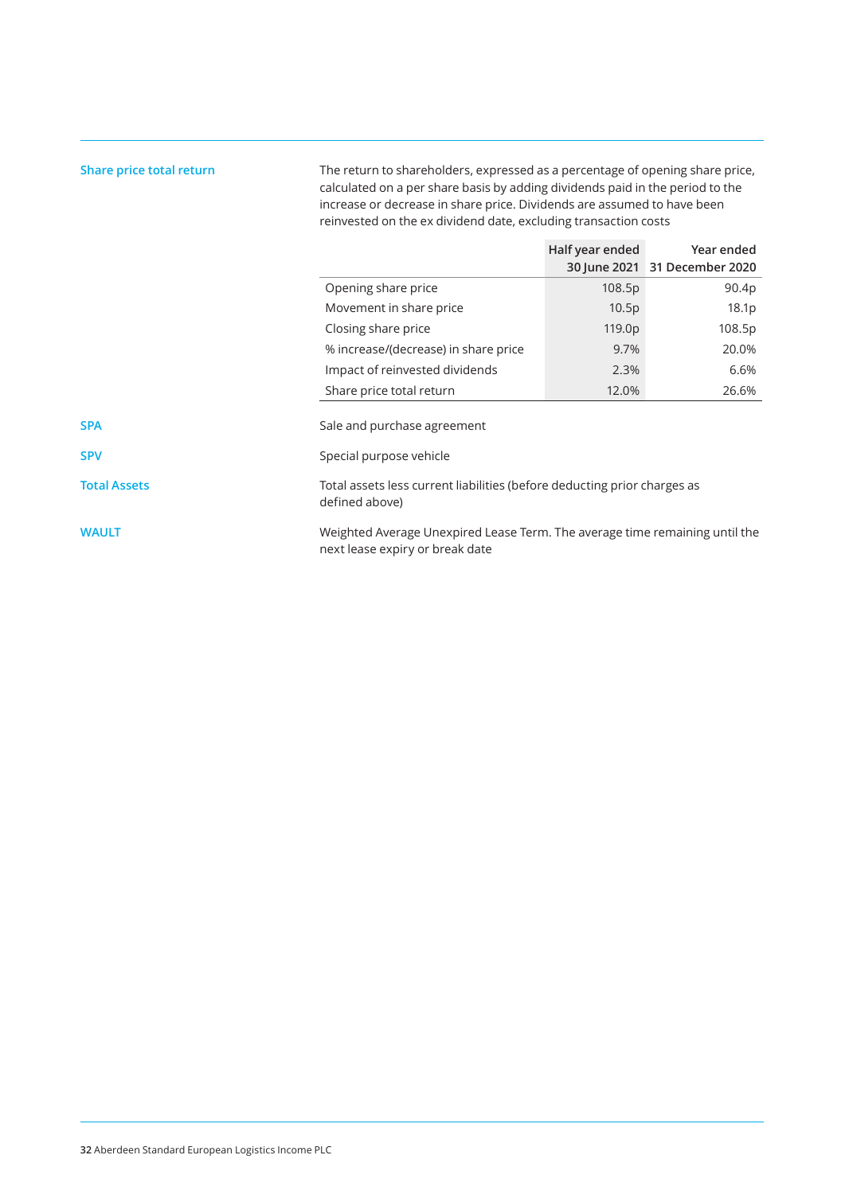Share price total return **7KHUM** The return to shareholders, expressed as a percentage of opening share price, calculated on a per share basis by adding dividends paid in the period to the increase or decrease in share price. Dividends are assumed to have been reinvested on the ex dividend date, excluding transaction costs

|                     |                                                                                                                | Half year ended | Year ended                    |
|---------------------|----------------------------------------------------------------------------------------------------------------|-----------------|-------------------------------|
|                     |                                                                                                                |                 | 30 June 2021 31 December 2020 |
|                     | Opening share price                                                                                            | 108.5p          | 90.4p                         |
|                     | Movement in share price                                                                                        | 10.5p           | 18.1 <sub>p</sub>             |
|                     | Closing share price                                                                                            | 119.0p          | 108.5p                        |
|                     | % increase/(decrease) in share price                                                                           | 9.7%            | 20.0%                         |
|                     | Impact of reinvested dividends                                                                                 | 2.3%            | 6.6%                          |
|                     | Share price total return                                                                                       | 12.0%           | 26.6%                         |
| <b>SPA</b>          | Sale and purchase agreement                                                                                    |                 |                               |
| <b>SPV</b>          | Special purpose vehicle                                                                                        |                 |                               |
| <b>Total Assets</b> | Total assets less current liabilities (before deducting prior charges as<br>defined above)                     |                 |                               |
| WAULT               | Weighted Average Unexpired Lease Term. The average time remaining until the<br>next lease expiry or break date |                 |                               |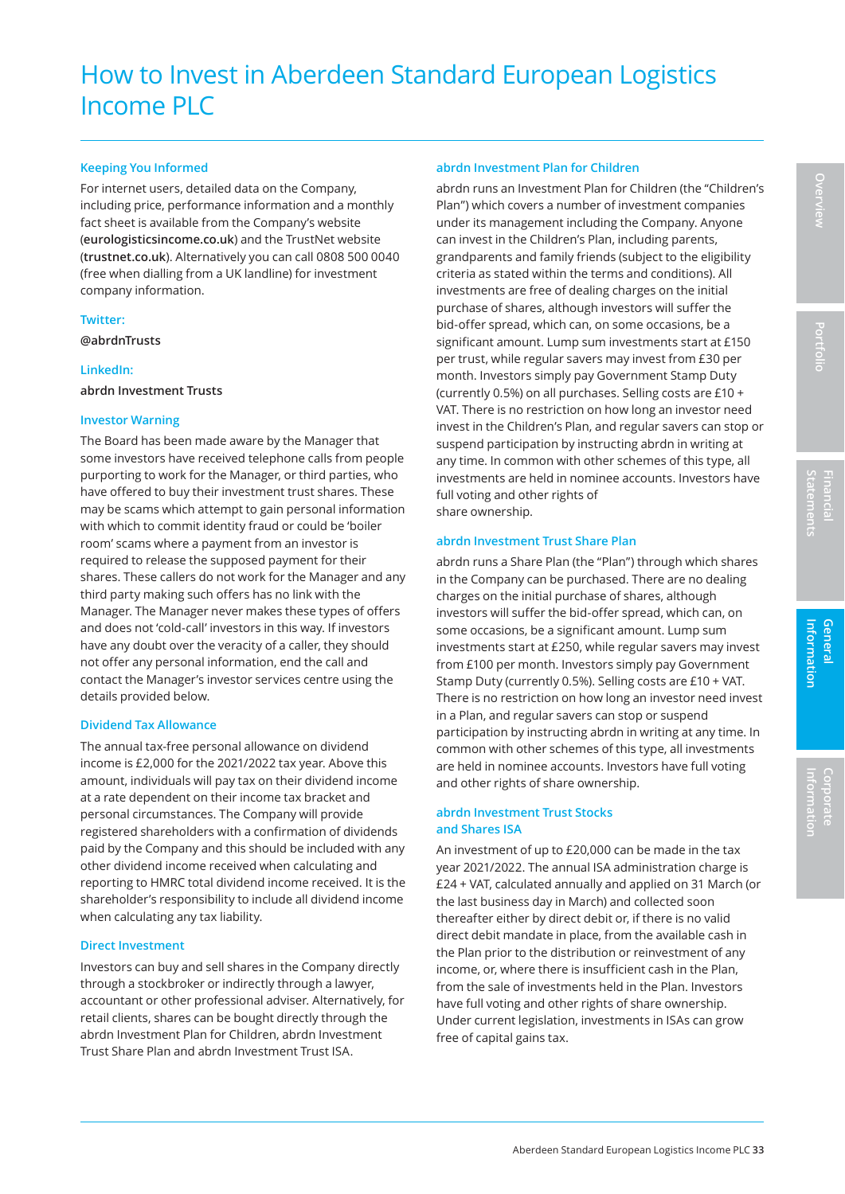# How to Invest in Aberdeen Standard European Logistics Income PLC

# **Keeping You Informed**

For internet users, detailed data on the Company, including price, performance information and a monthly fact sheet is available from the Company's website (eurologisticsincome.co.uk) and the TrustNet website (trustnet.co.uk). Alternatively you can call 0808 500 0040 (free when dialling from a UK landline) for investment company information.

# **Twitter:**

**@abrdnTrusts**

# **LinkedIn:**

**abrdn Investment Trusts**

# **Investor Warning**

The Board has been made aware by the Manager that some investors have received telephone calls from people purporting to work for the Manager, or third parties, who have offered to buy their investment trust shares. These may be scams which attempt to gain personal information with which to commit identity fraud or could be 'boiler room' scams where a payment from an investor is required to release the supposed payment for their shares. These callers do not work for the Manager and any third party making such offers has no link with the Manager. The Manager never makes these types of offers and does not 'cold-call' investors in this way. If investors have any doubt over the veracity of a caller, they should not offer any personal information, end the call and contact the Manager's investor services centre using the details provided below.

# **Dividend Tax Allowance**

The annual tax-free personal allowance on dividend income is £2,000 for the 2021/2022 tax year. Above this amount, individuals will pay tax on their dividend income at a rate dependent on their income tax bracket and personal circumstances. The Company will provide registered shareholders with a confirmation of dividends paid by the Company and this should be included with any other dividend income received when calculating and reporting to HMRC total dividend income received. It is the shareholder's responsibility to include all dividend income when calculating any tax liability.

# **Direct Investment**

Investors can buy and sell shares in the Company directly through a stockbroker or indirectly through a lawyer, accountant or other professional adviser. Alternatively, for retail clients, shares can be bought directly through the abrdn Investment Plan for Children, abrdn Investment Trust Share Plan and abrdn Investment Trust ISA

# **abrdn Investment Plan for Children**

abrdn runs an Investment Plan for Children (the "Children's Plan") which covers a number of investment companies under its management including the Company. Anyone can invest in the Children's Plan, including parents, grandparents and family friends (subject to the eligibility criteria as stated within the terms and conditions). All investments are free of dealing charges on the initial purchase of shares, although investors will suffer the bid-offer spread, which can, on some occasions, be a significant amount. Lump sum investments start at £150 per trust, while regular savers may invest from £30 per month. Investors simply pay Government Stamp Duty (currently 0.5%) on all purchases. Selling costs are £10 + VAT. There is no restriction on how long an investor need invest in the Children's Plan, and regular savers can stop or suspend participation by instructing abrdn in writing at any time. In common with other schemes of this type, all investments are held in nominee accounts. Investors have full voting and other rights of share ownership.

# **abrdn Investment Trust Share Plan**

abrdn runs a Share Plan (the "Plan") through which shares in the Company can be purchased. There are no dealing charges on the initial purchase of shares, although investors will suffer the bid-offer spread, which can, on some occasions, be a significant amount. Lump sum investments start at £250, while regular savers may invest from £100 per month. Investors simply pay Government Stamp Duty (currently 0.5%). Selling costs are £10 + VAT. There is no restriction on how long an investor need invest in a Plan, and regular savers can stop or suspend participation by instructing abrdn in writing at any time. In common with other schemes of this type, all investments are held in nominee accounts. Investors have full voting and other rights of share ownership.

# **abrdn Investment Trust Stocks and Shares ISA**

An investment of up to  $£20,000$  can be made in the tax year 2021/2022. The annual ISA administration charge is  $E24 + VAT$ , calculated annually and applied on 31 March (or the last business day in March) and collected soon thereafter either by direct debit or, if there is no valid direct debit mandate in place, from the available cash in the Plan prior to the distribution or reinvestment of any income, or, where there is insufficient cash in the Plan, from the sale of investments held in the Plan. Investors have full voting and other rights of share ownership. Under current legislation, investments in ISAs can grow free of capital gains tax.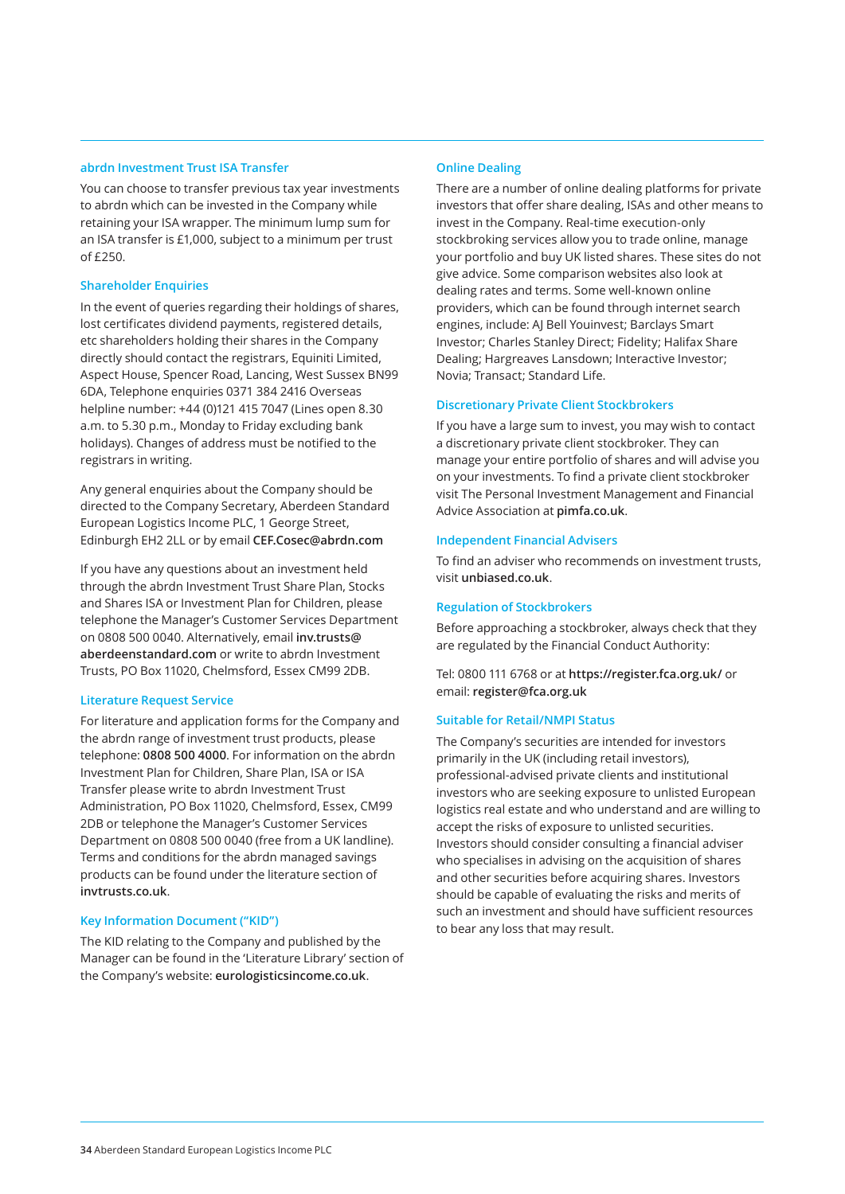#### abrdn Investment Trust ISA Transfer

You can choose to transfer previous tax year investments to abrdn which can be invested in the Company while retaining your ISA wrapper. The minimum lump sum for an ISA transfer is £1,000, subject to a minimum per trust of £250.

#### **Shareholder Enquiries**

In the event of queries regarding their holdings of shares, lost certificates dividend payments, registered details, etc shareholders holding their shares in the Company directly should contact the registrars, Equiniti Limited, Aspect House, Spencer Road, Lancing, West Sussex BN99 6DA, Telephone enquiries 0371 384 2416 Overseas helpline number: +44 (0)121 415 7047 (Lines open 8.30 a.m. to 5.30 p.m., Monday to Friday excluding bank holidays). Changes of address must be notified to the registrars in writing.

Any general enquiries about the Company should be directed to the Company Secretary, Aberdeen Standard European Logistics Income PLC, 1 George Street, Edinburgh EH2 2LL or by email CEF.Cosec@abrdn.com

If you have any questions about an investment held through the abrdn Investment Trust Share Plan, Stocks and Shares ISA or Investment Plan for Children, please telephone the Manager's Customer Services Department on 0808 500 0040. Alternatively, email inv.trusts@ aberdeenstandard.com or write to abrdn Investment Trusts, PO Box 11020, Chelmsford, Essex CM99 2DB.

#### **Literature Request Service**

For literature and application forms for the Company and the abrdn range of investment trust products, please telephone: 0808 500 4000. For information on the abrdn Investment Plan for Children, Share Plan, ISA or ISA Transfer please write to abrdn Investment Trust Administration, PO Box 11020, Chelmsford, Essex, CM99 2DB or telephone the Manager's Customer Services Department on 0808 500 0040 (free from a UK landline). Terms and conditions for the abrdn managed savings products can be found under the literature section of invtrusts.co.uk.

#### Key Information Document ("KID")

The KID relating to the Company and published by the Manager can be found in the 'Literature Library' section of the Company's website: eurologisticsincome.co.uk.

# **Online Dealing**

There are a number of online dealing platforms for private investors that offer share dealing, ISAs and other means to invest in the Company. Real-time execution-only stockbroking services allow you to trade online, manage your portfolio and buy UK listed shares. These sites do not give advice. Some comparison websites also look at dealing rates and terms. Some well-known online providers, which can be found through internet search engines, include: AJ Bell Youinvest; Barclays Smart Investor; Charles Stanley Direct; Fidelity; Halifax Share Dealing; Hargreaves Lansdown; Interactive Investor; Novia; Transact; Standard Life.

## **Discretionary Private Client Stockbrokers**

If you have a large sum to invest, you may wish to contact a discretionary private client stockbroker. They can manage your entire portfolio of shares and will advise you on your investments. To find a private client stockbroker visit The Personal Investment Management and Financial Advice Association at pimfa.co.uk.

#### **Independent Financial Advisers**

To find an adviser who recommends on investment trusts, visit unbiased.co.uk.

#### **Regulation of Stockbrokers**

Before approaching a stockbroker, always check that they are regulated by the Financial Conduct Authority:

Tel: 0800 111 6768 or at https://register.fca.org.uk/ or email: register@fca.org.uk

## **Suitable for Retail/NMPI Status**

The Company's securities are intended for investors primarily in the UK (including retail investors), professional-advised private clients and institutional investors who are seeking exposure to unlisted European logistics real estate and who understand and are willing to accept the risks of exposure to unlisted securities. Investors should consider consulting a financial adviser who specialises in advising on the acquisition of shares and other securities before acquiring shares. Investors should be capable of evaluating the risks and merits of such an investment and should have sufficient resources to bear any loss that may result.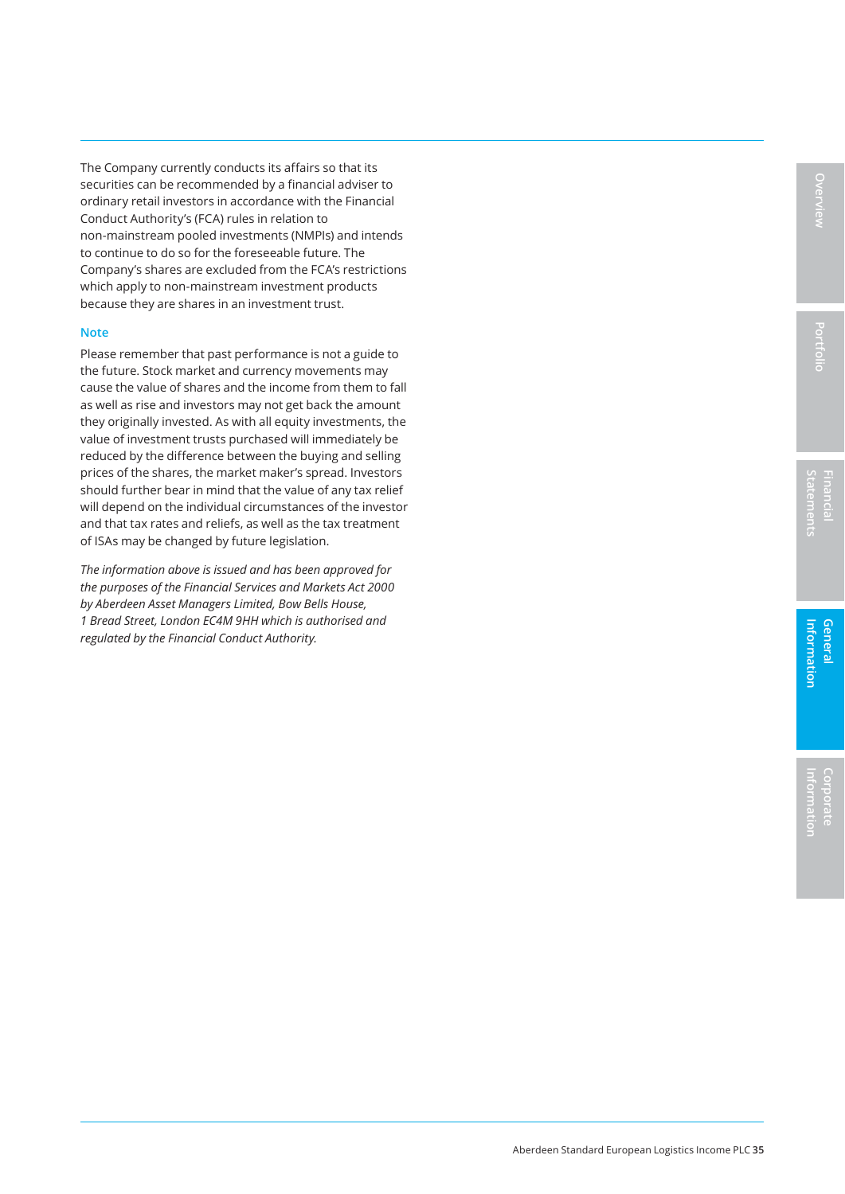The Company currently conducts its affairs so that its securities can be recommended by a financial adviser to ordinary retail investors in accordance with the Financial Conduct Authority's (FCA) rules in relation to non-mainstream pooled investments (NMPIs) and intends to continue to do so for the foreseeable future. The Company's shares are excluded from the FCA's restrictions which apply to non-mainstream investment products because they are shares in an investment trust.

### **Note**

Please remember that past performance is not a guide to the future. Stock market and currency movements may cause the value of shares and the income from them to fall as well as rise and investors may not get back the amount they originally invested. As with all equity investments, the value of investment trusts purchased will immediately be reduced by the difference between the buying and selling prices of the shares, the market maker's spread. Investors should further bear in mind that the value of any tax relief will depend on the individual circumstances of the investor and that tax rates and reliefs, as well as the tax treatment of ISAs may be changed by future legislation.

*The information above is issued and has been approved for the purposes of the Financial Services and Markets Act 2000 by Aberdeen Asset Managers Limited, Bow Bells House, 1 Bread Street, London EC4M 9HH which is authorised and regulated by the Financial Conduct Authority.*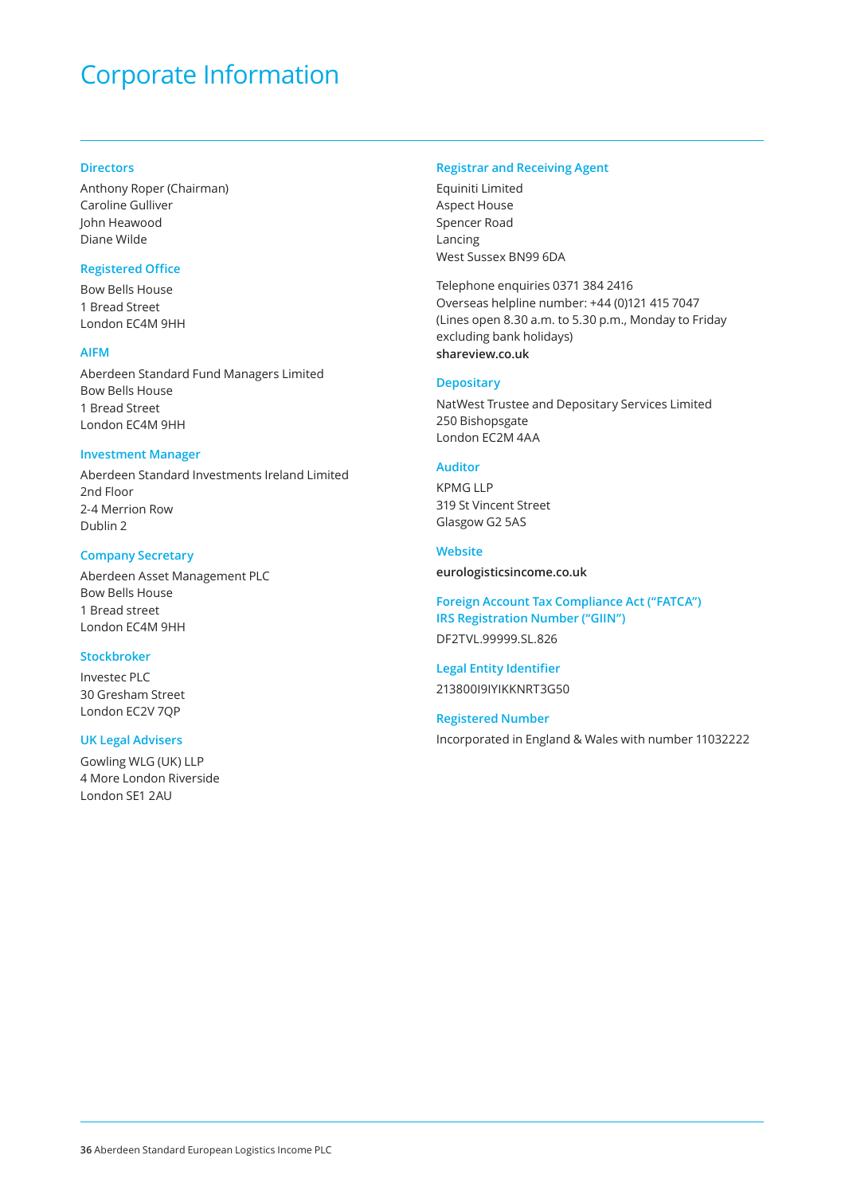# Corporate Information

## **Directors**

Anthony Roper (Chairman) Caroline Gulliver John Heawood Diane Wilde

# **Registered Office**

Bow Bells House 1 Bread Street London EC4M 9HH

## **AIFM**

Aberdeen Standard Fund Managers Limited Bow Bells House 1 Bread Street London EC4M 9HH

## **Investment Manager**

Aberdeen Standard Investments Ireland Limited 2nd Floor 2-4 Merrion Row Dublin 2

# **Company Secretary**

Aberdeen Asset Management PLC Bow Bells House 1 Bread street London EC4M 9HH

# **Stockbroker**

Invester PLC 30 Gresham Street London EC2V 7QP

# **UK Legal Advisers**

Gowling WLG (UK) LLP 4 More London Riverside London SE1 2AU

## **Registrar and Receiving Agent**

Equiniti Limited Aspect House Spencer Road Lancing West Sussex BN99 6DA

Telephone enquiries 0371 384 2416 Overseas helpline number: +44 (0)121 415 7047 (Lines open 8.30 a.m. to 5.30 p.m., Monday to Friday excluding bank holidays) **shareview.co.uk**

# **Depositary**

NatWest Trustee and Depositary Services Limited 250 Bishopsgate London EC2M 4AA

## **Auditor**

KPMG LLP 319 St Vincent Street Glasgow G2 5AS

# **Website**

**eurologisticsincome.co.uk**

**Foreign Account Tax Compliance Act ("FATCA") IRS Registration Number ("GIIN")** DF2TVL.99999.SL.826

# **Legal Entity Identifier**

213800I9IYIKKNRT3G50

**Registered Number** Incorporated in England & Wales with number 11032222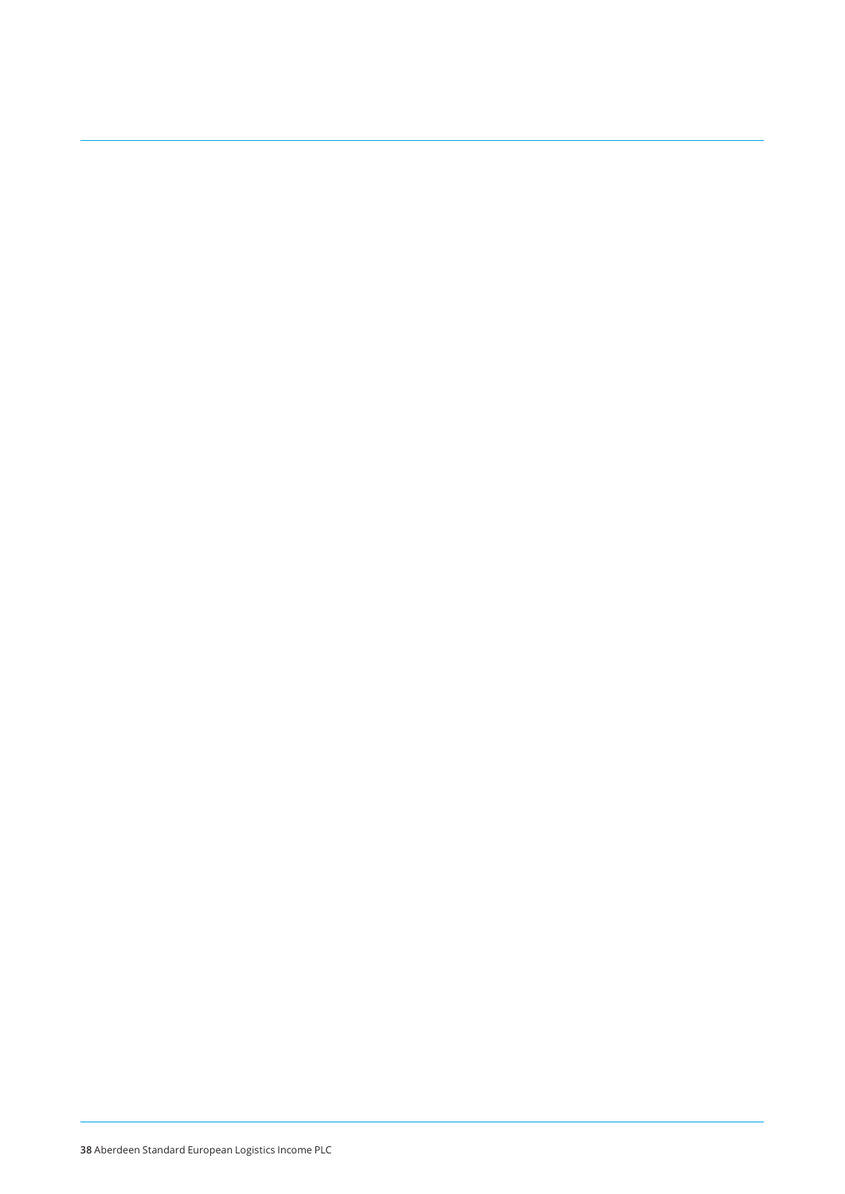38 Aberdeen Standard European Logistics Income PLC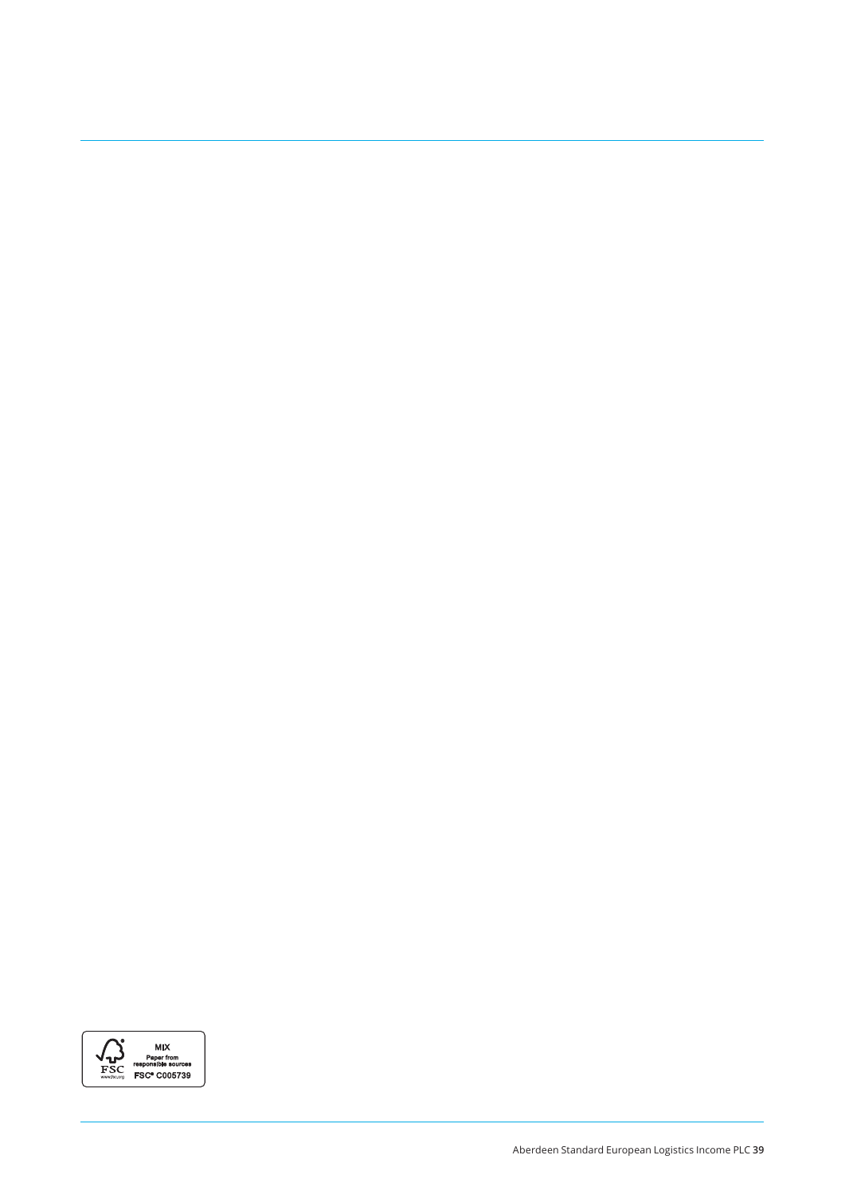